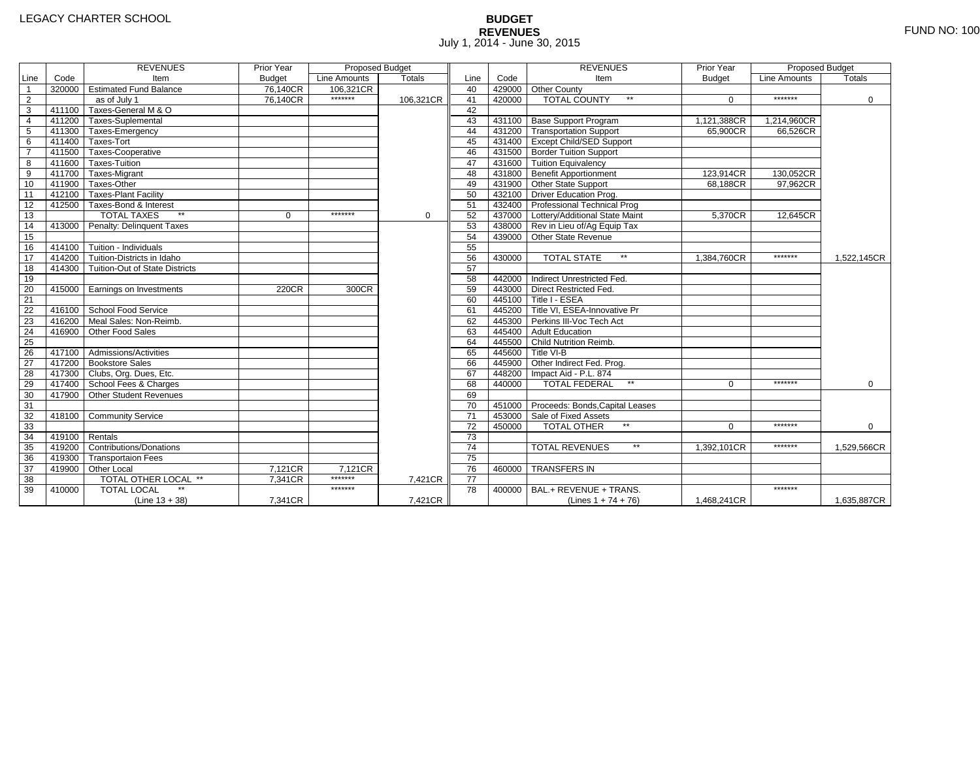(Line 13 + 38)

Other Local 7,121CR38 TOTAL OTHER LOCAL \*\*

35 419200 Contributions/Donations 36 419300 Transportaion Fees 37 419900 Other Local

39 410000 TOTAL LOCAL \*\*

#### **BUDGET REVENUES** $S$  FUND NO: 100 July 1, 2014 - June 30, 2015

|                |        | <b>REVENUES</b>                       | Prior Year    | Proposed Budget |             |      |        | <b>REVENUES</b>                    | Prior Year    | Proposed Budget |               |
|----------------|--------|---------------------------------------|---------------|-----------------|-------------|------|--------|------------------------------------|---------------|-----------------|---------------|
| Line           | Code   | Item                                  | <b>Budget</b> | Line Amounts    | Totals      | Line | Code   | Item                               | <b>Budget</b> | Line Amounts    | <b>Totals</b> |
|                |        | 320000 Estimated Fund Balance         | 76,140CR      | 106.321CR       |             | 40   |        | 429000 Other County                |               |                 |               |
| $\overline{2}$ |        | as of July 1                          | 76.140CR      | *******         | 106,321CR   | 41   | 420000 | <b>TOTAL COUNTY</b><br>$**$        | $\Omega$      | *******         | $\Omega$      |
| 3              |        | 411100 Taxes-General M & O            |               |                 |             | 42   |        |                                    |               |                 |               |
| $\overline{4}$ |        | 411200 Taxes-Suplemental              |               |                 |             | 43   | 431100 | <b>Base Support Program</b>        | 1,121,388CR   | 1,214,960CR     |               |
| 5              | 411300 | Taxes-Emergency                       |               |                 |             | 44   | 431200 | <b>Transportation Support</b>      | 65,900CR      | 66.526CR        |               |
| 6              |        | $411400$ Taxes-Tort                   |               |                 |             | 45   | 431400 | <b>Except Child/SED Support</b>    |               |                 |               |
|                |        | 411500 Taxes-Cooperative              |               |                 |             | 46   | 431500 | <b>Border Tuition Support</b>      |               |                 |               |
| 8              |        | 411600 Taxes-Tuition                  |               |                 |             | 47   |        | 431600 Tuition Equivalency         |               |                 |               |
| 9              |        | 411700 Taxes-Migrant                  |               |                 |             | 48   | 431800 | <b>Benefit Apportionment</b>       | 123,914CR     | 130,052CR       |               |
| 10             |        | 411900 Taxes-Other                    |               |                 |             | 49   | 431900 | Other State Support                | 68,188CR      | 97,962CR        |               |
| 11             |        | 412100 Taxes-Plant Facility           |               |                 |             | 50   | 432100 | <b>Driver Education Prog.</b>      |               |                 |               |
| 12             |        | 412500 Taxes-Bond & Interest          |               |                 |             | 51   |        | 432400 Professional Technical Prog |               |                 |               |
| 13             |        | <b>TOTAL TAXES</b><br>$***$           | $\mathbf{0}$  | *******         | $\mathbf 0$ | 52   | 437000 | Lottery/Additional State Maint     | 5,370CR       | 12,645CR        |               |
| 14             |        | 413000 Penalty: Delinquent Taxes      |               |                 |             | 53   | 438000 | Rev in Lieu of/Ag Equip Tax        |               |                 |               |
| 15             |        |                                       |               |                 |             | 54   |        | 439000 Other State Revenue         |               |                 |               |
| 16             | 414100 | Tuition - Individuals                 |               |                 |             | 55   |        |                                    |               |                 |               |
| 17             | 414200 | Tuition-Districts in Idaho            |               |                 |             | 56   | 430000 | <b>TOTAL STATE</b><br>$**$         | 1,384,760CR   | *******         | 1,522,145CR   |
| 18             |        | 414300 Tuition-Out of State Districts |               |                 |             | 57   |        |                                    |               |                 |               |
| 19             |        |                                       |               |                 |             | 58   | 442000 | Indirect Unrestricted Fed.         |               |                 |               |
| 20             | 415000 | Earnings on Investments               | 220CR         | 300CR           |             | 59   | 443000 | <b>Direct Restricted Fed.</b>      |               |                 |               |
| 21             |        |                                       |               |                 |             | 60   | 445100 | Title I - ESEA                     |               |                 |               |
| 22             | 416100 | <b>School Food Service</b>            |               |                 |             | 61   | 445200 | Title VI, ESEA-Innovative Pr       |               |                 |               |
| 23             | 416200 | Meal Sales: Non-Reimb.                |               |                 |             | 62   | 445300 | Perkins III-Voc Tech Act           |               |                 |               |
| 24             | 416900 | Other Food Sales                      |               |                 |             | 63   | 445400 | Adult Education                    |               |                 |               |
| 25             |        |                                       |               |                 |             | 64   | 445500 | <b>Child Nutrition Reimb.</b>      |               |                 |               |
| 26             | 417100 | Admissions/Activities                 |               |                 |             | 65   | 445600 | Title VI-B                         |               |                 |               |
| 27             | 417200 | <b>Bookstore Sales</b>                |               |                 |             | 66   | 445900 | Other Indirect Fed. Prog.          |               |                 |               |
| 28             |        | 417300   Clubs, Org. Dues, Etc.       |               |                 |             | 67   |        | 448200   Impact Aid - P.L. 874     |               |                 |               |
| 29             |        | 417400 School Fees & Charges          |               |                 |             | 68   | 440000 | <b>TOTAL FEDERAL</b>               | $\mathbf 0$   | *******         | 0             |
| 30             | 417900 | <b>Other Student Revenues</b>         |               |                 |             | 69   |        |                                    |               |                 |               |
| 31             |        |                                       |               |                 |             | 70   | 451000 | Proceeds: Bonds, Capital Leases    |               |                 |               |
| 32             |        | 418100 Community Service              |               |                 |             | 71   |        | 453000 Sale of Fixed Assets        |               |                 |               |
| 33             |        |                                       |               |                 |             | 72   | 450000 | <b>TOTAL OTHER</b><br>$\star\star$ | $\Omega$      | *******         | $\Omega$      |
| 34             | 419100 | Rentals                               |               |                 |             | 73   |        |                                    |               |                 |               |
|                |        |                                       |               |                 |             |      |        |                                    |               |                 |               |

(Lines 1 + 74 + 76)

TOTAL REVENUES \*\*

76 460000 TRANSFERS IN

78 400000 BAL.+ REVENUE + TRANS.

\*\*\*\*\*\*\*\*\*\*\*\*\*

7,421CR

75 76

77 78

7,421CR

7,121CR 7,121CR

7,341CR

7,341CR

\*\*\*\*\*\*\*

1,529,566CR

1,635,887CR

1,392,101CR

1,468,241CR

\*\*\*\*\*\*\*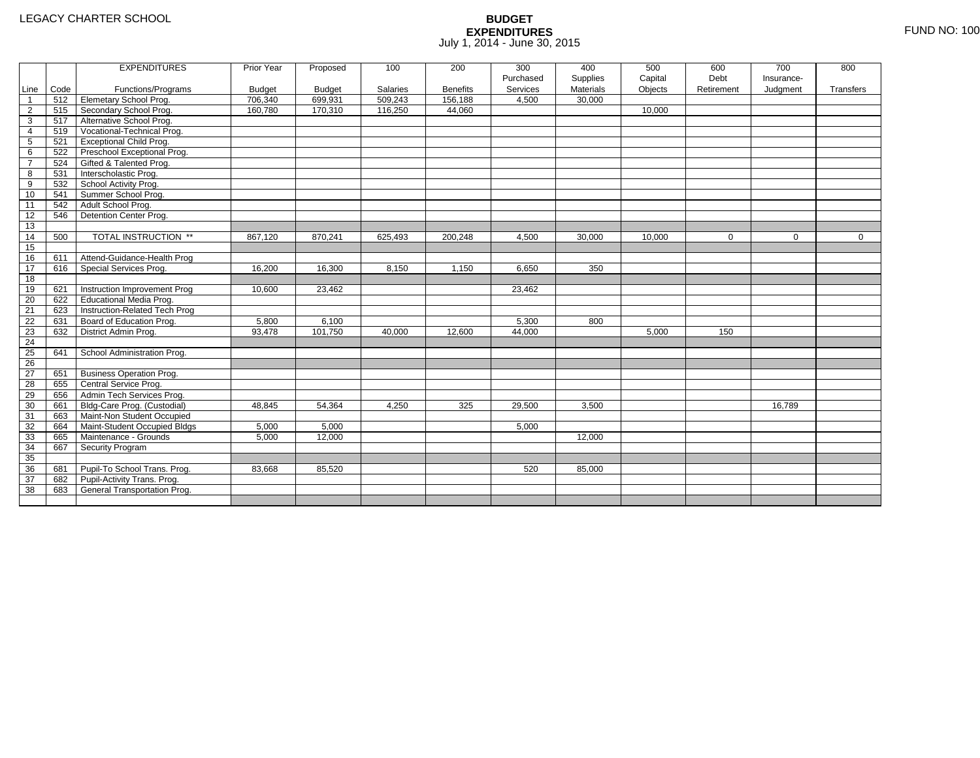|                 |      | <b>EXPENDITURES</b>             | Prior Year    | Proposed      | 100      | 200             | 300       | 400              | 500     | 600        | 700        | 800       |
|-----------------|------|---------------------------------|---------------|---------------|----------|-----------------|-----------|------------------|---------|------------|------------|-----------|
|                 |      |                                 |               |               |          |                 | Purchased | Supplies         | Capital | Debt       | Insurance- |           |
| Line            | Code | Functions/Programs              | <b>Budget</b> | <b>Budget</b> | Salaries | <b>Benefits</b> | Services  | <b>Materials</b> | Objects | Retirement | Judgment   | Transfers |
| $\overline{1}$  | 512  | Elemetary School Prog.          | 706,340       | 699,931       | 509,243  | 156,188         | 4,500     | 30,000           |         |            |            |           |
| $\overline{2}$  | 515  | Secondary School Prog.          | 160,780       | 170,310       | 116,250  | 44.060          |           |                  | 10,000  |            |            |           |
| 3               | 517  | Alternative School Prog.        |               |               |          |                 |           |                  |         |            |            |           |
| 4               | 519  | Vocational-Technical Prog.      |               |               |          |                 |           |                  |         |            |            |           |
| 5               | 521  | <b>Exceptional Child Prog.</b>  |               |               |          |                 |           |                  |         |            |            |           |
| 6               | 522  | Preschool Exceptional Prog.     |               |               |          |                 |           |                  |         |            |            |           |
| $\overline{7}$  | 524  | Gifted & Talented Prog.         |               |               |          |                 |           |                  |         |            |            |           |
| 8               | 531  | Interscholastic Prog.           |               |               |          |                 |           |                  |         |            |            |           |
| 9               | 532  | School Activity Prog.           |               |               |          |                 |           |                  |         |            |            |           |
| 10              | 541  | Summer School Prog.             |               |               |          |                 |           |                  |         |            |            |           |
| 11              | 542  | Adult School Prog.              |               |               |          |                 |           |                  |         |            |            |           |
| $\overline{12}$ | 546  | Detention Center Prog.          |               |               |          |                 |           |                  |         |            |            |           |
| $\overline{13}$ |      |                                 |               |               |          |                 |           |                  |         |            |            |           |
| 14              | 500  | <b>TOTAL INSTRUCTION **</b>     | 867,120       | 870,241       | 625,493  | 200,248         | 4,500     | 30,000           | 10,000  | 0          | 0          | 0         |
| 15              |      |                                 |               |               |          |                 |           |                  |         |            |            |           |
| 16              | 611  | Attend-Guidance-Health Prog     |               |               |          |                 |           |                  |         |            |            |           |
| 17              | 616  | Special Services Prog.          | 16,200        | 16,300        | 8,150    | 1,150           | 6,650     | 350              |         |            |            |           |
| 18              |      |                                 |               |               |          |                 |           |                  |         |            |            |           |
| 19              | 621  | Instruction Improvement Prog    | 10,600        | 23,462        |          |                 | 23,462    |                  |         |            |            |           |
| 20              | 622  | Educational Media Prog.         |               |               |          |                 |           |                  |         |            |            |           |
| 21              | 623  | Instruction-Related Tech Prog   |               |               |          |                 |           |                  |         |            |            |           |
| $\overline{22}$ | 631  | Board of Education Prog.        | 5,800         | 6,100         |          |                 | 5,300     | 800              |         |            |            |           |
| $\overline{23}$ | 632  | District Admin Prog.            | 93,478        | 101,750       | 40,000   | 12,600          | 44,000    |                  | 5,000   | 150        |            |           |
| 24              |      |                                 |               |               |          |                 |           |                  |         |            |            |           |
| 25              | 641  | School Administration Prog.     |               |               |          |                 |           |                  |         |            |            |           |
| 26              |      |                                 |               |               |          |                 |           |                  |         |            |            |           |
| 27              | 651  | <b>Business Operation Prog.</b> |               |               |          |                 |           |                  |         |            |            |           |
| 28              | 655  | Central Service Prog.           |               |               |          |                 |           |                  |         |            |            |           |
| 29              | 656  | Admin Tech Services Prog.       |               |               |          |                 |           |                  |         |            |            |           |
| 30              | 661  | Bldg-Care Prog. (Custodial)     | 48,845        | 54,364        | 4,250    | 325             | 29,500    | 3,500            |         |            | 16,789     |           |
| 31              | 663  | Maint-Non Student Occupied      |               |               |          |                 |           |                  |         |            |            |           |
| 32              | 664  | Maint-Student Occupied Bldgs    | 5,000         | 5,000         |          |                 | 5,000     |                  |         |            |            |           |
| 33              | 665  | Maintenance - Grounds           | 5,000         | 12,000        |          |                 |           | 12,000           |         |            |            |           |
| 34              | 667  | Security Program                |               |               |          |                 |           |                  |         |            |            |           |
| 35              |      |                                 |               |               |          |                 |           |                  |         |            |            |           |
| 36              | 681  | Pupil-To School Trans. Prog.    | 83,668        | 85,520        |          |                 | 520       | 85,000           |         |            |            |           |
| $\overline{37}$ | 682  | Pupil-Activity Trans. Prog.     |               |               |          |                 |           |                  |         |            |            |           |
| 38              | 683  | General Transportation Prog.    |               |               |          |                 |           |                  |         |            |            |           |
|                 |      |                                 |               |               |          |                 |           |                  |         |            |            |           |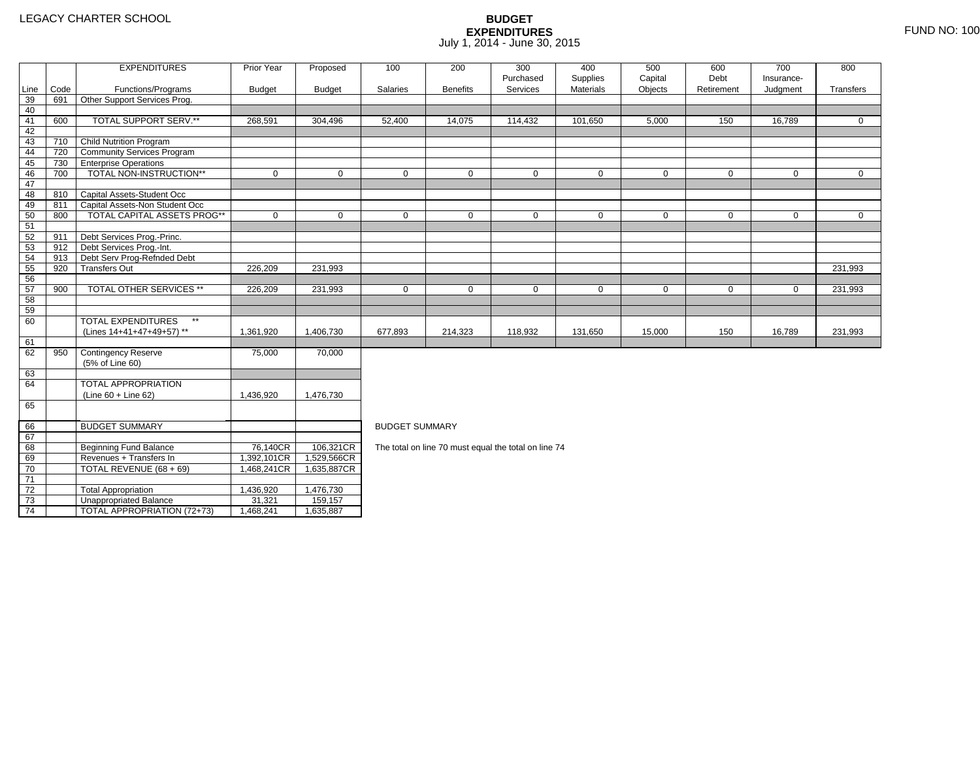2 Total Appropriation 1,436,920 1,476,730

3 | Unappropriated Balance | 31,321 | 159,157

4 | TOTAL APPROPRIATION (72+73) | 1,468,241 | 1,635,887

73

74

|                 |      | <b>EXPENDITURES</b>                       | Prior Year    | Proposed      | 100                   | 200             | 300                                                  | 400         | 500          | 600         | 700          | 800         |  |  |  |  |
|-----------------|------|-------------------------------------------|---------------|---------------|-----------------------|-----------------|------------------------------------------------------|-------------|--------------|-------------|--------------|-------------|--|--|--|--|
|                 |      |                                           |               |               |                       |                 | Purchased                                            | Supplies    | Capital      | Debt        | Insurance-   |             |  |  |  |  |
| Line            | Code | Functions/Programs                        | <b>Budget</b> | <b>Budget</b> | Salaries              | <b>Benefits</b> | Services                                             | Materials   | Objects      | Retirement  | Judgment     | Transfers   |  |  |  |  |
| 39              | 691  | Other Support Services Prog.              |               |               |                       |                 |                                                      |             |              |             |              |             |  |  |  |  |
| 40              |      |                                           |               |               |                       |                 |                                                      |             |              |             |              |             |  |  |  |  |
| 41              | 600  | TOTAL SUPPORT SERV.**                     | 268,591       | 304,496       | 52,400                | 14,075          | 114,432                                              | 101,650     | 5,000        | 150         | 16,789       | $\Omega$    |  |  |  |  |
| 42              |      |                                           |               |               |                       |                 |                                                      |             |              |             |              |             |  |  |  |  |
| 43              | 710  | Child Nutrition Program                   |               |               |                       |                 |                                                      |             |              |             |              |             |  |  |  |  |
| 44              | 720  | <b>Community Services Program</b>         |               |               |                       |                 |                                                      |             |              |             |              |             |  |  |  |  |
| 45              | 730  | <b>Enterprise Operations</b>              |               |               |                       |                 |                                                      |             |              |             |              |             |  |  |  |  |
| 46              | 700  | TOTAL NON-INSTRUCTION**                   | $\mathbf 0$   | $\mathbf 0$   | $\mathbf 0$           | $\overline{0}$  | $\mathbf 0$                                          | $\mathbf 0$ | $\mathbf{0}$ | $\mathbf 0$ | $\mathbf{0}$ | $\mathbf 0$ |  |  |  |  |
| 47              |      |                                           |               |               |                       |                 |                                                      |             |              |             |              |             |  |  |  |  |
| 48              | 810  | Capital Assets-Student Occ                |               |               |                       |                 |                                                      |             |              |             |              |             |  |  |  |  |
| 49              | 811  | Capital Assets-Non Student Occ            |               |               |                       |                 |                                                      |             |              |             |              |             |  |  |  |  |
| 50              | 800  | TOTAL CAPITAL ASSETS PROG**               | $\mathbf 0$   | $\mathbf 0$   | $\mathbf 0$           | $\mathbf 0$     | $\mathbf 0$                                          | $\mathbf 0$ | $\mathbf 0$  | $\mathbf 0$ | $\mathbf 0$  | $\mathbf 0$ |  |  |  |  |
| 51              |      |                                           |               |               |                       |                 |                                                      |             |              |             |              |             |  |  |  |  |
| 52              | 911  | Debt Services Prog.-Princ.                |               |               |                       |                 |                                                      |             |              |             |              |             |  |  |  |  |
| 53              | 912  | Debt Services Prog.-Int.                  |               |               |                       |                 |                                                      |             |              |             |              |             |  |  |  |  |
| 54              | 913  | Debt Serv Prog-Refnded Debt               |               |               |                       |                 |                                                      |             |              |             |              |             |  |  |  |  |
| 55              | 920  | <b>Transfers Out</b>                      | 226,209       | 231,993       | 231,993               |                 |                                                      |             |              |             |              |             |  |  |  |  |
| 56              |      |                                           |               |               |                       |                 |                                                      |             |              |             |              |             |  |  |  |  |
| 57              | 900  | <b>TOTAL OTHER SERVICES **</b>            | 226,209       | 231,993       | 0                     | 0               | 0                                                    | $\mathbf 0$ | 0            | $\mathbf 0$ | 0            | 231,993     |  |  |  |  |
| 58              |      |                                           |               |               |                       |                 |                                                      |             |              |             |              |             |  |  |  |  |
| 59              |      |                                           |               |               |                       |                 |                                                      |             |              |             |              |             |  |  |  |  |
| 60              |      | <b>TOTAL EXPENDITURES</b><br>$\star\star$ |               |               |                       |                 |                                                      |             |              |             |              |             |  |  |  |  |
|                 |      | (Lines 14+41+47+49+57) **                 | 1,361,920     | 1,406,730     | 677,893               | 214,323         | 118,932                                              | 131,650     | 15,000       | 150         | 16,789       | 231,993     |  |  |  |  |
| 61              |      |                                           |               |               |                       |                 |                                                      |             |              |             |              |             |  |  |  |  |
| 62              | 950  | <b>Contingency Reserve</b>                | 75,000        | 70,000        |                       |                 |                                                      |             |              |             |              |             |  |  |  |  |
|                 |      | (5% of Line 60)                           |               |               |                       |                 |                                                      |             |              |             |              |             |  |  |  |  |
| 63              |      |                                           |               |               |                       |                 |                                                      |             |              |             |              |             |  |  |  |  |
| 64              |      | <b>TOTAL APPROPRIATION</b>                |               |               |                       |                 |                                                      |             |              |             |              |             |  |  |  |  |
|                 |      | (Line 60 + Line 62)                       | 1,436,920     | 1,476,730     |                       |                 |                                                      |             |              |             |              |             |  |  |  |  |
| 65              |      |                                           |               |               |                       |                 |                                                      |             |              |             |              |             |  |  |  |  |
|                 |      |                                           |               |               |                       |                 |                                                      |             |              |             |              |             |  |  |  |  |
| 66              |      | <b>BUDGET SUMMARY</b>                     |               |               | <b>BUDGET SUMMARY</b> |                 |                                                      |             |              |             |              |             |  |  |  |  |
| 67              |      |                                           |               |               |                       |                 |                                                      |             |              |             |              |             |  |  |  |  |
| 68              |      | <b>Beginning Fund Balance</b>             | 76,140CR      | 106,321CR     |                       |                 | The total on line 70 must equal the total on line 74 |             |              |             |              |             |  |  |  |  |
| 69              |      | Revenues + Transfers In                   | 1,392,101CR   | 1,529,566CR   |                       |                 |                                                      |             |              |             |              |             |  |  |  |  |
| 70              |      | TOTAL REVENUE (68 + 69)                   | 1,468,241CR   | 1,635,887CR   |                       |                 |                                                      |             |              |             |              |             |  |  |  |  |
| $\overline{71}$ |      |                                           |               |               |                       |                 |                                                      |             |              |             |              |             |  |  |  |  |
| $\overline{72}$ |      | <b>Total Appropriation</b>                | 1.436.920     | 1.476.730     |                       |                 |                                                      |             |              |             |              |             |  |  |  |  |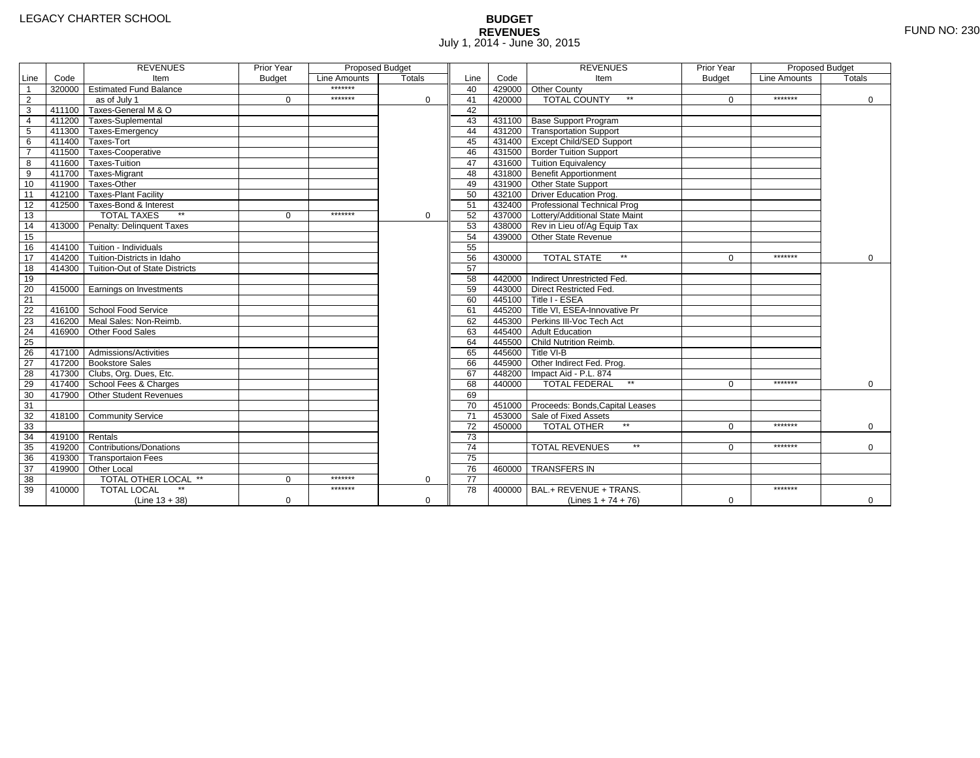# **BUDGET REVENUES** FUND NO: 230 July 1, 2014 - June 30, 2015

|                         |                | <b>REVENUES</b>                         | Prior Year    | <b>Proposed Budget</b> |               |                 |        | <b>REVENUES</b>                        | Prior Year    | Proposed Budget |             |
|-------------------------|----------------|-----------------------------------------|---------------|------------------------|---------------|-----------------|--------|----------------------------------------|---------------|-----------------|-------------|
| Line                    | Code           | Item                                    | <b>Budget</b> | Line Amounts           | <b>Totals</b> | Line            | Code   | Item                                   | <b>Budget</b> | Line Amounts    | Totals      |
| $\overline{1}$          |                | 320000 Estimated Fund Balance           |               | *******                |               | 40              |        | 429000 Other County                    |               |                 |             |
| $\overline{2}$          |                | as of July 1                            | $\Omega$      | *******                | $\Omega$      | 41              | 420000 | <b>TOTAL COUNTY</b><br>$\star\star$    | $\Omega$      | *******         | $\mathbf 0$ |
| $\overline{\mathbf{3}}$ |                | 411100 Taxes-General M & O              |               |                        |               | 42              |        |                                        |               |                 |             |
| $\overline{4}$          |                | 411200 Taxes-Suplemental                |               |                        |               | 43              |        | 431100 Base Support Program            |               |                 |             |
| $\overline{5}$          |                | 411300 Taxes-Emergency                  |               |                        |               | 44              |        | 431200 Transportation Support          |               |                 |             |
| 6                       |                | 411400 Taxes-Tort                       |               |                        |               | 45              |        | 431400 Except Child/SED Support        |               |                 |             |
| $\overline{7}$          |                | 411500 Taxes-Cooperative                |               |                        |               | 46              |        | 431500 Border Tuition Support          |               |                 |             |
| 8                       |                | 411600 Taxes-Tuition                    |               |                        |               | 47              |        | 431600 Tuition Equivalency             |               |                 |             |
| 9                       |                | 411700 Taxes-Migrant                    |               |                        |               | 48              |        | 431800 Benefit Apportionment           |               |                 |             |
| 10                      |                | 411900 Taxes-Other                      |               |                        |               | 49              |        | 431900 Other State Support             |               |                 |             |
| 11                      |                | 412100 Taxes-Plant Facility             |               |                        |               | 50              |        | 432100 Driver Education Prog.          |               |                 |             |
| 12                      |                | 412500 Taxes-Bond & Interest            |               |                        |               | 51              |        | 432400 Professional Technical Prog     |               |                 |             |
| 13                      |                | <b>TOTAL TAXES</b>                      | $\Omega$      | *******                | 0             | 52              |        | 437000 Lottery/Additional State Maint  |               |                 |             |
| 14                      |                | 413000 Penalty: Delinguent Taxes        |               |                        |               | 53              |        | 438000 Rev in Lieu of/Ag Equip Tax     |               |                 |             |
| 15                      |                |                                         |               |                        |               | 54              |        | 439000 Other State Revenue             |               |                 |             |
| 16                      |                | 414100 Tuition - Individuals            |               |                        |               | 55              |        |                                        |               |                 |             |
| 17                      |                | 414200 Tuition-Districts in Idaho       |               |                        |               | 56              | 430000 | <b>TOTAL STATE</b><br>$\star\star$     | $\Omega$      | *******         | $\mathbf 0$ |
| $\overline{18}$         |                | 414300   Tuition-Out of State Districts |               |                        |               | 57              |        |                                        |               |                 |             |
| 19                      |                |                                         |               |                        |               | 58              |        | 442000 Indirect Unrestricted Fed.      |               |                 |             |
| 20                      |                | 415000 Earnings on Investments          |               |                        |               | 59              |        | 443000 Direct Restricted Fed.          |               |                 |             |
| 21                      |                |                                         |               |                        |               | 60              |        | 445100 Title I - ESEA                  |               |                 |             |
| 22                      |                | 416100 School Food Service              |               |                        |               | 61              |        | 445200 Title VI. ESEA-Innovative Pr    |               |                 |             |
| 23                      |                | 416200 Meal Sales: Non-Reimb.           |               |                        |               | 62              |        | 445300 Perkins III-Voc Tech Act        |               |                 |             |
| 24                      |                | 416900 Other Food Sales                 |               |                        |               | 63              |        | 445400 Adult Education                 |               |                 |             |
| $\overline{25}$         |                |                                         |               |                        |               | 64              |        | 445500 Child Nutrition Reimb.          |               |                 |             |
| 26                      |                | 417100 Admissions/Activities            |               |                        |               | 65              |        | 445600 Title VI-B                      |               |                 |             |
| $\overline{27}$         |                | 417200 Bookstore Sales                  |               |                        |               | 66              |        | 445900 Other Indirect Fed. Prog.       |               |                 |             |
| 28                      |                | 417300 Clubs, Org. Dues, Etc.           |               |                        |               | 67              |        | 448200 Impact Aid - P.L. 874           |               |                 |             |
| 29                      |                | 417400 School Fees & Charges            |               |                        |               | 68              | 440000 | <b>TOTAL FEDERAL</b><br>$\star\star$   | $\Omega$      | *******         | $\Omega$    |
| 30                      | 417900         | Other Student Revenues                  |               |                        |               | 69              |        |                                        |               |                 |             |
| 31                      |                |                                         |               |                        |               | 70              |        | 451000 Proceeds: Bonds, Capital Leases |               |                 |             |
| 32                      |                | 418100 Community Service                |               |                        |               | $\overline{71}$ |        | 453000 Sale of Fixed Assets            |               |                 |             |
| 33                      |                |                                         |               |                        |               | 72              | 450000 | <b>TOTAL OTHER</b>                     | $\Omega$      | *******         | $\mathbf 0$ |
| 34                      | 419100 Rentals |                                         |               |                        |               | $\overline{73}$ |        |                                        |               |                 |             |
| 35                      |                | 419200 Contributions/Donations          |               |                        |               | $\overline{74}$ |        | $\star\star$<br><b>TOTAL REVENUES</b>  | 0             | *******         | $\Omega$    |
| 36                      |                | 419300 Transportaion Fees               |               |                        |               | $\overline{75}$ |        |                                        |               |                 |             |
| 37                      |                | 419900 Other Local                      |               |                        |               | 76              | 460000 | <b>TRANSFERS IN</b>                    |               |                 |             |
| 38                      |                | TOTAL OTHER LOCAL **                    | $\Omega$      | *******                | $\mathbf 0$   | 77              |        |                                        |               |                 |             |
| 39                      | 410000         | <b>TOTAL LOCAL</b>                      |               | *******                |               | 78              | 400000 | BAL.+ REVENUE + TRANS.                 |               | *******         |             |
|                         |                | $(Line 13 + 38)$                        | $\mathbf 0$   |                        | $\mathbf 0$   |                 |        | (Lines $1 + 74 + 76$ )                 | $\mathbf 0$   |                 | 0           |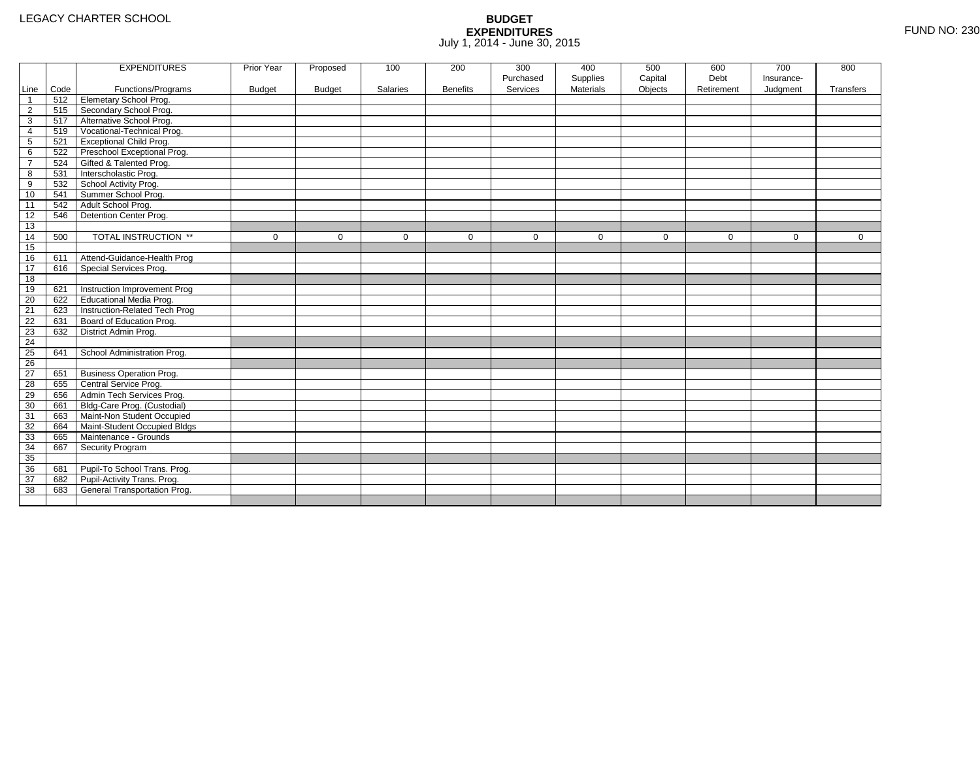|                 |      | <b>EXPENDITURES</b>             | Prior Year    | Proposed      | 100             | 200             | 300         | 400              | 500         | 600         | 700         | 800         |
|-----------------|------|---------------------------------|---------------|---------------|-----------------|-----------------|-------------|------------------|-------------|-------------|-------------|-------------|
|                 |      |                                 |               |               |                 |                 | Purchased   | Supplies         | Capital     | Debt        | Insurance-  |             |
| Line            | Code | Functions/Programs              | <b>Budget</b> | <b>Budget</b> | <b>Salaries</b> | <b>Benefits</b> | Services    | <b>Materials</b> | Objects     | Retirement  | Judgment    | Transfers   |
| $\mathbf{1}$    | 512  | Elemetary School Prog.          |               |               |                 |                 |             |                  |             |             |             |             |
| $\overline{2}$  | 515  | Secondary School Prog.          |               |               |                 |                 |             |                  |             |             |             |             |
| 3               | 517  | Alternative School Prog.        |               |               |                 |                 |             |                  |             |             |             |             |
| 4               | 519  | Vocational-Technical Prog.      |               |               |                 |                 |             |                  |             |             |             |             |
| 5               | 521  | <b>Exceptional Child Prog.</b>  |               |               |                 |                 |             |                  |             |             |             |             |
| 6               | 522  | Preschool Exceptional Prog.     |               |               |                 |                 |             |                  |             |             |             |             |
| $\overline{7}$  | 524  | Gifted & Talented Prog.         |               |               |                 |                 |             |                  |             |             |             |             |
| 8               | 531  | Interscholastic Prog.           |               |               |                 |                 |             |                  |             |             |             |             |
| 9               | 532  | School Activity Prog.           |               |               |                 |                 |             |                  |             |             |             |             |
| 10              | 541  | Summer School Prog.             |               |               |                 |                 |             |                  |             |             |             |             |
| 11              | 542  | Adult School Prog.              |               |               |                 |                 |             |                  |             |             |             |             |
| 12              | 546  | Detention Center Prog.          |               |               |                 |                 |             |                  |             |             |             |             |
| 13              |      |                                 |               |               |                 |                 |             |                  |             |             |             |             |
| 14              | 500  | TOTAL INSTRUCTION **            | $\mathbf 0$   | 0             | 0               | $\mathbf 0$     | $\mathbf 0$ | $\mathbf 0$      | $\mathbf 0$ | $\mathbf 0$ | $\mathbf 0$ | $\mathbf 0$ |
| 15              |      |                                 |               |               |                 |                 |             |                  |             |             |             |             |
| 16              | 611  | Attend-Guidance-Health Prog     |               |               |                 |                 |             |                  |             |             |             |             |
| 17              | 616  | Special Services Prog.          |               |               |                 |                 |             |                  |             |             |             |             |
| 18              |      |                                 |               |               |                 |                 |             |                  |             |             |             |             |
| 19              | 621  | Instruction Improvement Prog    |               |               |                 |                 |             |                  |             |             |             |             |
| 20              | 622  | <b>Educational Media Prog.</b>  |               |               |                 |                 |             |                  |             |             |             |             |
| 21              | 623  | Instruction-Related Tech Prog   |               |               |                 |                 |             |                  |             |             |             |             |
| 22              | 631  | Board of Education Prog.        |               |               |                 |                 |             |                  |             |             |             |             |
| 23              | 632  | District Admin Prog.            |               |               |                 |                 |             |                  |             |             |             |             |
| 24              |      |                                 |               |               |                 |                 |             |                  |             |             |             |             |
| 25              | 641  | School Administration Prog.     |               |               |                 |                 |             |                  |             |             |             |             |
| 26              |      |                                 |               |               |                 |                 |             |                  |             |             |             |             |
| $\overline{27}$ | 651  | <b>Business Operation Prog.</b> |               |               |                 |                 |             |                  |             |             |             |             |
| 28              | 655  | Central Service Prog.           |               |               |                 |                 |             |                  |             |             |             |             |
| 29              | 656  | Admin Tech Services Prog.       |               |               |                 |                 |             |                  |             |             |             |             |
| 30              | 661  | Bldg-Care Prog. (Custodial)     |               |               |                 |                 |             |                  |             |             |             |             |
| 31              | 663  | Maint-Non Student Occupied      |               |               |                 |                 |             |                  |             |             |             |             |
| 32              | 664  | Maint-Student Occupied Bldgs    |               |               |                 |                 |             |                  |             |             |             |             |
| 33              | 665  | Maintenance - Grounds           |               |               |                 |                 |             |                  |             |             |             |             |
| 34              | 667  | Security Program                |               |               |                 |                 |             |                  |             |             |             |             |
| 35              |      |                                 |               |               |                 |                 |             |                  |             |             |             |             |
| 36              | 681  | Pupil-To School Trans. Prog.    |               |               |                 |                 |             |                  |             |             |             |             |
| 37              | 682  | Pupil-Activity Trans. Prog.     |               |               |                 |                 |             |                  |             |             |             |             |
| 38              | 683  | General Transportation Prog.    |               |               |                 |                 |             |                  |             |             |             |             |
|                 |      |                                 |               |               |                 |                 |             |                  |             |             |             |             |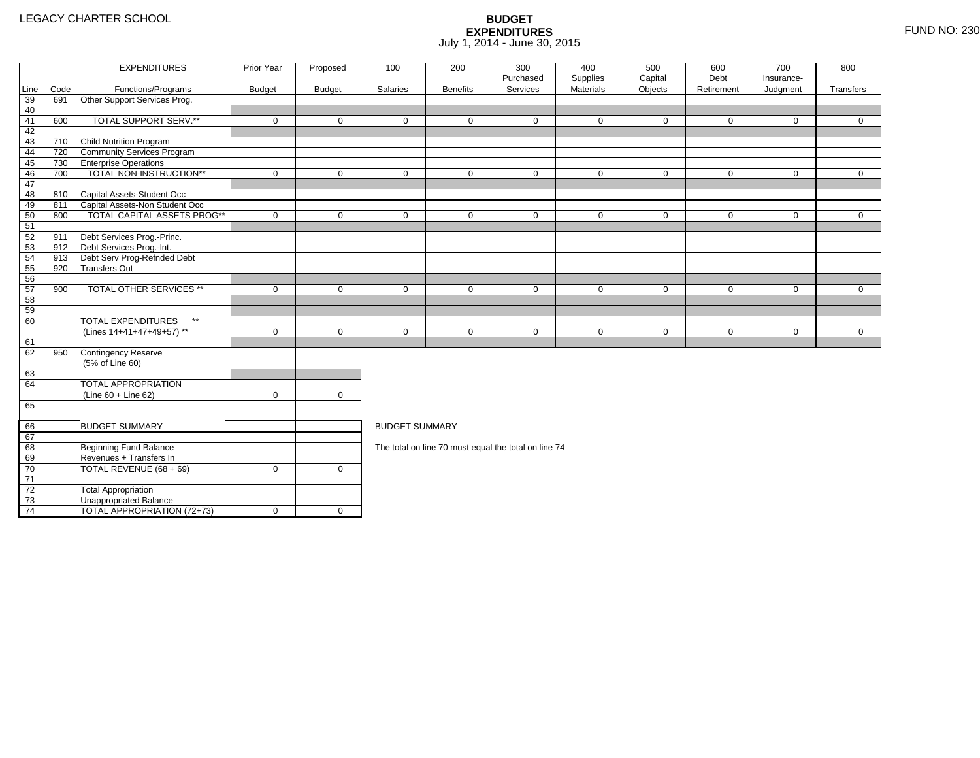4 | TOTAL APPROPRIATION (72+73) | 0 | 0

|                 |      | <b>EXPENDITURES</b>                       | Prior Year    | Proposed      | 100                   | 200             | 300<br>Purchased                                     | 400<br>Supplies | 500<br>Capital | 600<br>Debt | 700<br>Insurance- | 800          |
|-----------------|------|-------------------------------------------|---------------|---------------|-----------------------|-----------------|------------------------------------------------------|-----------------|----------------|-------------|-------------------|--------------|
| Line            | Code | Functions/Programs                        | <b>Budget</b> | <b>Budget</b> | Salaries              | <b>Benefits</b> | Services                                             | Materials       | Objects        | Retirement  | Judgment          | Transfers    |
| 39              | 691  | Other Support Services Prog.              |               |               |                       |                 |                                                      |                 |                |             |                   |              |
| 40              |      |                                           |               |               |                       |                 |                                                      |                 |                |             |                   |              |
| 41              | 600  | TOTAL SUPPORT SERV.**                     | $\mathbf 0$   | $\Omega$      | $\Omega$              | $\Omega$        | $\Omega$                                             | $\mathbf 0$     | $\mathbf 0$    | $\Omega$    | $\Omega$          | $\Omega$     |
| 42              |      |                                           |               |               |                       |                 |                                                      |                 |                |             |                   |              |
| 43              | 710  | Child Nutrition Program                   |               |               |                       |                 |                                                      |                 |                |             |                   |              |
| 44              |      | 720 Community Services Program            |               |               |                       |                 |                                                      |                 |                |             |                   |              |
| 45              | 730  | <b>Enterprise Operations</b>              |               |               |                       |                 |                                                      |                 |                |             |                   |              |
| 46              | 700  | TOTAL NON-INSTRUCTION**                   | $\mathbf 0$   | $\mathbf 0$   | $\mathbf 0$           | $\mathbf{0}$    | $\mathbf 0$                                          | $\mathbf 0$     | $\mathbf 0$    | $\mathbf 0$ | $\overline{0}$    | $\mathbf{0}$ |
| 47              |      |                                           |               |               |                       |                 |                                                      |                 |                |             |                   |              |
| 48              |      | 810 Capital Assets-Student Occ            |               |               |                       |                 |                                                      |                 |                |             |                   |              |
| 49              | 811  | Capital Assets-Non Student Occ            |               |               |                       |                 |                                                      |                 |                |             |                   |              |
| 50              | 800  | <b>TOTAL CAPITAL ASSETS PROG**</b>        | $\mathbf 0$   | $\mathbf 0$   | $\mathbf 0$           | 0               | $\mathbf 0$                                          | $\mathbf 0$     | $\mathbf 0$    | $\mathbf 0$ | $\mathbf 0$       | $\mathbf 0$  |
| 51              |      |                                           |               |               |                       |                 |                                                      |                 |                |             |                   |              |
| 52              | 911  | Debt Services Prog.-Princ.                |               |               |                       |                 |                                                      |                 |                |             |                   |              |
| 53              | 912  | Debt Services Prog.-Int.                  |               |               |                       |                 |                                                      |                 |                |             |                   |              |
| 54              | 913  | Debt Serv Prog-Refnded Debt               |               |               |                       |                 |                                                      |                 |                |             |                   |              |
| 55              | 920  | <b>Transfers Out</b>                      |               |               |                       |                 |                                                      |                 |                |             |                   |              |
| 56              |      |                                           |               |               |                       |                 |                                                      |                 |                |             |                   |              |
| 57              | 900  | <b>TOTAL OTHER SERVICES **</b>            | $\mathbf 0$   | $\mathbf 0$   | $\mathbf 0$           | $\mathbf 0$     | $\mathbf 0$                                          | $\mathbf 0$     | $\mathbf 0$    | $\mathbf 0$ | $\mathbf 0$       | $\mathbf{0}$ |
| 58              |      |                                           |               |               |                       |                 |                                                      |                 |                |             |                   |              |
| 59              |      |                                           |               |               |                       |                 |                                                      |                 |                |             |                   |              |
| 60              |      | <b>TOTAL EXPENDITURES</b><br>$\star\star$ |               |               |                       |                 |                                                      |                 |                |             |                   |              |
|                 |      | (Lines 14+41+47+49+57) **                 | $\mathbf 0$   | $\mathbf 0$   | 0                     | $\mathbf 0$     | $\mathbf 0$                                          | 0               | $\mathbf 0$    | $\mathbf 0$ | $\mathbf 0$       | $\mathbf 0$  |
| 61              |      |                                           |               |               |                       |                 |                                                      |                 |                |             |                   |              |
| 62              | 950  | Contingency Reserve                       |               |               |                       |                 |                                                      |                 |                |             |                   |              |
|                 |      | (5% of Line 60)                           |               |               |                       |                 |                                                      |                 |                |             |                   |              |
| 63              |      |                                           |               |               |                       |                 |                                                      |                 |                |             |                   |              |
| 64              |      | <b>TOTAL APPROPRIATION</b>                |               |               |                       |                 |                                                      |                 |                |             |                   |              |
|                 |      | $(Line 60 + Line 62)$                     | $\mathbf 0$   | $\mathbf 0$   |                       |                 |                                                      |                 |                |             |                   |              |
| 65              |      |                                           |               |               |                       |                 |                                                      |                 |                |             |                   |              |
| 66              |      | <b>BUDGET SUMMARY</b>                     |               |               | <b>BUDGET SUMMARY</b> |                 |                                                      |                 |                |             |                   |              |
| 67              |      |                                           |               |               |                       |                 |                                                      |                 |                |             |                   |              |
| 68              |      | Beginning Fund Balance                    |               |               |                       |                 | The total on line 70 must equal the total on line 74 |                 |                |             |                   |              |
| 69              |      | Revenues + Transfers In                   |               |               |                       |                 |                                                      |                 |                |             |                   |              |
| 70              |      | TOTAL REVENUE (68 + 69)                   | $\mathbf 0$   | $\mathbf 0$   |                       |                 |                                                      |                 |                |             |                   |              |
| $\overline{71}$ |      |                                           |               |               |                       |                 |                                                      |                 |                |             |                   |              |
| 72              |      | <b>Total Appropriation</b>                |               |               |                       |                 |                                                      |                 |                |             |                   |              |
| 73              |      | Unappropriated Balance                    |               |               |                       |                 |                                                      |                 |                |             |                   |              |
|                 |      |                                           |               |               |                       |                 |                                                      |                 |                |             |                   |              |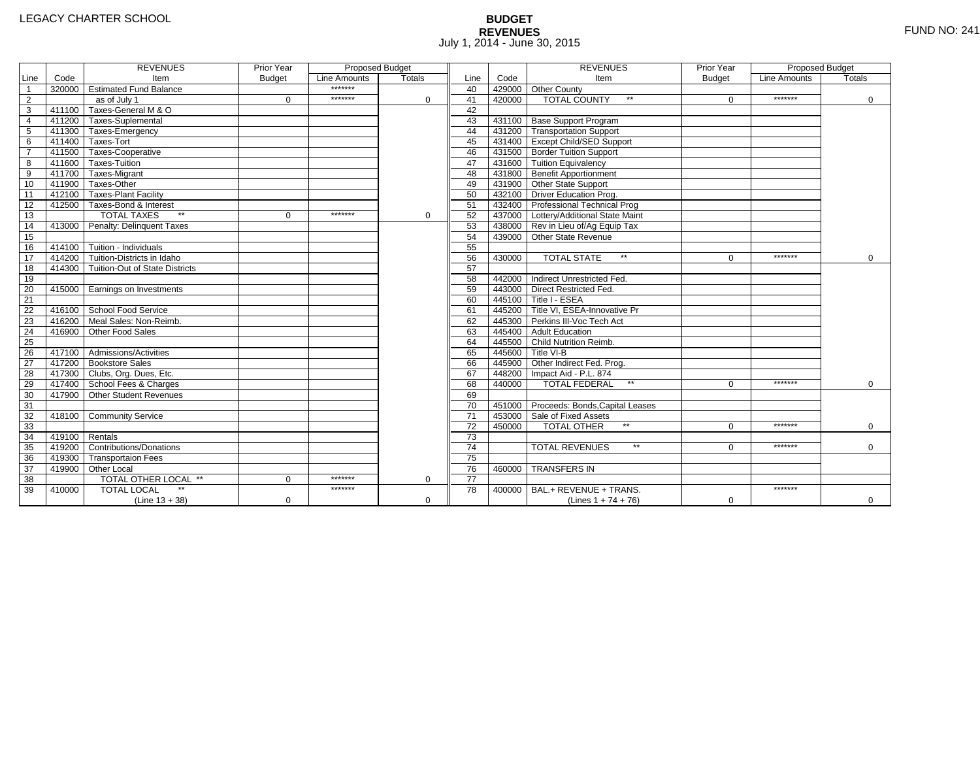# **BUDGET REVENUES** FUND NO: 241 July 1, 2014 - June 30, 2015

|                         |                | <b>REVENUES</b>                         | Prior Year    | <b>Proposed Budget</b> |               |                 |        | <b>REVENUES</b>                        | Prior Year    | Proposed Budget |             |
|-------------------------|----------------|-----------------------------------------|---------------|------------------------|---------------|-----------------|--------|----------------------------------------|---------------|-----------------|-------------|
| Line                    | Code           | Item                                    | <b>Budget</b> | Line Amounts           | <b>Totals</b> | Line            | Code   | Item                                   | <b>Budget</b> | Line Amounts    | Totals      |
| $\overline{1}$          |                | 320000 Estimated Fund Balance           |               | *******                |               | 40              |        | 429000 Other County                    |               |                 |             |
| $\overline{2}$          |                | as of July 1                            | $\Omega$      | *******                | $\Omega$      | 41              | 420000 | <b>TOTAL COUNTY</b><br>$\star\star$    | $\Omega$      | *******         | $\mathbf 0$ |
| $\overline{\mathbf{3}}$ |                | 411100 Taxes-General M & O              |               |                        |               | 42              |        |                                        |               |                 |             |
| $\overline{4}$          |                | 411200 Taxes-Suplemental                |               |                        |               | 43              |        | 431100 Base Support Program            |               |                 |             |
| $\overline{5}$          |                | 411300 Taxes-Emergency                  |               |                        |               | 44              |        | 431200 Transportation Support          |               |                 |             |
| 6                       |                | 411400 Taxes-Tort                       |               |                        |               | 45              |        | 431400 Except Child/SED Support        |               |                 |             |
| $\overline{7}$          |                | 411500 Taxes-Cooperative                |               |                        |               | 46              |        | 431500 Border Tuition Support          |               |                 |             |
| 8                       |                | 411600 Taxes-Tuition                    |               |                        |               | 47              |        | 431600 Tuition Equivalency             |               |                 |             |
| 9                       |                | 411700 Taxes-Migrant                    |               |                        |               | 48              |        | 431800 Benefit Apportionment           |               |                 |             |
| 10                      |                | 411900 Taxes-Other                      |               |                        |               | 49              |        | 431900 Other State Support             |               |                 |             |
| 11                      |                | 412100 Taxes-Plant Facility             |               |                        |               | 50              |        | 432100 Driver Education Prog.          |               |                 |             |
| 12                      |                | 412500 Taxes-Bond & Interest            |               |                        |               | 51              |        | 432400 Professional Technical Prog     |               |                 |             |
| 13                      |                | <b>TOTAL TAXES</b>                      | $\Omega$      | *******                | 0             | 52              |        | 437000 Lottery/Additional State Maint  |               |                 |             |
| 14                      |                | 413000 Penalty: Delinguent Taxes        |               |                        |               | 53              |        | 438000 Rev in Lieu of/Ag Equip Tax     |               |                 |             |
| 15                      |                |                                         |               |                        |               | 54              |        | 439000 Other State Revenue             |               |                 |             |
| 16                      |                | 414100 Tuition - Individuals            |               |                        |               | 55              |        |                                        |               |                 |             |
| 17                      |                | 414200 Tuition-Districts in Idaho       |               |                        |               | 56              | 430000 | <b>TOTAL STATE</b><br>$\star\star$     | $\Omega$      | *******         | 0           |
| $\overline{18}$         |                | 414300   Tuition-Out of State Districts |               |                        |               | 57              |        |                                        |               |                 |             |
| 19                      |                |                                         |               |                        |               | 58              |        | 442000 Indirect Unrestricted Fed.      |               |                 |             |
| 20                      |                | 415000 Earnings on Investments          |               |                        |               | 59              |        | 443000 Direct Restricted Fed.          |               |                 |             |
| 21                      |                |                                         |               |                        |               | 60              |        | 445100 Title I - ESEA                  |               |                 |             |
| 22                      |                | 416100 School Food Service              |               |                        |               | 61              |        | 445200 Title VI. ESEA-Innovative Pr    |               |                 |             |
| 23                      |                | 416200 Meal Sales: Non-Reimb.           |               |                        |               | 62              |        | 445300 Perkins III-Voc Tech Act        |               |                 |             |
| 24                      |                | 416900 Other Food Sales                 |               |                        |               | 63              |        | 445400 Adult Education                 |               |                 |             |
| $\overline{25}$         |                |                                         |               |                        |               | 64              |        | 445500 Child Nutrition Reimb.          |               |                 |             |
| 26                      |                | 417100 Admissions/Activities            |               |                        |               | 65              |        | 445600 Title VI-B                      |               |                 |             |
| $\overline{27}$         |                | 417200 Bookstore Sales                  |               |                        |               | 66              |        | 445900 Other Indirect Fed. Prog.       |               |                 |             |
| 28                      |                | 417300 Clubs, Org. Dues, Etc.           |               |                        |               | 67              |        | 448200 Impact Aid - P.L. 874           |               |                 |             |
| 29                      |                | 417400 School Fees & Charges            |               |                        |               | 68              | 440000 | <b>TOTAL FEDERAL</b><br>$\star\star$   | $\Omega$      | *******         | $\Omega$    |
| 30                      | 417900         | Other Student Revenues                  |               |                        |               | 69              |        |                                        |               |                 |             |
| 31                      |                |                                         |               |                        |               | 70              |        | 451000 Proceeds: Bonds, Capital Leases |               |                 |             |
| 32                      |                | 418100 Community Service                |               |                        |               | $\overline{71}$ |        | 453000 Sale of Fixed Assets            |               |                 |             |
| 33                      |                |                                         |               |                        |               | 72              | 450000 | <b>TOTAL OTHER</b>                     | $\Omega$      | *******         | $\mathbf 0$ |
| 34                      | 419100 Rentals |                                         |               |                        |               | $\overline{73}$ |        |                                        |               |                 |             |
| 35                      |                | 419200 Contributions/Donations          |               |                        |               | $\overline{74}$ |        | $\star\star$<br><b>TOTAL REVENUES</b>  | 0             | *******         | $\Omega$    |
| 36                      |                | 419300 Transportaion Fees               |               |                        |               | $\overline{75}$ |        |                                        |               |                 |             |
| 37                      |                | 419900 Other Local                      |               |                        |               | 76              | 460000 | <b>TRANSFERS IN</b>                    |               |                 |             |
| 38                      |                | TOTAL OTHER LOCAL **                    | $\Omega$      | *******                | $\mathbf 0$   | 77              |        |                                        |               |                 |             |
| 39                      | 410000         | <b>TOTAL LOCAL</b>                      |               | *******                |               | 78              | 400000 | BAL.+ REVENUE + TRANS.                 |               | *******         |             |
|                         |                | $(Line 13 + 38)$                        | $\mathbf 0$   |                        | $\mathbf 0$   |                 |        | (Lines $1 + 74 + 76$ )                 | $\mathbf 0$   |                 | 0           |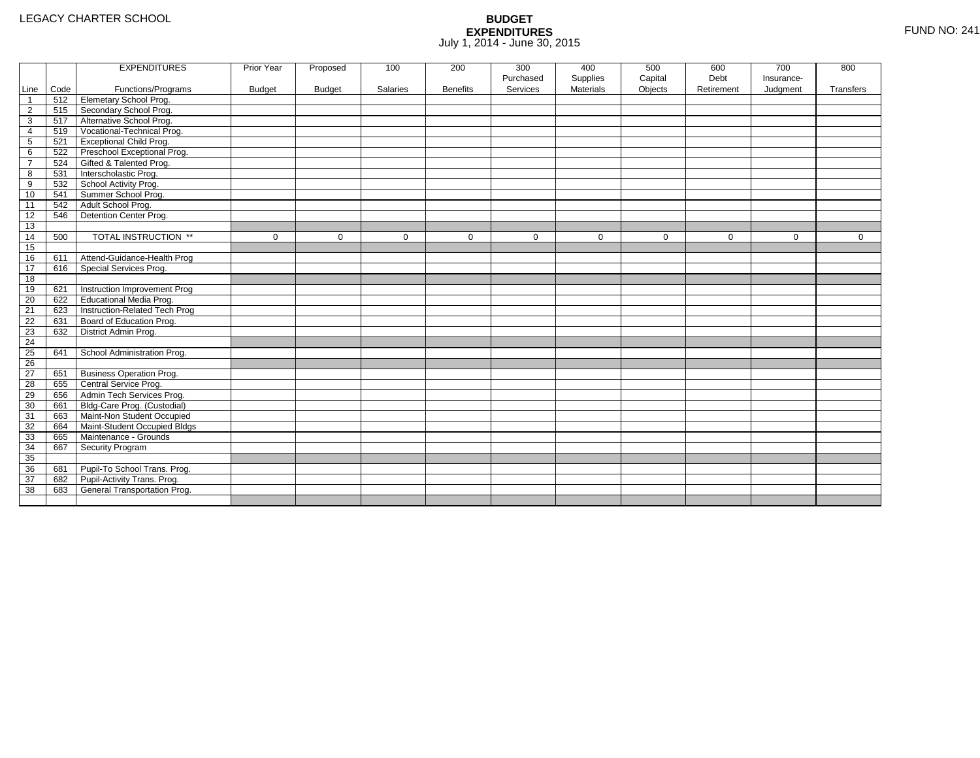|                |      | <b>EXPENDITURES</b>             | Prior Year    | Proposed      | 100      | 200             | 300       | 400              | 500         | 600         | 700        | 800         |
|----------------|------|---------------------------------|---------------|---------------|----------|-----------------|-----------|------------------|-------------|-------------|------------|-------------|
|                |      |                                 |               |               |          |                 | Purchased | Supplies         | Capital     | Debt        | Insurance- |             |
| Line           | Code | Functions/Programs              | <b>Budget</b> | <b>Budget</b> | Salaries | <b>Benefits</b> | Services  | <b>Materials</b> | Objects     | Retirement  | Judgment   | Transfers   |
| $\mathbf 1$    | 512  | <b>Elemetary School Prog.</b>   |               |               |          |                 |           |                  |             |             |            |             |
| $\overline{2}$ | 515  | Secondary School Prog.          |               |               |          |                 |           |                  |             |             |            |             |
| 3              | 517  | Alternative School Prog.        |               |               |          |                 |           |                  |             |             |            |             |
| 4              | 519  | Vocational-Technical Prog.      |               |               |          |                 |           |                  |             |             |            |             |
| 5              | 521  | <b>Exceptional Child Prog.</b>  |               |               |          |                 |           |                  |             |             |            |             |
| 6              | 522  | Preschool Exceptional Prog.     |               |               |          |                 |           |                  |             |             |            |             |
| $\overline{7}$ | 524  | Gifted & Talented Prog.         |               |               |          |                 |           |                  |             |             |            |             |
| 8              | 531  | Interscholastic Prog.           |               |               |          |                 |           |                  |             |             |            |             |
| 9              | 532  | School Activity Prog.           |               |               |          |                 |           |                  |             |             |            |             |
| 10             | 541  | Summer School Prog.             |               |               |          |                 |           |                  |             |             |            |             |
| 11             | 542  | Adult School Prog.              |               |               |          |                 |           |                  |             |             |            |             |
| 12             | 546  | Detention Center Prog.          |               |               |          |                 |           |                  |             |             |            |             |
| 13             |      |                                 |               |               |          |                 |           |                  |             |             |            |             |
| 14             | 500  | TOTAL INSTRUCTION **            | $\mathbf 0$   | $\Omega$      | $\Omega$ | $\mathbf{0}$    | $\Omega$  | $\mathbf{0}$     | $\mathbf 0$ | $\mathbf 0$ | $\Omega$   | $\mathbf 0$ |
| 15             |      |                                 |               |               |          |                 |           |                  |             |             |            |             |
| 16             | 611  | Attend-Guidance-Health Prog     |               |               |          |                 |           |                  |             |             |            |             |
| 17             | 616  | Special Services Prog.          |               |               |          |                 |           |                  |             |             |            |             |
| 18             |      |                                 |               |               |          |                 |           |                  |             |             |            |             |
| 19             | 621  | Instruction Improvement Prog    |               |               |          |                 |           |                  |             |             |            |             |
| 20             | 622  | <b>Educational Media Prog.</b>  |               |               |          |                 |           |                  |             |             |            |             |
| 21             | 623  | Instruction-Related Tech Prog   |               |               |          |                 |           |                  |             |             |            |             |
| 22             | 631  | Board of Education Prog.        |               |               |          |                 |           |                  |             |             |            |             |
| 23             | 632  | District Admin Prog.            |               |               |          |                 |           |                  |             |             |            |             |
| 24             |      |                                 |               |               |          |                 |           |                  |             |             |            |             |
| 25             | 641  | School Administration Prog.     |               |               |          |                 |           |                  |             |             |            |             |
| 26             |      |                                 |               |               |          |                 |           |                  |             |             |            |             |
| 27             | 651  | <b>Business Operation Prog.</b> |               |               |          |                 |           |                  |             |             |            |             |
| 28             | 655  | Central Service Prog.           |               |               |          |                 |           |                  |             |             |            |             |
| 29             | 656  | Admin Tech Services Prog.       |               |               |          |                 |           |                  |             |             |            |             |
| 30             | 661  | Bldg-Care Prog. (Custodial)     |               |               |          |                 |           |                  |             |             |            |             |
| 31             | 663  | Maint-Non Student Occupied      |               |               |          |                 |           |                  |             |             |            |             |
| 32             | 664  | Maint-Student Occupied Bldgs    |               |               |          |                 |           |                  |             |             |            |             |
| 33             | 665  | Maintenance - Grounds           |               |               |          |                 |           |                  |             |             |            |             |
| 34             | 667  | Security Program                |               |               |          |                 |           |                  |             |             |            |             |
| 35             |      |                                 |               |               |          |                 |           |                  |             |             |            |             |
| 36             | 681  | Pupil-To School Trans. Prog.    |               |               |          |                 |           |                  |             |             |            |             |
| 37             | 682  | Pupil-Activity Trans. Prog.     |               |               |          |                 |           |                  |             |             |            |             |
| 38             | 683  | General Transportation Prog.    |               |               |          |                 |           |                  |             |             |            |             |
|                |      |                                 |               |               |          |                 |           |                  |             |             |            |             |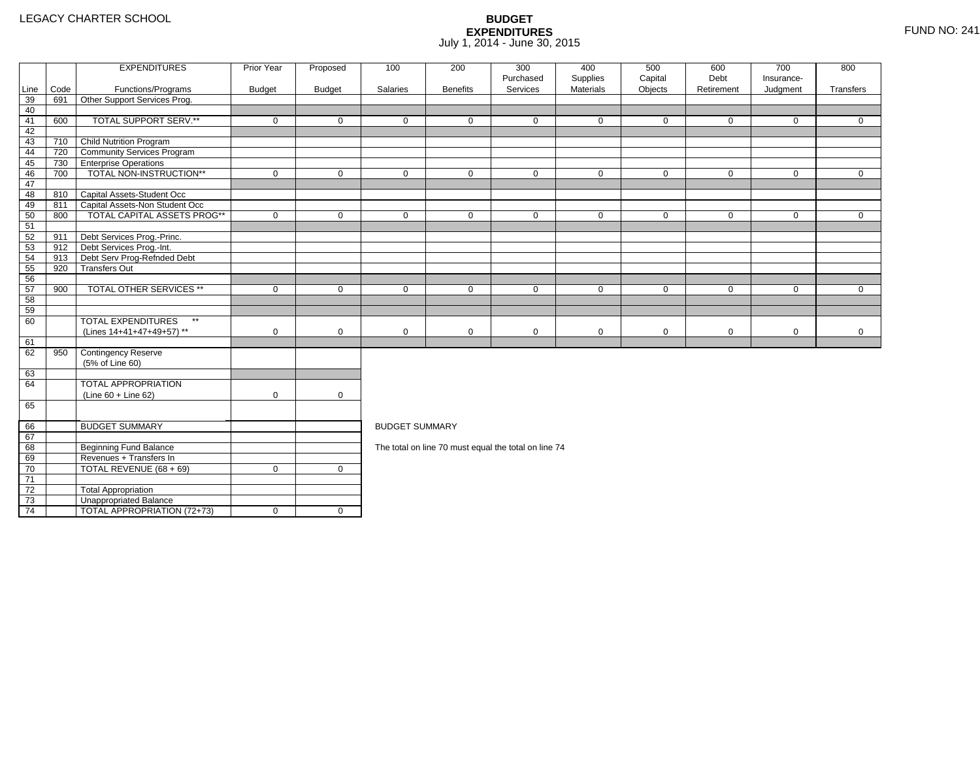4 | TOTAL APPROPRIATION (72+73) | 0 | 0

|      |      | <b>EXPENDITURES</b>                       | Prior Year  | Proposed       | 100                   | 200             | 300<br>Purchased                                     | 400<br>Supplies | 500<br>Capital | 600<br>Debt | 700<br>Insurance- | 800          |  |  |
|------|------|-------------------------------------------|-------------|----------------|-----------------------|-----------------|------------------------------------------------------|-----------------|----------------|-------------|-------------------|--------------|--|--|
| Line | Code | Functions/Programs                        | Budget      | <b>Budget</b>  | Salaries              | <b>Benefits</b> | Services                                             | Materials       | Objects        | Retirement  | Judgment          | Transfers    |  |  |
| 39   | 691  | Other Support Services Prog.              |             |                |                       |                 |                                                      |                 |                |             |                   |              |  |  |
| 40   |      |                                           |             |                |                       |                 |                                                      |                 |                |             |                   |              |  |  |
| 41   | 600  | <b>TOTAL SUPPORT SERV.**</b>              | $\mathbf 0$ | $\mathbf 0$    | $\mathbf 0$           | $\mathbf 0$     | $\mathbf{0}$                                         | $\mathbf 0$     | $\mathbf 0$    | $\mathbf 0$ | $\mathbf 0$       | $\mathbf 0$  |  |  |
| 42   |      |                                           |             |                |                       |                 |                                                      |                 |                |             |                   |              |  |  |
| 43   | 710  | <b>Child Nutrition Program</b>            |             |                |                       |                 |                                                      |                 |                |             |                   |              |  |  |
| 44   | 720  | <b>Community Services Program</b>         |             |                |                       |                 |                                                      |                 |                |             |                   |              |  |  |
| 45   | 730  | <b>Enterprise Operations</b>              |             |                |                       |                 |                                                      |                 |                |             |                   |              |  |  |
| 46   | 700  | TOTAL NON-INSTRUCTION**                   | $\mathbf 0$ | $\mathbf 0$    | $\mathbf 0$           | $\mathbf 0$     | $\mathbf 0$                                          | $\mathbf 0$     | $\mathbf 0$    | $\mathbf 0$ | $\mathbf{0}$      | $\mathbf 0$  |  |  |
| 47   |      |                                           |             |                |                       |                 |                                                      |                 |                |             |                   |              |  |  |
| 48   |      | 810 Capital Assets-Student Occ            |             |                |                       |                 |                                                      |                 |                |             |                   |              |  |  |
| 49   | 811  | Capital Assets-Non Student Occ            |             |                |                       |                 |                                                      |                 |                |             |                   |              |  |  |
| 50   | 800  | <b>TOTAL CAPITAL ASSETS PROG**</b>        | $\mathbf 0$ | $\mathbf 0$    | $\mathbf 0$           | $\mathbf 0$     | $\mathbf 0$                                          | $\mathbf 0$     | $\mathbf 0$    | $\mathbf 0$ | $\mathbf 0$       | $\mathbf 0$  |  |  |
| 51   |      |                                           |             |                |                       |                 |                                                      |                 |                |             |                   |              |  |  |
| 52   | 911  | Debt Services Prog.-Princ.                |             |                |                       |                 |                                                      |                 |                |             |                   |              |  |  |
| 53   | 912  | Debt Services Prog.-Int.                  |             |                |                       |                 |                                                      |                 |                |             |                   |              |  |  |
| 54   | 913  | Debt Serv Prog-Refnded Debt               |             |                |                       |                 |                                                      |                 |                |             |                   |              |  |  |
| 55   | 920  | <b>Transfers Out</b>                      |             |                |                       |                 |                                                      |                 |                |             |                   |              |  |  |
| 56   |      |                                           |             |                |                       |                 |                                                      |                 |                |             |                   |              |  |  |
| 57   | 900  | <b>TOTAL OTHER SERVICES **</b>            | $\mathbf 0$ | $\mathbf 0$    | $\mathbf{0}$          | $\mathbf 0$     | $\mathbf 0$                                          | $\mathbf 0$     | $\mathbf 0$    | $\mathbf 0$ | $\mathbf 0$       | $\mathbf{0}$ |  |  |
| 58   |      |                                           |             |                |                       |                 |                                                      |                 |                |             |                   |              |  |  |
| 59   |      |                                           |             |                |                       |                 |                                                      |                 |                |             |                   |              |  |  |
| 60   |      | <b>TOTAL EXPENDITURES</b><br>$\star\star$ |             |                |                       |                 |                                                      |                 |                |             |                   |              |  |  |
|      |      | (Lines 14+41+47+49+57) **                 | 0           | $\mathbf 0$    | 0                     | $\mathbf 0$     | $\mathbf 0$                                          | $\mathbf 0$     | 0              | $\mathbf 0$ | $\mathbf 0$       | $\mathbf 0$  |  |  |
| 61   |      |                                           |             |                |                       |                 |                                                      |                 |                |             |                   |              |  |  |
| 62   | 950  | Contingency Reserve                       |             |                |                       |                 |                                                      |                 |                |             |                   |              |  |  |
|      |      | (5% of Line 60)                           |             |                |                       |                 |                                                      |                 |                |             |                   |              |  |  |
| 63   |      |                                           |             |                |                       |                 |                                                      |                 |                |             |                   |              |  |  |
| 64   |      | TOTAL APPROPRIATION                       |             |                |                       |                 |                                                      |                 |                |             |                   |              |  |  |
|      |      | $(Line 60 + Line 62)$                     | $\mathsf 0$ | 0              |                       |                 |                                                      |                 |                |             |                   |              |  |  |
| 65   |      |                                           |             |                |                       |                 |                                                      |                 |                |             |                   |              |  |  |
| 66   |      | <b>BUDGET SUMMARY</b>                     |             |                | <b>BUDGET SUMMARY</b> |                 |                                                      |                 |                |             |                   |              |  |  |
| 67   |      |                                           |             |                |                       |                 |                                                      |                 |                |             |                   |              |  |  |
| 68   |      | <b>Beginning Fund Balance</b>             |             |                |                       |                 | The total on line 70 must equal the total on line 74 |                 |                |             |                   |              |  |  |
| 69   |      | Revenues + Transfers In                   |             |                |                       |                 |                                                      |                 |                |             |                   |              |  |  |
| 70   |      | TOTAL REVENUE (68 + 69)                   | $\mathbf 0$ | $\overline{0}$ |                       |                 |                                                      |                 |                |             |                   |              |  |  |
| 71   |      |                                           |             |                |                       |                 |                                                      |                 |                |             |                   |              |  |  |
| 72   |      | <b>Total Appropriation</b>                |             |                |                       |                 |                                                      |                 |                |             |                   |              |  |  |
| 73   |      | Unappropriated Balance                    |             |                |                       |                 |                                                      |                 |                |             |                   |              |  |  |
|      |      |                                           |             |                |                       |                 |                                                      |                 |                |             |                   |              |  |  |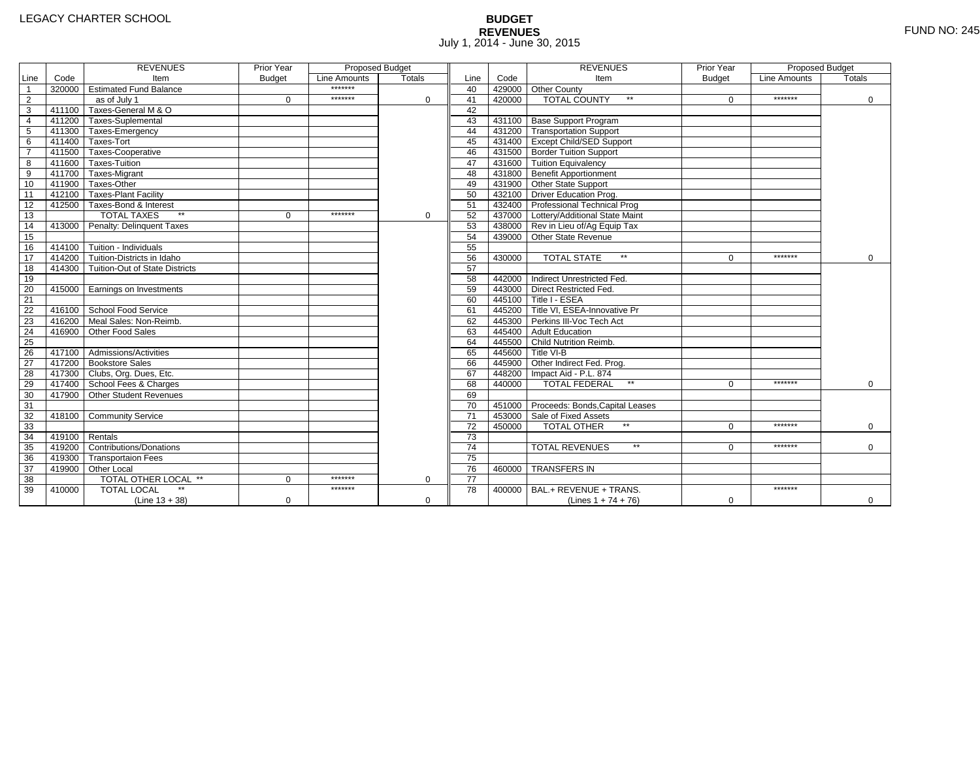# **BUDGET REVENUES** FUND NO: 245 July 1, 2014 - June 30, 2015

|                         |                | <b>REVENUES</b>                         | Prior Year    | <b>Proposed Budget</b> |               |                 |        | <b>REVENUES</b>                        | Prior Year    | Proposed Budget |             |
|-------------------------|----------------|-----------------------------------------|---------------|------------------------|---------------|-----------------|--------|----------------------------------------|---------------|-----------------|-------------|
| Line                    | Code           | Item                                    | <b>Budget</b> | Line Amounts           | <b>Totals</b> | Line            | Code   | Item                                   | <b>Budget</b> | Line Amounts    | Totals      |
| $\overline{1}$          |                | 320000 Estimated Fund Balance           |               | *******                |               | 40              |        | 429000 Other County                    |               |                 |             |
| $\overline{2}$          |                | as of July 1                            | $\Omega$      | *******                | $\Omega$      | 41              | 420000 | <b>TOTAL COUNTY</b><br>$\star\star$    | $\Omega$      | *******         | $\mathbf 0$ |
| $\overline{\mathbf{3}}$ |                | 411100 Taxes-General M & O              |               |                        |               | 42              |        |                                        |               |                 |             |
| $\overline{4}$          |                | 411200 Taxes-Suplemental                |               |                        |               | 43              |        | 431100 Base Support Program            |               |                 |             |
| $\overline{5}$          |                | 411300 Taxes-Emergency                  |               |                        |               | 44              |        | 431200 Transportation Support          |               |                 |             |
| 6                       |                | 411400 Taxes-Tort                       |               |                        |               | 45              |        | 431400 Except Child/SED Support        |               |                 |             |
| $\overline{7}$          |                | 411500 Taxes-Cooperative                |               |                        |               | 46              |        | 431500 Border Tuition Support          |               |                 |             |
| 8                       |                | 411600 Taxes-Tuition                    |               |                        |               | 47              |        | 431600 Tuition Equivalency             |               |                 |             |
| 9                       |                | 411700 Taxes-Migrant                    |               |                        |               | 48              |        | 431800 Benefit Apportionment           |               |                 |             |
| 10                      |                | 411900 Taxes-Other                      |               |                        |               | 49              |        | 431900 Other State Support             |               |                 |             |
| 11                      |                | 412100 Taxes-Plant Facility             |               |                        |               | 50              |        | 432100 Driver Education Prog.          |               |                 |             |
| 12                      |                | 412500 Taxes-Bond & Interest            |               |                        |               | 51              |        | 432400 Professional Technical Prog     |               |                 |             |
| 13                      |                | <b>TOTAL TAXES</b>                      | $\Omega$      | *******                | 0             | 52              |        | 437000 Lottery/Additional State Maint  |               |                 |             |
| 14                      |                | 413000 Penalty: Delinguent Taxes        |               |                        |               | 53              |        | 438000 Rev in Lieu of/Ag Equip Tax     |               |                 |             |
| 15                      |                |                                         |               |                        |               | 54              |        | 439000 Other State Revenue             |               |                 |             |
| 16                      |                | 414100 Tuition - Individuals            |               |                        |               | 55              |        |                                        |               |                 |             |
| 17                      |                | 414200 Tuition-Districts in Idaho       |               |                        |               | 56              | 430000 | <b>TOTAL STATE</b><br>$\star\star$     | $\Omega$      | *******         | $\mathbf 0$ |
| $\overline{18}$         |                | 414300   Tuition-Out of State Districts |               |                        |               | 57              |        |                                        |               |                 |             |
| 19                      |                |                                         |               |                        |               | 58              |        | 442000 Indirect Unrestricted Fed.      |               |                 |             |
| 20                      |                | 415000 Earnings on Investments          |               |                        |               | 59              |        | 443000 Direct Restricted Fed.          |               |                 |             |
| 21                      |                |                                         |               |                        |               | 60              |        | 445100 Title I - ESEA                  |               |                 |             |
| 22                      |                | 416100 School Food Service              |               |                        |               | 61              |        | 445200 Title VI. ESEA-Innovative Pr    |               |                 |             |
| 23                      |                | 416200 Meal Sales: Non-Reimb.           |               |                        |               | 62              |        | 445300 Perkins III-Voc Tech Act        |               |                 |             |
| 24                      |                | 416900 Other Food Sales                 |               |                        |               | 63              |        | 445400 Adult Education                 |               |                 |             |
| $\overline{25}$         |                |                                         |               |                        |               | 64              |        | 445500 Child Nutrition Reimb.          |               |                 |             |
| 26                      |                | 417100 Admissions/Activities            |               |                        |               | 65              |        | 445600 Title VI-B                      |               |                 |             |
| $\overline{27}$         |                | 417200 Bookstore Sales                  |               |                        |               | 66              |        | 445900 Other Indirect Fed. Prog.       |               |                 |             |
| 28                      |                | 417300 Clubs, Org. Dues, Etc.           |               |                        |               | 67              |        | 448200 Impact Aid - P.L. 874           |               |                 |             |
| 29                      |                | 417400 School Fees & Charges            |               |                        |               | 68              | 440000 | <b>TOTAL FEDERAL</b><br>$\star\star$   | $\Omega$      | *******         | $\Omega$    |
| 30                      | 417900         | Other Student Revenues                  |               |                        |               | 69              |        |                                        |               |                 |             |
| 31                      |                |                                         |               |                        |               | 70              |        | 451000 Proceeds: Bonds, Capital Leases |               |                 |             |
| 32                      |                | 418100 Community Service                |               |                        |               | $\overline{71}$ |        | 453000 Sale of Fixed Assets            |               |                 |             |
| 33                      |                |                                         |               |                        |               | 72              | 450000 | <b>TOTAL OTHER</b>                     | $\Omega$      | *******         | $\mathbf 0$ |
| 34                      | 419100 Rentals |                                         |               |                        |               | $\overline{73}$ |        |                                        |               |                 |             |
| 35                      |                | 419200 Contributions/Donations          |               |                        |               | $\overline{74}$ |        | $\star\star$<br><b>TOTAL REVENUES</b>  | 0             | *******         | $\Omega$    |
| 36                      |                | 419300 Transportaion Fees               |               |                        |               | $\overline{75}$ |        |                                        |               |                 |             |
| 37                      |                | 419900 Other Local                      |               |                        |               | 76              | 460000 | <b>TRANSFERS IN</b>                    |               |                 |             |
| 38                      |                | TOTAL OTHER LOCAL **                    | $\Omega$      | *******                | $\mathbf 0$   | 77              |        |                                        |               |                 |             |
| 39                      | 410000         | <b>TOTAL LOCAL</b>                      |               | *******                |               | 78              | 400000 | BAL.+ REVENUE + TRANS.                 |               | *******         |             |
|                         |                | $(Line 13 + 38)$                        | $\mathbf 0$   |                        | $\mathbf 0$   |                 |        | (Lines $1 + 74 + 76$ )                 | $\mathbf 0$   |                 | 0           |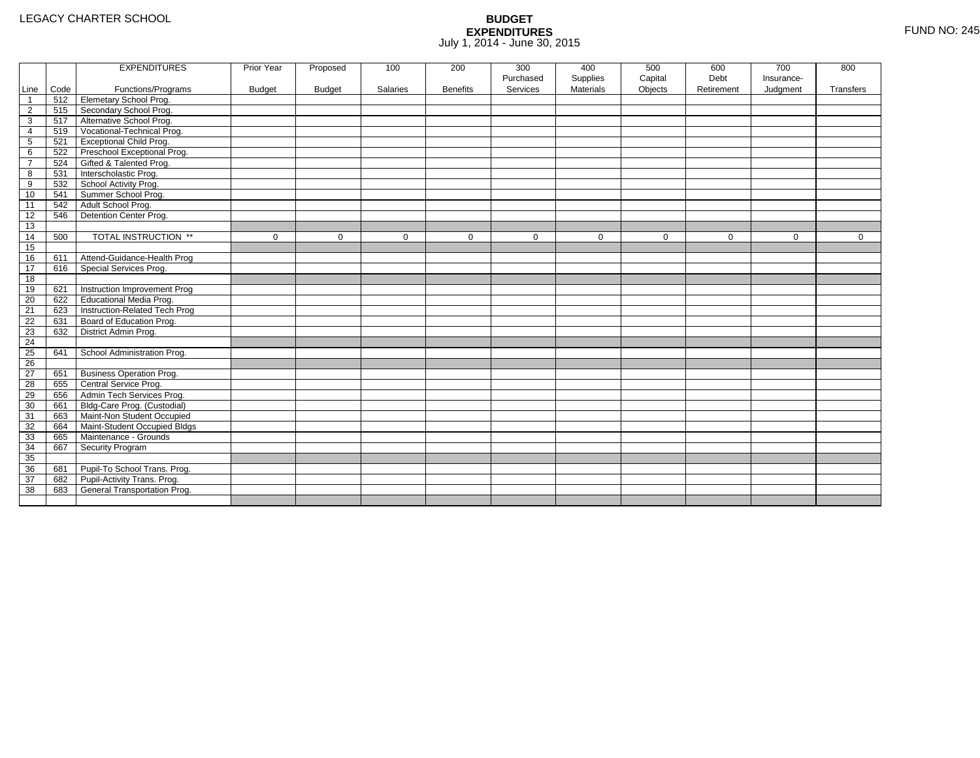|                 |      | <b>EXPENDITURES</b>             | Prior Year    | Proposed      | 100         | 200             | 300         | 400              | 500         | 600         | 700         | 800          |
|-----------------|------|---------------------------------|---------------|---------------|-------------|-----------------|-------------|------------------|-------------|-------------|-------------|--------------|
|                 |      |                                 |               |               |             |                 | Purchased   | Supplies         | Capital     | Debt        | Insurance-  |              |
| Line            | Code | Functions/Programs              | <b>Budget</b> | <b>Budget</b> | Salaries    | <b>Benefits</b> | Services    | <b>Materials</b> | Objects     | Retirement  | Judgment    | Transfers    |
| $\overline{1}$  | 512  | <b>Elemetary School Prog.</b>   |               |               |             |                 |             |                  |             |             |             |              |
| $\overline{2}$  | 515  | Secondary School Prog.          |               |               |             |                 |             |                  |             |             |             |              |
| 3               | 517  | Alternative School Prog.        |               |               |             |                 |             |                  |             |             |             |              |
| 4               | 519  | Vocational-Technical Prog.      |               |               |             |                 |             |                  |             |             |             |              |
| $5\phantom{.0}$ | 521  | <b>Exceptional Child Prog.</b>  |               |               |             |                 |             |                  |             |             |             |              |
| 6               | 522  | Preschool Exceptional Prog.     |               |               |             |                 |             |                  |             |             |             |              |
| $\overline{7}$  | 524  | Gifted & Talented Prog.         |               |               |             |                 |             |                  |             |             |             |              |
| 8               | 531  | Interscholastic Prog.           |               |               |             |                 |             |                  |             |             |             |              |
| 9               | 532  | School Activity Prog.           |               |               |             |                 |             |                  |             |             |             |              |
| 10              | 541  | Summer School Prog.             |               |               |             |                 |             |                  |             |             |             |              |
| 11              | 542  | Adult School Prog.              |               |               |             |                 |             |                  |             |             |             |              |
| 12              | 546  | Detention Center Prog.          |               |               |             |                 |             |                  |             |             |             |              |
| 13              |      |                                 |               |               |             |                 |             |                  |             |             |             |              |
| 14              | 500  | TOTAL INSTRUCTION **            | $\mathbf 0$   | $\Omega$      | $\mathbf 0$ | $\mathbf 0$     | $\mathbf 0$ | $\mathbf 0$      | $\mathbf 0$ | $\mathbf 0$ | $\mathbf 0$ | $\mathbf{0}$ |
| 15              |      |                                 |               |               |             |                 |             |                  |             |             |             |              |
| 16              | 611  | Attend-Guidance-Health Prog     |               |               |             |                 |             |                  |             |             |             |              |
| 17              | 616  | Special Services Prog.          |               |               |             |                 |             |                  |             |             |             |              |
| 18              |      |                                 |               |               |             |                 |             |                  |             |             |             |              |
| 19              | 621  | Instruction Improvement Prog    |               |               |             |                 |             |                  |             |             |             |              |
| 20              | 622  | Educational Media Prog.         |               |               |             |                 |             |                  |             |             |             |              |
| 21              | 623  | Instruction-Related Tech Prog   |               |               |             |                 |             |                  |             |             |             |              |
| 22              | 631  | Board of Education Prog.        |               |               |             |                 |             |                  |             |             |             |              |
| 23              | 632  | District Admin Prog.            |               |               |             |                 |             |                  |             |             |             |              |
| 24              |      |                                 |               |               |             |                 |             |                  |             |             |             |              |
| 25              | 641  | School Administration Prog.     |               |               |             |                 |             |                  |             |             |             |              |
| $\overline{26}$ |      |                                 |               |               |             |                 |             |                  |             |             |             |              |
| 27              | 651  | <b>Business Operation Prog.</b> |               |               |             |                 |             |                  |             |             |             |              |
| 28              | 655  | Central Service Prog.           |               |               |             |                 |             |                  |             |             |             |              |
| 29              | 656  | Admin Tech Services Prog.       |               |               |             |                 |             |                  |             |             |             |              |
| 30              | 661  | Bldg-Care Prog. (Custodial)     |               |               |             |                 |             |                  |             |             |             |              |
| 31              | 663  | Maint-Non Student Occupied      |               |               |             |                 |             |                  |             |             |             |              |
| 32              | 664  | Maint-Student Occupied Bldgs    |               |               |             |                 |             |                  |             |             |             |              |
| 33              | 665  | Maintenance - Grounds           |               |               |             |                 |             |                  |             |             |             |              |
| 34              | 667  | Security Program                |               |               |             |                 |             |                  |             |             |             |              |
| 35              |      |                                 |               |               |             |                 |             |                  |             |             |             |              |
| 36              | 681  | Pupil-To School Trans. Prog.    |               |               |             |                 |             |                  |             |             |             |              |
| 37              | 682  | Pupil-Activity Trans. Prog.     |               |               |             |                 |             |                  |             |             |             |              |
| 38              | 683  | General Transportation Prog.    |               |               |             |                 |             |                  |             |             |             |              |
|                 |      |                                 |               |               |             |                 |             |                  |             |             |             |              |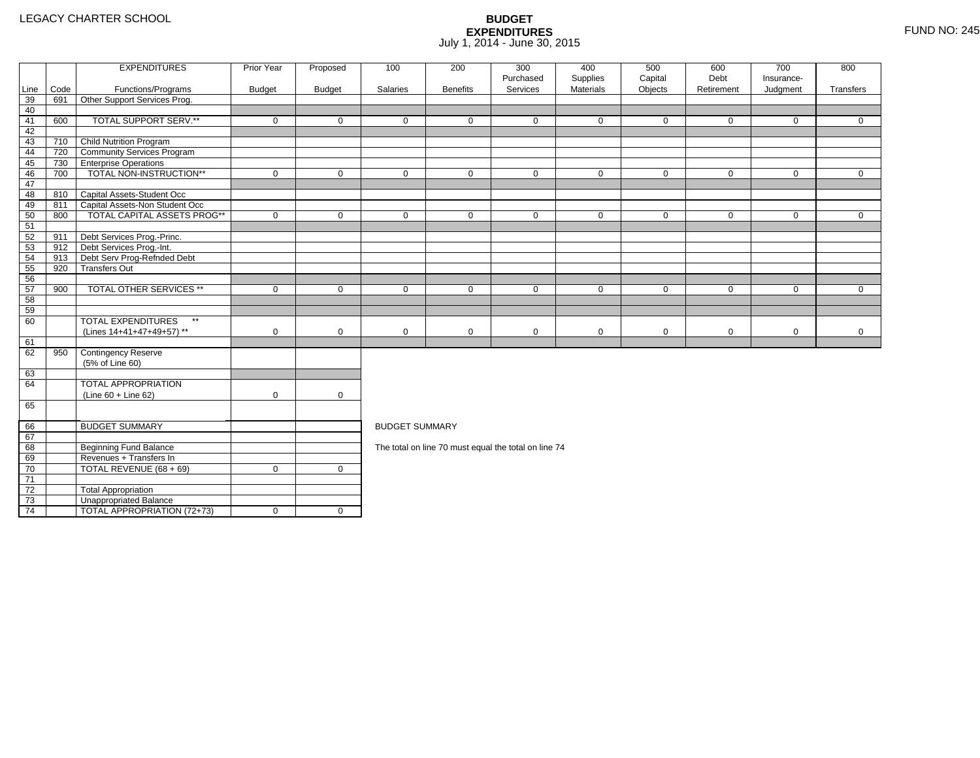4 | TOTAL APPROPRIATION (72+73) | 0 | 0

|                 |      | <b>EXPENDITURES</b>                       | Prior Year    | Proposed      | 100                   | 200             | 300<br>Purchased                                     | 400<br>Supplies | 500<br>Capital | 600<br>Debt | 700<br>Insurance- | 800          |
|-----------------|------|-------------------------------------------|---------------|---------------|-----------------------|-----------------|------------------------------------------------------|-----------------|----------------|-------------|-------------------|--------------|
| Line            | Code | Functions/Programs                        | <b>Budget</b> | <b>Budget</b> | Salaries              | <b>Benefits</b> | Services                                             | Materials       | Objects        | Retirement  | Judgment          | Transfers    |
| 39              | 691  | Other Support Services Prog.              |               |               |                       |                 |                                                      |                 |                |             |                   |              |
| 40              |      |                                           |               |               |                       |                 |                                                      |                 |                |             |                   |              |
| 41              | 600  | TOTAL SUPPORT SERV.**                     | $\mathbf 0$   | $\Omega$      | $\Omega$              | $\Omega$        | $\Omega$                                             | $\mathbf 0$     | $\mathbf 0$    | $\Omega$    | $\Omega$          | $\Omega$     |
| 42              |      |                                           |               |               |                       |                 |                                                      |                 |                |             |                   |              |
| 43              | 710  | Child Nutrition Program                   |               |               |                       |                 |                                                      |                 |                |             |                   |              |
| 44              |      | 720 Community Services Program            |               |               |                       |                 |                                                      |                 |                |             |                   |              |
| 45              | 730  | <b>Enterprise Operations</b>              |               |               |                       |                 |                                                      |                 |                |             |                   |              |
| 46              | 700  | TOTAL NON-INSTRUCTION**                   | $\mathbf 0$   | $\mathbf 0$   | $\mathbf 0$           | $\mathbf 0$     | $\mathbf 0$                                          | $\mathbf 0$     | $\mathbf 0$    | $\mathbf 0$ | $\overline{0}$    | $\mathbf{0}$ |
| 47              |      |                                           |               |               |                       |                 |                                                      |                 |                |             |                   |              |
| 48              |      | 810 Capital Assets-Student Occ            |               |               |                       |                 |                                                      |                 |                |             |                   |              |
| 49              | 811  | Capital Assets-Non Student Occ            |               |               |                       |                 |                                                      |                 |                |             |                   |              |
| 50              | 800  | <b>TOTAL CAPITAL ASSETS PROG**</b>        | $\mathbf 0$   | $\mathbf 0$   | $\mathbf 0$           | 0               | $\mathbf 0$                                          | $\mathbf 0$     | $\mathbf 0$    | $\mathbf 0$ | $\mathbf 0$       | $\mathbf 0$  |
| 51              |      |                                           |               |               |                       |                 |                                                      |                 |                |             |                   |              |
| 52              | 911  | Debt Services Prog.-Princ.                |               |               |                       |                 |                                                      |                 |                |             |                   |              |
| 53              | 912  | Debt Services Prog.-Int.                  |               |               |                       |                 |                                                      |                 |                |             |                   |              |
| 54              | 913  | Debt Serv Prog-Refnded Debt               |               |               |                       |                 |                                                      |                 |                |             |                   |              |
| 55              | 920  | <b>Transfers Out</b>                      |               |               |                       |                 |                                                      |                 |                |             |                   |              |
| 56              |      |                                           |               |               |                       |                 |                                                      |                 |                |             |                   |              |
| 57              | 900  | <b>TOTAL OTHER SERVICES **</b>            | $\mathbf 0$   | $\mathbf 0$   | $\mathbf 0$           | $\mathbf 0$     | $\mathbf 0$                                          | $\mathbf 0$     | $\mathbf 0$    | $\mathbf 0$ | $\mathbf 0$       | $\mathbf{0}$ |
| 58              |      |                                           |               |               |                       |                 |                                                      |                 |                |             |                   |              |
| 59              |      |                                           |               |               |                       |                 |                                                      |                 |                |             |                   |              |
| 60              |      | <b>TOTAL EXPENDITURES</b><br>$\star\star$ |               |               |                       |                 |                                                      |                 |                |             |                   |              |
|                 |      | (Lines 14+41+47+49+57) **                 | $\mathbf 0$   | $\mathbf 0$   | 0                     | $\mathbf 0$     | $\mathbf 0$                                          | 0               | $\mathbf 0$    | $\mathbf 0$ | $\mathbf 0$       | $\mathbf 0$  |
| 61              |      |                                           |               |               |                       |                 |                                                      |                 |                |             |                   |              |
| 62              | 950  | Contingency Reserve                       |               |               |                       |                 |                                                      |                 |                |             |                   |              |
|                 |      | (5% of Line 60)                           |               |               |                       |                 |                                                      |                 |                |             |                   |              |
| 63              |      |                                           |               |               |                       |                 |                                                      |                 |                |             |                   |              |
| 64              |      | <b>TOTAL APPROPRIATION</b>                |               |               |                       |                 |                                                      |                 |                |             |                   |              |
|                 |      | $(Line 60 + Line 62)$                     | $\mathbf 0$   | $\mathbf 0$   |                       |                 |                                                      |                 |                |             |                   |              |
| 65              |      |                                           |               |               |                       |                 |                                                      |                 |                |             |                   |              |
| 66              |      | <b>BUDGET SUMMARY</b>                     |               |               | <b>BUDGET SUMMARY</b> |                 |                                                      |                 |                |             |                   |              |
| 67              |      |                                           |               |               |                       |                 |                                                      |                 |                |             |                   |              |
| 68              |      | Beginning Fund Balance                    |               |               |                       |                 | The total on line 70 must equal the total on line 74 |                 |                |             |                   |              |
| 69              |      | Revenues + Transfers In                   |               |               |                       |                 |                                                      |                 |                |             |                   |              |
| 70              |      | TOTAL REVENUE (68 + 69)                   | $\mathbf 0$   | $\mathbf 0$   |                       |                 |                                                      |                 |                |             |                   |              |
| $\overline{71}$ |      |                                           |               |               |                       |                 |                                                      |                 |                |             |                   |              |
| 72              |      | <b>Total Appropriation</b>                |               |               |                       |                 |                                                      |                 |                |             |                   |              |
| 73              |      | Unappropriated Balance                    |               |               |                       |                 |                                                      |                 |                |             |                   |              |
|                 |      |                                           |               |               |                       |                 |                                                      |                 |                |             |                   |              |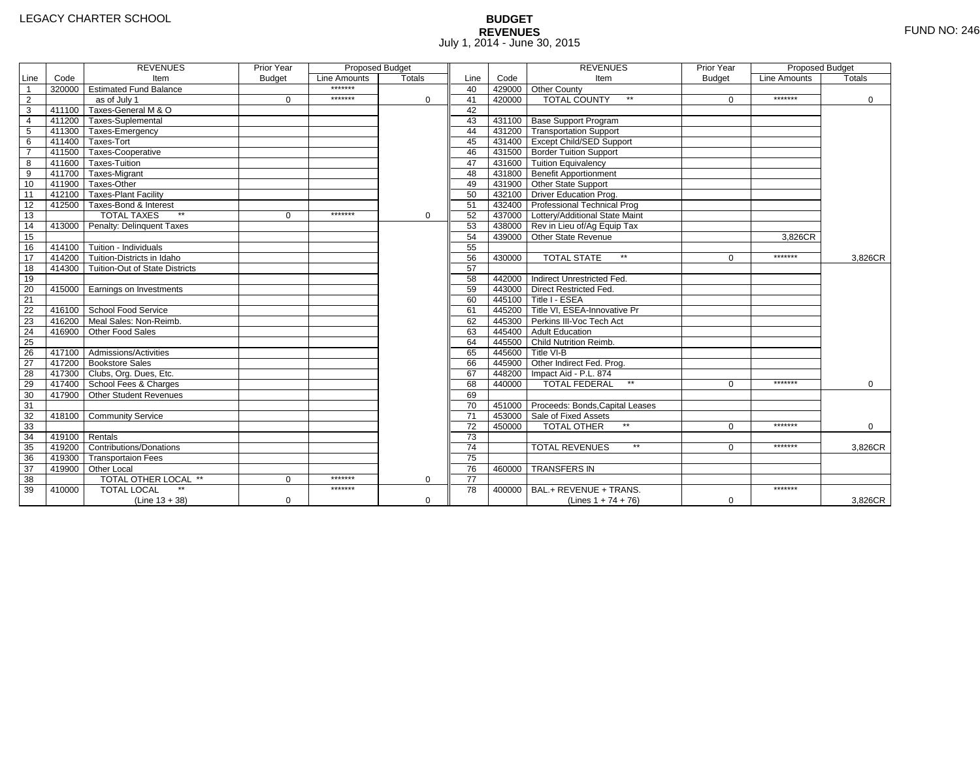# **BUDGET REVENUES** FUND NO: 246 July 1, 2014 - June 30, 2015

|                         |                | <b>REVENUES</b>                         | Prior Year    | Proposed Budget |             |                 |        | <b>REVENUES</b>                        | Prior Year    | <b>Proposed Budget</b> |          |
|-------------------------|----------------|-----------------------------------------|---------------|-----------------|-------------|-----------------|--------|----------------------------------------|---------------|------------------------|----------|
| Line                    | Code           | Item                                    | <b>Budget</b> | Line Amounts    | Totals      | Line            | Code   | Item                                   | <b>Budget</b> | <b>Line Amounts</b>    | Totals   |
| $\overline{1}$          |                | 320000 Estimated Fund Balance           |               | *******         |             | 40              |        | 429000 Other County                    |               |                        |          |
| $\overline{2}$          |                | as of July 1                            | $\Omega$      | *******         | $\Omega$    | 41              | 420000 | <b>TOTAL COUNTY</b><br>$**$            | $\Omega$      | *******                | $\Omega$ |
| $\overline{\mathbf{3}}$ |                | 411100 Taxes-General M & O              |               |                 |             | 42              |        |                                        |               |                        |          |
| $\overline{4}$          |                | 411200 Taxes-Suplemental                |               |                 |             | 43              |        | 431100 Base Support Program            |               |                        |          |
| $\overline{5}$          |                | 411300 Taxes-Emergency                  |               |                 |             | 44              |        | 431200 Transportation Support          |               |                        |          |
| $\overline{6}$          |                | 411400 Taxes-Tort                       |               |                 |             | 45              |        | 431400 Except Child/SED Support        |               |                        |          |
| $\overline{7}$          |                | 411500 Taxes-Cooperative                |               |                 |             | 46              |        | 431500 Border Tuition Support          |               |                        |          |
| 8                       |                | 411600 Taxes-Tuition                    |               |                 |             | 47              |        | 431600 Tuition Equivalency             |               |                        |          |
| 9                       |                | 411700 Taxes-Migrant                    |               |                 |             | 48              |        | 431800 Benefit Apportionment           |               |                        |          |
| 10                      |                | 411900 Taxes-Other                      |               |                 |             | 49              |        | 431900 Other State Support             |               |                        |          |
| 11                      |                | 412100 Taxes-Plant Facility             |               |                 |             | 50              |        | 432100 Driver Education Prog.          |               |                        |          |
| 12                      |                | 412500 Taxes-Bond & Interest            |               |                 |             | 51              |        | 432400 Professional Technical Prog     |               |                        |          |
| 13                      |                | <b>TOTAL TAXES</b>                      | $\Omega$      | *******         | $\Omega$    | 52              |        | 437000 Lottery/Additional State Maint  |               |                        |          |
| 14                      |                | 413000 Penalty: Delinguent Taxes        |               |                 |             | 53              |        | 438000 Rev in Lieu of/Ag Equip Tax     |               |                        |          |
| 15                      |                |                                         |               |                 |             | 54              |        | 439000 Other State Revenue             |               | 3,826CR                |          |
| 16                      | 414100         | Tuition - Individuals                   |               |                 |             | 55              |        |                                        |               |                        |          |
| 17                      |                | 414200 Tuition-Districts in Idaho       |               |                 |             | 56              | 430000 | $\star\star$<br><b>TOTAL STATE</b>     | $\Omega$      | *******                | 3.826CR  |
| 18                      |                | 414300   Tuition-Out of State Districts |               |                 |             | 57              |        |                                        |               |                        |          |
| 19                      |                |                                         |               |                 |             | 58              |        | 442000 Indirect Unrestricted Fed.      |               |                        |          |
| 20                      |                | 415000 Earnings on Investments          |               |                 |             | 59              |        | 443000 Direct Restricted Fed.          |               |                        |          |
| 21                      |                |                                         |               |                 |             | 60              |        | 445100 Title I - ESEA                  |               |                        |          |
| 22                      |                | 416100 School Food Service              |               |                 |             | 61              |        | 445200 Title VI. ESEA-Innovative Pr    |               |                        |          |
| 23                      |                | 416200 Meal Sales: Non-Reimb.           |               |                 |             | 62              |        | 445300 Perkins III-Voc Tech Act        |               |                        |          |
| 24                      | 416900         | Other Food Sales                        |               |                 |             | 63              |        | 445400 Adult Education                 |               |                        |          |
| $\overline{25}$         |                |                                         |               |                 |             | 64              |        | 445500 Child Nutrition Reimb.          |               |                        |          |
| 26                      |                | 417100 Admissions/Activities            |               |                 |             | 65              |        | 445600 Title VI-B                      |               |                        |          |
| $\overline{27}$         |                | 417200 Bookstore Sales                  |               |                 |             | 66              |        | 445900 Other Indirect Fed. Prog.       |               |                        |          |
| 28                      |                | 417300 Clubs, Org. Dues, Etc.           |               |                 |             | 67              |        | 448200 Impact Aid - P.L. 874           |               |                        |          |
| 29                      |                | 417400 School Fees & Charges            |               |                 |             | 68              | 440000 | <b>TOTAL FEDERAL</b><br>$\star\star$   | $\Omega$      | *******                | $\Omega$ |
| 30                      | 417900         | Other Student Revenues                  |               |                 |             | 69              |        |                                        |               |                        |          |
| 31                      |                |                                         |               |                 |             | 70              |        | 451000 Proceeds: Bonds, Capital Leases |               |                        |          |
| 32                      |                | 418100 Community Service                |               |                 |             | $\overline{71}$ |        | 453000 Sale of Fixed Assets            |               |                        |          |
| 33                      |                |                                         |               |                 |             | 72              | 450000 | <b>TOTAL OTHER</b>                     | $\Omega$      | *******                | $\Omega$ |
| 34                      | 419100 Rentals |                                         |               |                 |             | $\overline{73}$ |        |                                        |               |                        |          |
| 35                      |                | 419200 Contributions/Donations          |               |                 |             | 74              |        | $\star\star$<br><b>TOTAL REVENUES</b>  | $\Omega$      | *******                | 3,826CR  |
| 36                      |                | 419300 Transportaion Fees               |               |                 |             | $\overline{75}$ |        |                                        |               |                        |          |
| 37                      |                | 419900 Other Local                      |               |                 |             | 76              | 460000 | <b>TRANSFERS IN</b>                    |               |                        |          |
| 38                      |                | TOTAL OTHER LOCAL **                    | $\Omega$      | *******         | 0           | 77              |        |                                        |               |                        |          |
| 39                      | 410000         | <b>TOTAL LOCAL</b>                      |               | *******         |             | 78              | 400000 | BAL.+ REVENUE + TRANS.                 |               | *******                |          |
|                         |                | $(Line 13 + 38)$                        | $\mathbf 0$   |                 | $\mathbf 0$ |                 |        | (Lines $1 + 74 + 76$ )                 | $\mathbf 0$   |                        | 3,826CR  |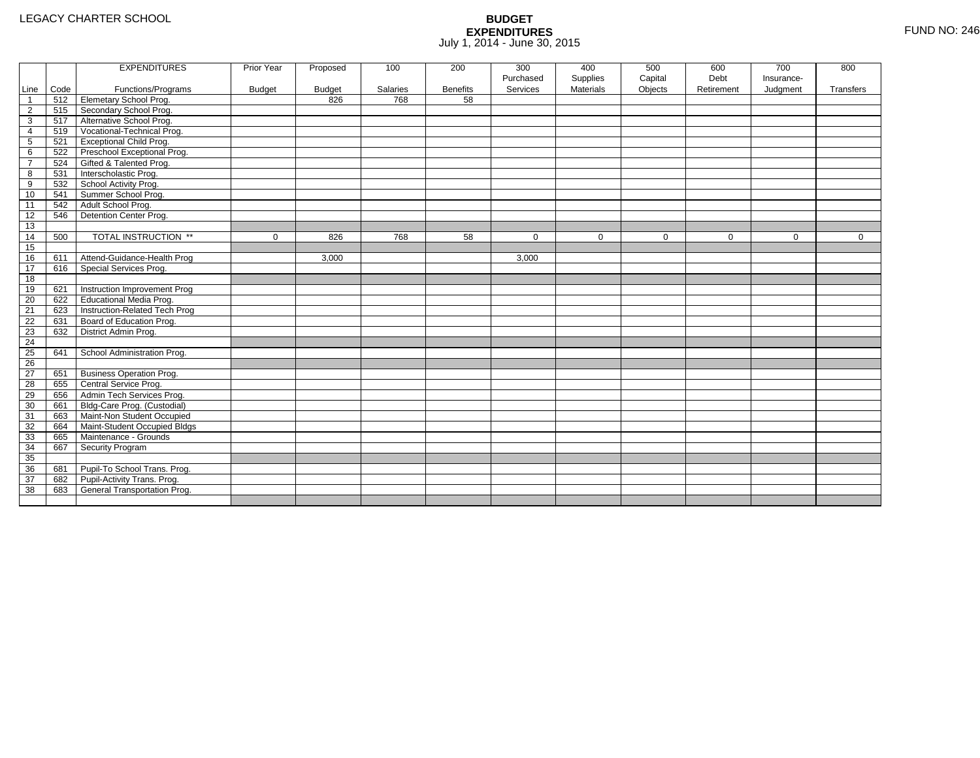|                |      | <b>EXPENDITURES</b>             | Prior Year    | Proposed      | 100      | 200             | 300       | 400              | 500         | 600         | 700         | 800         |
|----------------|------|---------------------------------|---------------|---------------|----------|-----------------|-----------|------------------|-------------|-------------|-------------|-------------|
|                |      |                                 |               |               |          |                 | Purchased | Supplies         | Capital     | Debt        | Insurance-  |             |
| Line           | Code | Functions/Programs              | <b>Budget</b> | <b>Budget</b> | Salaries | <b>Benefits</b> | Services  | <b>Materials</b> | Objects     | Retirement  | Judgment    | Transfers   |
| $\mathbf{1}$   | 512  | Elemetary School Prog.          |               | 826           | 768      | 58              |           |                  |             |             |             |             |
| $\overline{2}$ | 515  | Secondary School Prog.          |               |               |          |                 |           |                  |             |             |             |             |
| 3              | 517  | Alternative School Prog.        |               |               |          |                 |           |                  |             |             |             |             |
| 4              | 519  | Vocational-Technical Prog.      |               |               |          |                 |           |                  |             |             |             |             |
| 5              | 521  | Exceptional Child Prog.         |               |               |          |                 |           |                  |             |             |             |             |
| 6              | 522  | Preschool Exceptional Prog.     |               |               |          |                 |           |                  |             |             |             |             |
| $\overline{7}$ | 524  | Gifted & Talented Prog.         |               |               |          |                 |           |                  |             |             |             |             |
| 8              | 531  | Interscholastic Prog.           |               |               |          |                 |           |                  |             |             |             |             |
| 9              | 532  | School Activity Prog.           |               |               |          |                 |           |                  |             |             |             |             |
| 10             | 541  | Summer School Prog.             |               |               |          |                 |           |                  |             |             |             |             |
| 11             | 542  | Adult School Prog.              |               |               |          |                 |           |                  |             |             |             |             |
| 12             | 546  | Detention Center Prog.          |               |               |          |                 |           |                  |             |             |             |             |
| 13             |      |                                 |               |               |          |                 |           |                  |             |             |             |             |
| 14             | 500  | TOTAL INSTRUCTION **            | $\mathbf 0$   | 826           | 768      | 58              | $\Omega$  | $\mathbf 0$      | $\mathbf 0$ | $\mathbf 0$ | $\mathbf 0$ | $\mathbf 0$ |
| 15             |      |                                 |               |               |          |                 |           |                  |             |             |             |             |
| 16             | 611  | Attend-Guidance-Health Prog     |               | 3,000         |          |                 | 3,000     |                  |             |             |             |             |
| 17             | 616  | Special Services Prog.          |               |               |          |                 |           |                  |             |             |             |             |
| 18             |      |                                 |               |               |          |                 |           |                  |             |             |             |             |
| 19             | 621  | Instruction Improvement Prog    |               |               |          |                 |           |                  |             |             |             |             |
| 20             | 622  | <b>Educational Media Prog.</b>  |               |               |          |                 |           |                  |             |             |             |             |
| 21             | 623  | Instruction-Related Tech Prog   |               |               |          |                 |           |                  |             |             |             |             |
| 22             | 631  | Board of Education Prog.        |               |               |          |                 |           |                  |             |             |             |             |
| 23             | 632  | District Admin Prog.            |               |               |          |                 |           |                  |             |             |             |             |
| 24             |      |                                 |               |               |          |                 |           |                  |             |             |             |             |
| 25             | 641  | School Administration Prog.     |               |               |          |                 |           |                  |             |             |             |             |
| 26             |      |                                 |               |               |          |                 |           |                  |             |             |             |             |
| 27             | 651  | <b>Business Operation Prog.</b> |               |               |          |                 |           |                  |             |             |             |             |
| 28             | 655  | Central Service Prog.           |               |               |          |                 |           |                  |             |             |             |             |
| 29             | 656  | Admin Tech Services Prog.       |               |               |          |                 |           |                  |             |             |             |             |
| 30             | 661  | Bldg-Care Prog. (Custodial)     |               |               |          |                 |           |                  |             |             |             |             |
| 31             | 663  | Maint-Non Student Occupied      |               |               |          |                 |           |                  |             |             |             |             |
| 32             | 664  | Maint-Student Occupied Bldgs    |               |               |          |                 |           |                  |             |             |             |             |
| 33             | 665  | Maintenance - Grounds           |               |               |          |                 |           |                  |             |             |             |             |
| 34             | 667  | Security Program                |               |               |          |                 |           |                  |             |             |             |             |
| 35             |      |                                 |               |               |          |                 |           |                  |             |             |             |             |
| 36             | 681  | Pupil-To School Trans. Prog.    |               |               |          |                 |           |                  |             |             |             |             |
| 37             | 682  | Pupil-Activity Trans. Prog.     |               |               |          |                 |           |                  |             |             |             |             |
| 38             | 683  | General Transportation Prog.    |               |               |          |                 |           |                  |             |             |             |             |
|                |      |                                 |               |               |          |                 |           |                  |             |             |             |             |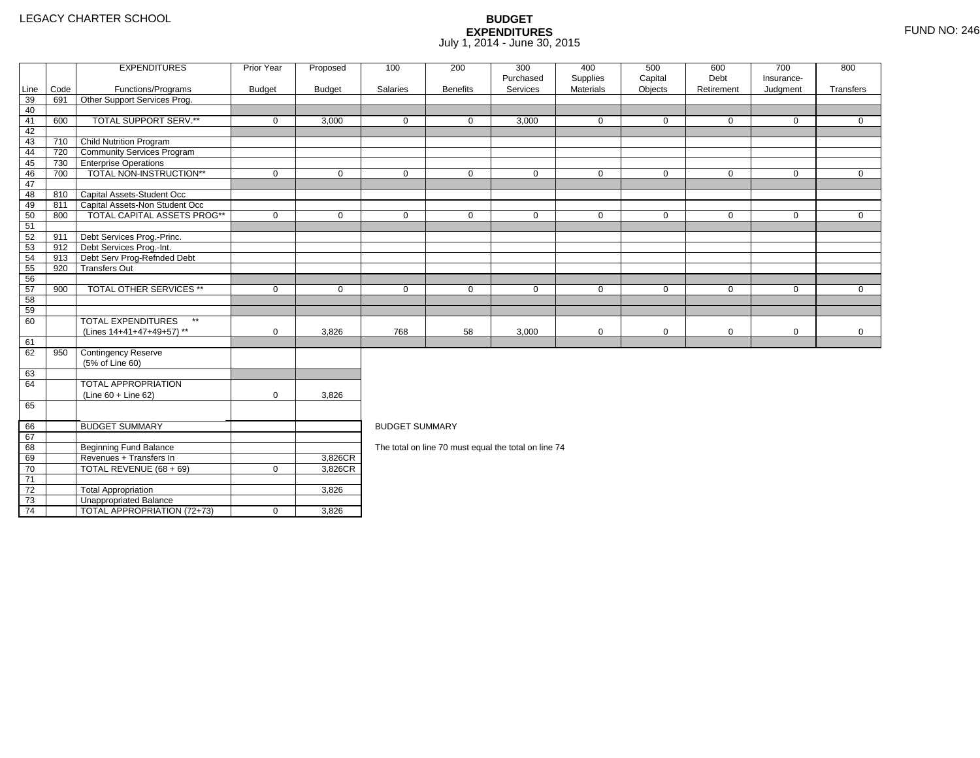71 72

73

74

3 **Unappropriated Balance** 

TOTAL REVENUE (68 + 69) <sup>0</sup> 3,826CR

2 Total Appropriation 1 1 3,826

4 | TOTAL APPROPRIATION (72+73) | 0 | 3,826

|      |      | <b>EXPENDITURES</b>                       | Prior Year    | Proposed      | 100                   | 200             | 300                                                  | 400              | 500         | 600         | 700          | 800          |  |  |  |
|------|------|-------------------------------------------|---------------|---------------|-----------------------|-----------------|------------------------------------------------------|------------------|-------------|-------------|--------------|--------------|--|--|--|
|      |      |                                           |               |               |                       |                 | Purchased                                            | Supplies         | Capital     | Debt        | Insurance-   |              |  |  |  |
| Line | Code | Functions/Programs                        | <b>Budget</b> | <b>Budget</b> | Salaries              | <b>Benefits</b> | Services                                             | <b>Materials</b> | Objects     | Retirement  | Judgment     | Transfers    |  |  |  |
| 39   | 691  | Other Support Services Prog.              |               |               |                       |                 |                                                      |                  |             |             |              |              |  |  |  |
| 40   |      |                                           |               |               |                       |                 |                                                      |                  |             |             |              |              |  |  |  |
| 41   | 600  | TOTAL SUPPORT SERV.**                     | $\mathbf 0$   | 3,000         | $\mathbf 0$           | $\mathbf 0$     | 3,000                                                | $\mathbf 0$      | $\mathbf 0$ | 0           | $\mathbf 0$  | $\mathbf{0}$ |  |  |  |
| 42   |      |                                           |               |               |                       |                 |                                                      |                  |             |             |              |              |  |  |  |
| 43   | 710  | Child Nutrition Program                   |               |               |                       |                 |                                                      |                  |             |             |              |              |  |  |  |
| 44   | 720  | <b>Community Services Program</b>         |               |               |                       |                 |                                                      |                  |             |             |              |              |  |  |  |
| 45   | 730  | <b>Enterprise Operations</b>              |               |               |                       |                 |                                                      |                  |             |             |              |              |  |  |  |
| 46   | 700  | TOTAL NON-INSTRUCTION**                   | $\mathbf 0$   | $\mathbf 0$   | $\mathbf 0$           | $\mathbf 0$     | $\mathbf 0$                                          | $\mathbf 0$      | $\mathbf 0$ | 0           | $\mathbf{0}$ | $\mathbf{0}$ |  |  |  |
| 47   |      |                                           |               |               |                       |                 |                                                      |                  |             |             |              |              |  |  |  |
| 48   | 810  | Capital Assets-Student Occ                |               |               |                       |                 |                                                      |                  |             |             |              |              |  |  |  |
| 49   | 811  | Capital Assets-Non Student Occ            |               |               |                       |                 |                                                      |                  |             |             |              |              |  |  |  |
| 50   | 800  | <b>TOTAL CAPITAL ASSETS PROG**</b>        | $\mathbf 0$   | $\mathbf 0$   | $\mathbf 0$           | $\mathbf 0$     | $\mathbf 0$                                          | $\mathbf 0$      | $\mathbf 0$ | 0           | $\mathbf 0$  | $\mathbf{0}$ |  |  |  |
| 51   |      |                                           |               |               |                       |                 |                                                      |                  |             |             |              |              |  |  |  |
| 52   | 911  | Debt Services Prog.-Princ.                |               |               |                       |                 |                                                      |                  |             |             |              |              |  |  |  |
| 53   | 912  | Debt Services Prog.-Int.                  |               |               |                       |                 |                                                      |                  |             |             |              |              |  |  |  |
| 54   | 913  | Debt Serv Prog-Refnded Debt               |               |               |                       |                 |                                                      |                  |             |             |              |              |  |  |  |
| 55   | 920  | <b>Transfers Out</b>                      |               |               |                       |                 |                                                      |                  |             |             |              |              |  |  |  |
| 56   |      |                                           |               |               |                       |                 |                                                      |                  |             |             |              |              |  |  |  |
| 57   | 900  | <b>TOTAL OTHER SERVICES **</b>            | $\mathbf 0$   | $\mathbf 0$   | $\mathbf 0$           | $\mathbf 0$     | $\mathbf 0$                                          | 0                | $\mathbf 0$ | 0           | $\mathbf 0$  | $\mathbf{0}$ |  |  |  |
| 58   |      |                                           |               |               |                       |                 |                                                      |                  |             |             |              |              |  |  |  |
| 59   |      |                                           |               |               |                       |                 |                                                      |                  |             |             |              |              |  |  |  |
| 60   |      | $\star\star$<br><b>TOTAL EXPENDITURES</b> |               |               |                       |                 |                                                      |                  |             |             |              |              |  |  |  |
|      |      | (Lines 14+41+47+49+57) **                 | $\mathbf 0$   | 3,826         | 768                   | 58              | 3,000                                                | 0                | $\mathbf 0$ | $\mathbf 0$ | $\mathbf 0$  | $\mathbf 0$  |  |  |  |
| 61   |      |                                           |               |               |                       |                 |                                                      |                  |             |             |              |              |  |  |  |
| 62   | 950  | <b>Contingency Reserve</b>                |               |               |                       |                 |                                                      |                  |             |             |              |              |  |  |  |
|      |      | (5% of Line 60)                           |               |               |                       |                 |                                                      |                  |             |             |              |              |  |  |  |
| 63   |      |                                           |               |               |                       |                 |                                                      |                  |             |             |              |              |  |  |  |
| 64   |      | <b>TOTAL APPROPRIATION</b>                |               |               |                       |                 |                                                      |                  |             |             |              |              |  |  |  |
|      |      | (Line 60 + Line 62)                       | $\mathbf 0$   | 3.826         |                       |                 |                                                      |                  |             |             |              |              |  |  |  |
| 65   |      |                                           |               |               |                       |                 |                                                      |                  |             |             |              |              |  |  |  |
| 66   |      | <b>BUDGET SUMMARY</b>                     |               |               | <b>BUDGET SUMMARY</b> |                 |                                                      |                  |             |             |              |              |  |  |  |
| 67   |      |                                           |               |               |                       |                 |                                                      |                  |             |             |              |              |  |  |  |
| 68   |      | <b>Beginning Fund Balance</b>             |               |               |                       |                 | The total on line 70 must equal the total on line 74 |                  |             |             |              |              |  |  |  |
| 69   |      | Revenues + Transfers In                   |               | 3,826CR       |                       |                 |                                                      |                  |             |             |              |              |  |  |  |
| 70   |      | TOTAL REVENUE (68 + 69)                   | $\mathbf 0$   | 3,826CR       |                       |                 |                                                      |                  |             |             |              |              |  |  |  |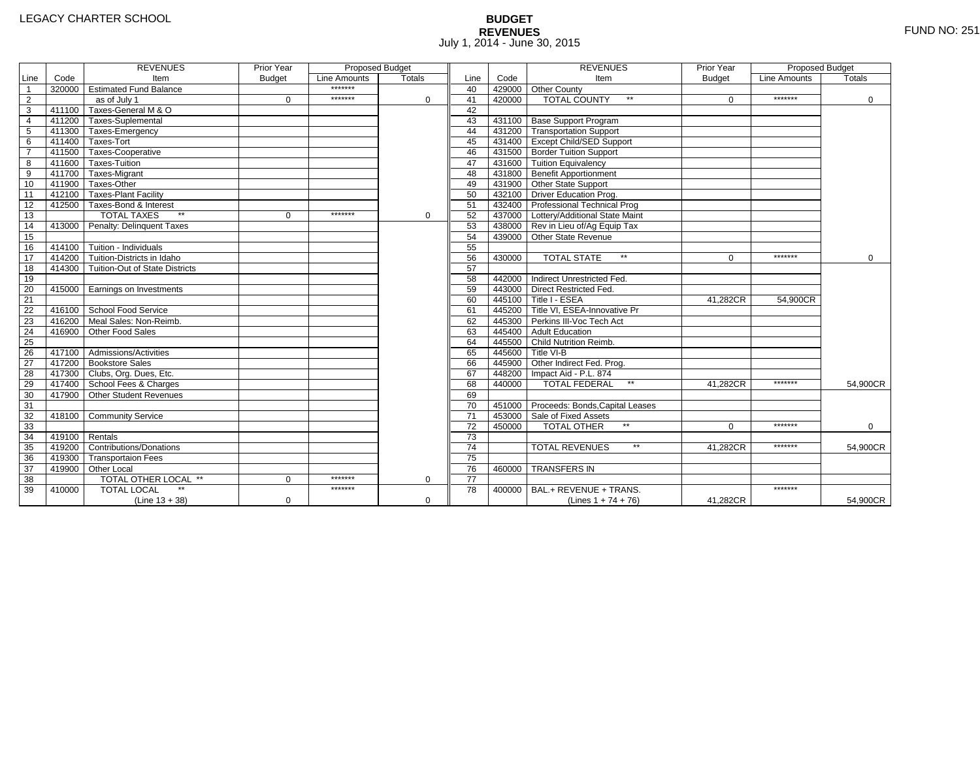# **BUDGET REVENUES** FUND NO: 251 July 1, 2014 - June 30, 2015

|                 |        | <b>REVENUES</b>                       | Prior Year    | Proposed Budget |               |                 |        | <b>REVENUES</b>                        | Prior Year    | Proposed Budget |          |
|-----------------|--------|---------------------------------------|---------------|-----------------|---------------|-----------------|--------|----------------------------------------|---------------|-----------------|----------|
| Line            | Code   | Item                                  | <b>Budget</b> | Line Amounts    | <b>Totals</b> | Line            | Code   | Item                                   | <b>Budget</b> | Line Amounts    | Totals   |
| $\overline{1}$  |        | 320000 Estimated Fund Balance         |               | *******         |               | 40              |        | 429000 Other County                    |               |                 |          |
| $\overline{2}$  |        | as of July 1                          | $\Omega$      | *******         | $\Omega$      | 41              | 420000 | $**$<br><b>TOTAL COUNTY</b>            | $\Omega$      | *******         | 0        |
| $\overline{3}$  |        | 411100 Taxes-General M & O            |               |                 |               | 42              |        |                                        |               |                 |          |
| $\overline{4}$  |        | 411200 Taxes-Suplemental              |               |                 |               | 43              |        | 431100 Base Support Program            |               |                 |          |
| $\overline{5}$  |        | 411300 Taxes-Emergency                |               |                 |               | 44              |        | 431200 Transportation Support          |               |                 |          |
| 6               | 411400 | Taxes-Tort                            |               |                 |               | 45              |        | 431400 Except Child/SED Support        |               |                 |          |
| $\overline{7}$  |        | 411500 Taxes-Cooperative              |               |                 |               | 46              |        | 431500 Border Tuition Support          |               |                 |          |
| 8               |        | 411600 Taxes-Tuition                  |               |                 |               | 47              |        | 431600 Tuition Equivalency             |               |                 |          |
| $\overline{9}$  |        | 411700 Taxes-Migrant                  |               |                 |               | 48              |        | 431800 Benefit Apportionment           |               |                 |          |
| 10              |        | 411900 Taxes-Other                    |               |                 |               | 49              |        | 431900 Other State Support             |               |                 |          |
| 11              |        | 412100 Taxes-Plant Facility           |               |                 |               | 50              |        | 432100 Driver Education Prog.          |               |                 |          |
| 12              |        | 412500 Taxes-Bond & Interest          |               |                 |               | 51              |        | 432400 Professional Technical Prog     |               |                 |          |
| 13              |        | $**$<br><b>TOTAL TAXES</b>            | $\Omega$      | *******         | $\Omega$      | 52              |        | 437000 Lottery/Additional State Maint  |               |                 |          |
| 14              |        | 413000 Penalty: Delinguent Taxes      |               |                 |               | 53              |        | 438000 Rev in Lieu of/Ag Equip Tax     |               |                 |          |
| 15              |        |                                       |               |                 |               | 54              |        | 439000 Other State Revenue             |               |                 |          |
| 16              |        | 414100 Tuition - Individuals          |               |                 |               | 55              |        |                                        |               |                 |          |
| 17              |        | 414200 Tuition-Districts in Idaho     |               |                 |               | 56              | 430000 | <b>TOTAL STATE</b><br>$\star\star$     | $\Omega$      | *******         | $\Omega$ |
| 18              |        | 414300 Tuition-Out of State Districts |               |                 |               | 57              |        |                                        |               |                 |          |
| 19              |        |                                       |               |                 |               | 58              |        | 442000 Indirect Unrestricted Fed.      |               |                 |          |
| 20              |        | 415000 Earnings on Investments        |               |                 |               | 59              |        | 443000 Direct Restricted Fed.          |               |                 |          |
| $\overline{21}$ |        |                                       |               |                 |               | 60              |        | 445100 Title I - ESEA                  | 41,282CR      | 54,900CR        |          |
| 22              |        | 416100 School Food Service            |               |                 |               | 61              |        | 445200 Title VI. ESEA-Innovative Pr    |               |                 |          |
| 23              | 416200 | Meal Sales: Non-Reimb.                |               |                 |               | 62              |        | 445300 Perkins III-Voc Tech Act        |               |                 |          |
| $\overline{24}$ | 416900 | Other Food Sales                      |               |                 |               | 63              |        | 445400 Adult Education                 |               |                 |          |
| 25              |        |                                       |               |                 |               | 64              |        | 445500 Child Nutrition Reimb.          |               |                 |          |
| 26              |        | 417100 Admissions/Activities          |               |                 |               | 65              |        | 445600 Title VI-B                      |               |                 |          |
| $\overline{27}$ |        | 417200 Bookstore Sales                |               |                 |               | 66              |        | 445900 Other Indirect Fed. Prog.       |               |                 |          |
| 28              |        | 417300 Clubs, Org. Dues, Etc.         |               |                 |               | 67              |        | 448200   Impact Aid - P.L. 874         |               |                 |          |
| 29              |        | 417400 School Fees & Charges          |               |                 |               | 68              | 440000 | <b>TOTAL FEDERAL</b><br>$\star\star$   | 41,282CR      | *******         | 54,900CR |
| 30              |        | 417900 Other Student Revenues         |               |                 |               | 69              |        |                                        |               |                 |          |
| 31              |        |                                       |               |                 |               | 70              |        | 451000 Proceeds: Bonds, Capital Leases |               |                 |          |
| 32              |        | 418100 Community Service              |               |                 |               | 71              |        | 453000 Sale of Fixed Assets            |               |                 |          |
| 33              |        |                                       |               |                 |               | 72              | 450000 | <b>TOTAL OTHER</b>                     | $\Omega$      | *******         | $\Omega$ |
| 34              | 419100 | Rentals                               |               |                 |               | $\overline{73}$ |        |                                        |               |                 |          |
| 35              | 419200 | Contributions/Donations               |               |                 |               | $\overline{74}$ |        | $**$<br><b>TOTAL REVENUES</b>          | 41.282CR      | *******         | 54,900CR |
| 36              |        | 419300 Transportaion Fees             |               |                 |               | 75              |        |                                        |               |                 |          |
| 37              |        | 419900 Other Local                    |               |                 |               | 76              | 460000 | <b>TRANSFERS IN</b>                    |               |                 |          |
| 38              |        | TOTAL OTHER LOCAL **                  | $\Omega$      | *******         | $\Omega$      | $\overline{77}$ |        |                                        |               |                 |          |
| 39              | 410000 | <b>TOTAL LOCAL</b>                    |               | *******         |               | 78              | 400000 | BAL.+ REVENUE + TRANS.                 |               | *******         |          |
|                 |        | $(Line 13 + 38)$                      | $\mathbf 0$   |                 | 0             |                 |        | (Lines $1 + 74 + 76$ )                 | 41,282CR      |                 | 54,900CR |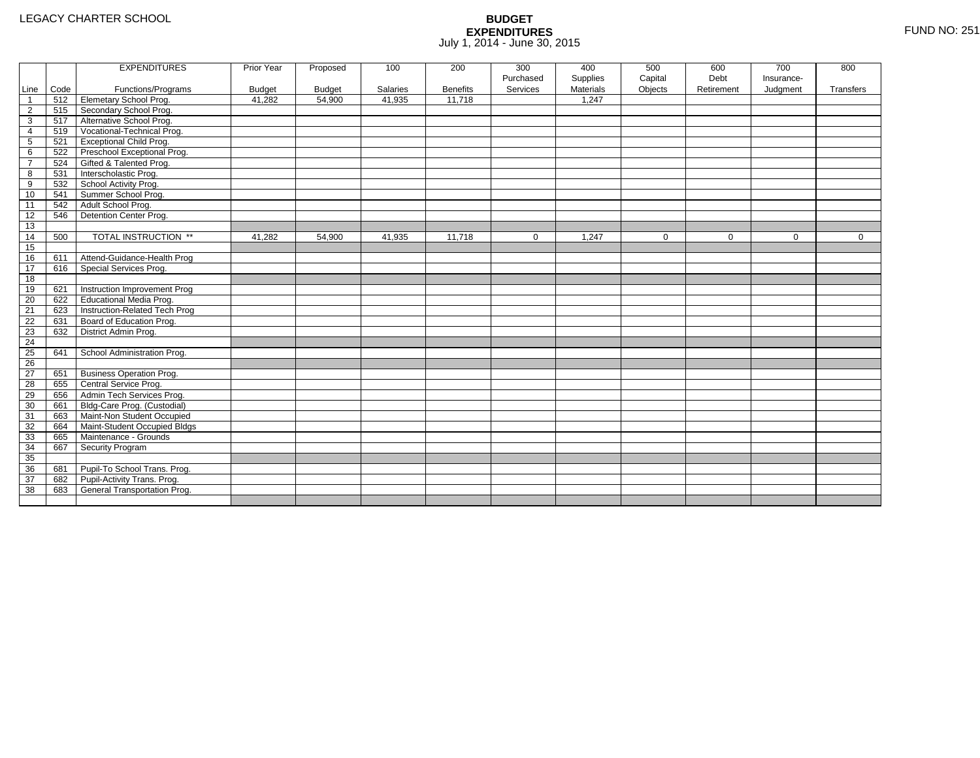|                 |      | <b>EXPENDITURES</b>             | <b>Prior Year</b> | Proposed      | 100      | 200             | 300       | 400       | 500     | 600        | 700        | 800       |
|-----------------|------|---------------------------------|-------------------|---------------|----------|-----------------|-----------|-----------|---------|------------|------------|-----------|
|                 |      |                                 |                   |               |          |                 | Purchased | Supplies  | Capital | Debt       | Insurance- |           |
| Line            | Code | Functions/Programs              | <b>Budget</b>     | <b>Budget</b> | Salaries | <b>Benefits</b> | Services  | Materials | Objects | Retirement | Judgment   | Transfers |
| $\mathbf{1}$    | 512  | Elemetary School Prog.          | 41,282            | 54,900        | 41,935   | 11,718          |           | 1,247     |         |            |            |           |
| $\overline{2}$  | 515  | Secondary School Prog.          |                   |               |          |                 |           |           |         |            |            |           |
| 3               | 517  | Alternative School Prog.        |                   |               |          |                 |           |           |         |            |            |           |
| 4               | 519  | Vocational-Technical Prog.      |                   |               |          |                 |           |           |         |            |            |           |
| 5               | 521  | <b>Exceptional Child Prog.</b>  |                   |               |          |                 |           |           |         |            |            |           |
| 6               | 522  | Preschool Exceptional Prog.     |                   |               |          |                 |           |           |         |            |            |           |
| $\overline{7}$  | 524  | Gifted & Talented Prog.         |                   |               |          |                 |           |           |         |            |            |           |
| 8               | 531  | Interscholastic Prog.           |                   |               |          |                 |           |           |         |            |            |           |
| 9               | 532  | School Activity Prog.           |                   |               |          |                 |           |           |         |            |            |           |
| 10              | 541  | Summer School Prog.             |                   |               |          |                 |           |           |         |            |            |           |
| 11              | 542  | Adult School Prog.              |                   |               |          |                 |           |           |         |            |            |           |
| 12              | 546  | Detention Center Prog.          |                   |               |          |                 |           |           |         |            |            |           |
| 13              |      |                                 |                   |               |          |                 |           |           |         |            |            |           |
| 14              | 500  | TOTAL INSTRUCTION **            | 41,282            | 54,900        | 41,935   | 11,718          | 0         | 1,247     | 0       | 0          | 0          | 0         |
| 15              |      |                                 |                   |               |          |                 |           |           |         |            |            |           |
| 16              | 611  | Attend-Guidance-Health Prog     |                   |               |          |                 |           |           |         |            |            |           |
| 17              | 616  | Special Services Prog.          |                   |               |          |                 |           |           |         |            |            |           |
| 18              |      |                                 |                   |               |          |                 |           |           |         |            |            |           |
| 19              | 621  | Instruction Improvement Prog    |                   |               |          |                 |           |           |         |            |            |           |
| 20              | 622  | Educational Media Prog.         |                   |               |          |                 |           |           |         |            |            |           |
| 21              | 623  | Instruction-Related Tech Prog   |                   |               |          |                 |           |           |         |            |            |           |
| 22              | 631  | Board of Education Prog.        |                   |               |          |                 |           |           |         |            |            |           |
| 23              | 632  | District Admin Prog.            |                   |               |          |                 |           |           |         |            |            |           |
| 24              |      |                                 |                   |               |          |                 |           |           |         |            |            |           |
| 25              | 641  | School Administration Prog.     |                   |               |          |                 |           |           |         |            |            |           |
| $\overline{26}$ |      |                                 |                   |               |          |                 |           |           |         |            |            |           |
| 27              | 651  | <b>Business Operation Prog.</b> |                   |               |          |                 |           |           |         |            |            |           |
| 28              | 655  | Central Service Prog.           |                   |               |          |                 |           |           |         |            |            |           |
| 29              | 656  | Admin Tech Services Prog.       |                   |               |          |                 |           |           |         |            |            |           |
| 30              | 661  | Bldg-Care Prog. (Custodial)     |                   |               |          |                 |           |           |         |            |            |           |
| 31              | 663  | Maint-Non Student Occupied      |                   |               |          |                 |           |           |         |            |            |           |
| 32              | 664  | Maint-Student Occupied Bldgs    |                   |               |          |                 |           |           |         |            |            |           |
| 33              | 665  | Maintenance - Grounds           |                   |               |          |                 |           |           |         |            |            |           |
| 34              | 667  | <b>Security Program</b>         |                   |               |          |                 |           |           |         |            |            |           |
| 35              |      |                                 |                   |               |          |                 |           |           |         |            |            |           |
| 36              | 681  | Pupil-To School Trans. Prog.    |                   |               |          |                 |           |           |         |            |            |           |
| 37              | 682  | Pupil-Activity Trans. Prog.     |                   |               |          |                 |           |           |         |            |            |           |
| 38              | 683  | General Transportation Prog.    |                   |               |          |                 |           |           |         |            |            |           |
|                 |      |                                 |                   |               |          |                 |           |           |         |            |            |           |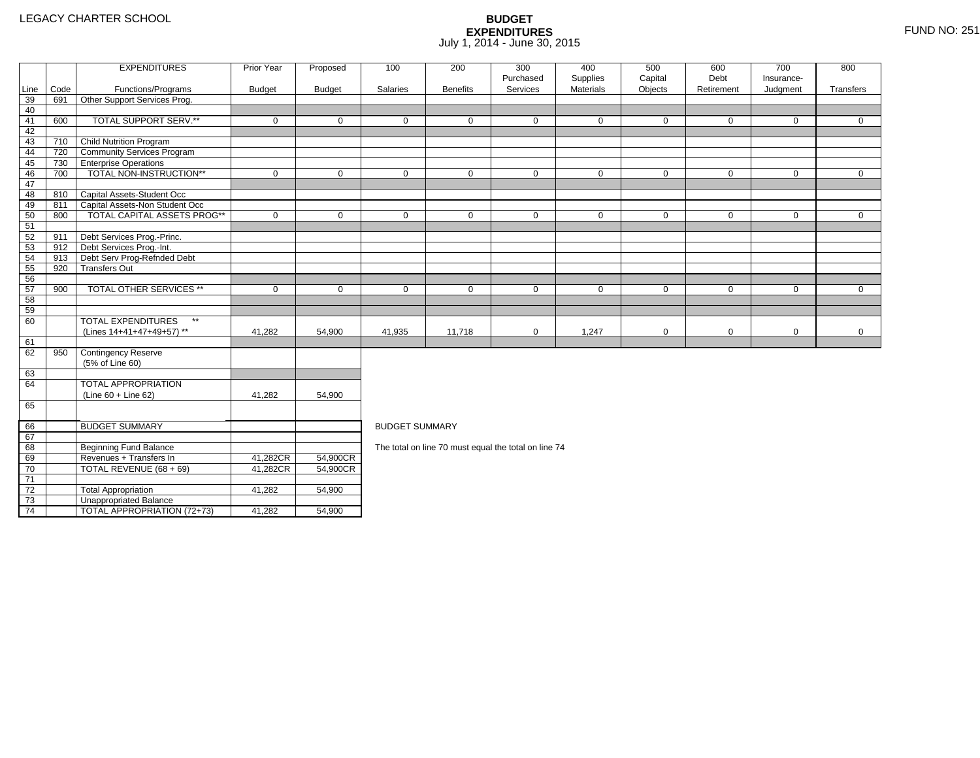2 Total Appropriation 141,282 54,900

4 | TOTAL APPROPRIATION (72+73) | 41,282 <u>|</u> 54,900

73

74

3 **Unappropriated Balance** 

|      |      | <b>EXPENDITURES</b>                       | Prior Year  | Proposed      | 100                   | 200             | 300<br>Purchased                                     | 400                   | 500<br>Capital | 600<br>Debt | 700<br>Insurance- | 800          |  |  |  |
|------|------|-------------------------------------------|-------------|---------------|-----------------------|-----------------|------------------------------------------------------|-----------------------|----------------|-------------|-------------------|--------------|--|--|--|
| Line | Code | Functions/Programs                        | Budget      | <b>Budget</b> | Salaries              | <b>Benefits</b> | Services                                             | Supplies<br>Materials | Objects        | Retirement  | Judgment          | Transfers    |  |  |  |
| 39   | 691  | Other Support Services Prog.              |             |               |                       |                 |                                                      |                       |                |             |                   |              |  |  |  |
| 40   |      |                                           |             |               |                       |                 |                                                      |                       |                |             |                   |              |  |  |  |
| 41   | 600  | TOTAL SUPPORT SERV.**                     | $\mathbf 0$ | $\Omega$      | $\mathbf{0}$          | $\mathbf 0$     | $\mathbf 0$                                          | $\mathbf 0$           | $\overline{0}$ | $\Omega$    | $\mathbf{0}$      | $\Omega$     |  |  |  |
| 42   |      |                                           |             |               |                       |                 |                                                      |                       |                |             |                   |              |  |  |  |
| 43   | 710  | <b>Child Nutrition Program</b>            |             |               |                       |                 |                                                      |                       |                |             |                   |              |  |  |  |
| 44   | 720  | <b>Community Services Program</b>         |             |               |                       |                 |                                                      |                       |                |             |                   |              |  |  |  |
| 45   | 730  | <b>Enterprise Operations</b>              |             |               |                       |                 |                                                      |                       |                |             |                   |              |  |  |  |
| 46   | 700  | TOTAL NON-INSTRUCTION**                   | $\mathbf 0$ | 0             | $\mathbf 0$           | $\mathbf 0$     | $\mathbf 0$                                          | $\mathbf 0$           | $\mathbf 0$    | $\mathbf 0$ | $\mathbf 0$       | $\mathbf{0}$ |  |  |  |
| 47   |      |                                           |             |               |                       |                 |                                                      |                       |                |             |                   |              |  |  |  |
| 48   |      | 810 Capital Assets-Student Occ            |             |               |                       |                 |                                                      |                       |                |             |                   |              |  |  |  |
| 49   | 811  | Capital Assets-Non Student Occ            |             |               |                       |                 |                                                      |                       |                |             |                   |              |  |  |  |
| 50   | 800  | <b>TOTAL CAPITAL ASSETS PROG**</b>        | $\mathbf 0$ | $\Omega$      | $\Omega$              | $\Omega$        | $\mathbf 0$                                          | $\mathbf 0$           | $\mathbf 0$    | $\Omega$    | $\Omega$          | $\mathbf 0$  |  |  |  |
| 51   |      |                                           |             |               |                       |                 |                                                      |                       |                |             |                   |              |  |  |  |
| 52   | 911  | Debt Services Prog.-Princ.                |             |               |                       |                 |                                                      |                       |                |             |                   |              |  |  |  |
| 53   | 912  | Debt Services Prog.-Int.                  |             |               |                       |                 |                                                      |                       |                |             |                   |              |  |  |  |
| 54   | 913  | Debt Serv Prog-Refnded Debt               |             |               |                       |                 |                                                      |                       |                |             |                   |              |  |  |  |
| 55   | 920  | <b>Transfers Out</b>                      |             |               |                       |                 |                                                      |                       |                |             |                   |              |  |  |  |
| 56   |      |                                           |             |               |                       |                 |                                                      |                       |                |             |                   |              |  |  |  |
| 57   | 900  | <b>TOTAL OTHER SERVICES **</b>            | $\mathbf 0$ | 0             | $\mathbf 0$           | $\mathbf 0$     | $\mathbf 0$                                          | $\mathbf 0$           | $\mathbf 0$    | $\mathbf 0$ | 0                 | 0            |  |  |  |
| 58   |      |                                           |             |               |                       |                 |                                                      |                       |                |             |                   |              |  |  |  |
| 59   |      |                                           |             |               |                       |                 |                                                      |                       |                |             |                   |              |  |  |  |
| 60   |      | <b>TOTAL EXPENDITURES</b><br>$\star\star$ |             |               |                       |                 |                                                      |                       |                |             |                   |              |  |  |  |
|      |      | (Lines 14+41+47+49+57) **                 | 41,282      | 54,900        | 41,935                | 11,718          | $\mathbf 0$                                          | 1,247                 | $\mathbf 0$    | $\mathbf 0$ | 0                 | $\mathbf 0$  |  |  |  |
| 61   |      |                                           |             |               |                       |                 |                                                      |                       |                |             |                   |              |  |  |  |
| 62   | 950  | <b>Contingency Reserve</b>                |             |               |                       |                 |                                                      |                       |                |             |                   |              |  |  |  |
|      |      | (5% of Line 60)                           |             |               |                       |                 |                                                      |                       |                |             |                   |              |  |  |  |
| 63   |      |                                           |             |               |                       |                 |                                                      |                       |                |             |                   |              |  |  |  |
| 64   |      | <b>TOTAL APPROPRIATION</b>                |             |               |                       |                 |                                                      |                       |                |             |                   |              |  |  |  |
|      |      | $(Line 60 + Line 62)$                     | 41,282      | 54,900        |                       |                 |                                                      |                       |                |             |                   |              |  |  |  |
| 65   |      |                                           |             |               |                       |                 |                                                      |                       |                |             |                   |              |  |  |  |
|      |      |                                           |             |               |                       |                 |                                                      |                       |                |             |                   |              |  |  |  |
| 66   |      | <b>BUDGET SUMMARY</b>                     |             |               | <b>BUDGET SUMMARY</b> |                 |                                                      |                       |                |             |                   |              |  |  |  |
| 67   |      |                                           |             |               |                       |                 |                                                      |                       |                |             |                   |              |  |  |  |
| 68   |      | Beginning Fund Balance                    |             |               |                       |                 | The total on line 70 must equal the total on line 74 |                       |                |             |                   |              |  |  |  |
| 69   |      | Revenues + Transfers In                   | 41,282CR    | 54,900CR      |                       |                 |                                                      |                       |                |             |                   |              |  |  |  |
| 70   |      | TOTAL REVENUE (68 + 69)                   | 41,282CR    | 54,900CR      |                       |                 |                                                      |                       |                |             |                   |              |  |  |  |
| 71   |      |                                           |             |               |                       |                 |                                                      |                       |                |             |                   |              |  |  |  |
| 72   |      | <b>Total Appropriation</b>                | 41.282      | 54.900        |                       |                 |                                                      |                       |                |             |                   |              |  |  |  |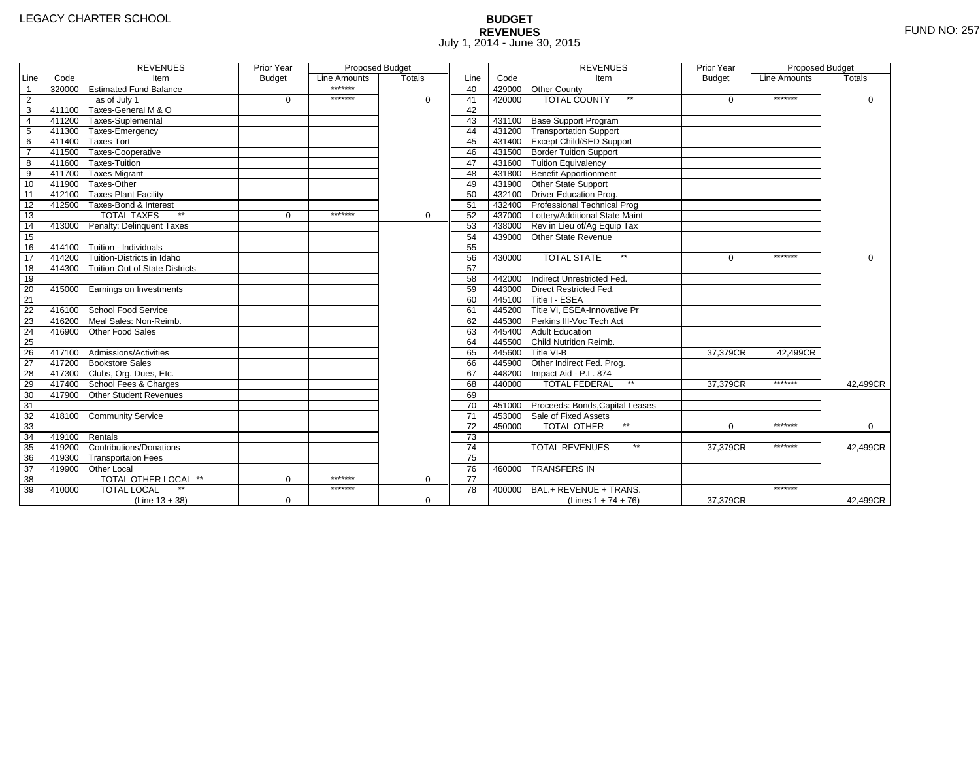# **BUDGET REVENUES** FUND NO: 257 July 1, 2014 - June 30, 2015

|                 |        | <b>REVENUES</b>                         | Prior Year    | <b>Proposed Budget</b> |             |                 |        | <b>REVENUES</b>                        | Prior Year    | Proposed Budget |          |
|-----------------|--------|-----------------------------------------|---------------|------------------------|-------------|-----------------|--------|----------------------------------------|---------------|-----------------|----------|
| Line            | Code   | Item                                    | <b>Budget</b> | Line Amounts           | Totals      | Line            | Code   | Item                                   | <b>Budget</b> | Line Amounts    | Totals   |
| $\mathbf{1}$    |        | 320000 Estimated Fund Balance           |               | *******                |             | 40              |        | 429000 Other County                    |               |                 |          |
| $\overline{2}$  |        | as of July 1                            | $\mathbf 0$   | *******                | 0           | 41              | 420000 | <b>TOTAL COUNTY</b><br>$\star\star$    | $\Omega$      | *******         | 0        |
| $\overline{3}$  | 411100 | Taxes-General M & O                     |               |                        |             | 42              |        |                                        |               |                 |          |
| $\overline{4}$  |        | 411200 Taxes-Suplemental                |               |                        |             | 43              |        | 431100 Base Support Program            |               |                 |          |
| 5               |        | 411300 Taxes-Emergency                  |               |                        |             | 44              |        | 431200 Transportation Support          |               |                 |          |
| 6               |        | 411400 Taxes-Tort                       |               |                        |             | 45              |        | 431400 Except Child/SED Support        |               |                 |          |
| $\overline{7}$  |        | 411500 Taxes-Cooperative                |               |                        |             | 46              |        | 431500 Border Tuition Support          |               |                 |          |
| 8               |        | 411600 Taxes-Tuition                    |               |                        |             | 47              |        | 431600 Tuition Equivalency             |               |                 |          |
| $\overline{9}$  |        | 411700 Taxes-Migrant                    |               |                        |             | 48              |        | 431800 Benefit Apportionment           |               |                 |          |
| 10              |        | 411900 Taxes-Other                      |               |                        |             | 49              |        | 431900 Other State Support             |               |                 |          |
| $\overline{11}$ |        | 412100 Taxes-Plant Facility             |               |                        |             | 50              |        | 432100 Driver Education Prog.          |               |                 |          |
| 12              |        | 412500 Taxes-Bond & Interest            |               |                        |             | 51              |        | 432400 Professional Technical Prog     |               |                 |          |
| 13              |        | $**$<br><b>TOTAL TAXES</b>              | $\Omega$      | *******                | 0           | 52              |        | 437000 Lottery/Additional State Maint  |               |                 |          |
| 14              | 413000 | Penalty: Delinquent Taxes               |               |                        |             | 53              |        | 438000 Rev in Lieu of/Ag Equip Tax     |               |                 |          |
| 15              |        |                                         |               |                        |             | 54              |        | 439000 Other State Revenue             |               |                 |          |
| 16              |        | $414100$ Tuition - Individuals          |               |                        |             | 55              |        |                                        |               |                 |          |
| 17              |        | 414200 Tuition-Districts in Idaho       |               |                        |             | 56              | 430000 | <b>TOTAL STATE</b><br>$\star\star$     | $\Omega$      | *******         | $\Omega$ |
| 18              |        | 414300   Tuition-Out of State Districts |               |                        |             | 57              |        |                                        |               |                 |          |
| 19              |        |                                         |               |                        |             | 58              |        | 442000 Indirect Unrestricted Fed.      |               |                 |          |
| 20              |        | 415000 Earnings on Investments          |               |                        |             | 59              |        | 443000 Direct Restricted Fed.          |               |                 |          |
| 21              |        |                                         |               |                        |             | 60              |        | 445100 Title I - ESEA                  |               |                 |          |
| 22              |        | 416100 School Food Service              |               |                        |             | 61              |        | 445200 Title VI. ESEA-Innovative Pr    |               |                 |          |
| 23              | 416200 | Meal Sales: Non-Reimb.                  |               |                        |             | 62              |        | 445300 Perkins III-Voc Tech Act        |               |                 |          |
| $\overline{24}$ | 416900 | Other Food Sales                        |               |                        |             | 63              |        | 445400 Adult Education                 |               |                 |          |
| 25              |        |                                         |               |                        |             | 64              |        | 445500 Child Nutrition Reimb.          |               |                 |          |
| 26              |        | 417100 Admissions/Activities            |               |                        |             | 65              |        | 445600 Title VI-B                      | 37.379CR      | 42.499CR        |          |
| $\overline{27}$ |        | 417200 Bookstore Sales                  |               |                        |             | 66              |        | 445900 Other Indirect Fed. Prog.       |               |                 |          |
| 28              |        | 417300 Clubs, Org. Dues, Etc.           |               |                        |             | 67              |        | 448200   Impact Aid - P.L. 874         |               |                 |          |
| 29              |        | 417400 School Fees & Charges            |               |                        |             | 68              | 440000 | $\star\star$<br><b>TOTAL FEDERAL</b>   | 37,379CR      | *******         | 42.499CR |
| 30              | 417900 | Other Student Revenues                  |               |                        |             | 69              |        |                                        |               |                 |          |
| 31              |        |                                         |               |                        |             | 70              |        | 451000 Proceeds: Bonds, Capital Leases |               |                 |          |
| 32              | 418100 | <b>Community Service</b>                |               |                        |             | 71              |        | 453000 Sale of Fixed Assets            |               |                 |          |
| 33              |        |                                         |               |                        |             | 72              | 450000 | TOTAL OTHER                            | $\Omega$      | *******         | 0        |
| 34              | 419100 | Rentals                                 |               |                        |             | 73              |        |                                        |               |                 |          |
| $\overline{35}$ | 419200 | <b>Contributions/Donations</b>          |               |                        |             | 74              |        | $\star\star$<br><b>TOTAL REVENUES</b>  | 37,379CR      | *******         | 42,499CR |
| 36              | 419300 | <b>Transportaion Fees</b>               |               |                        |             | $\overline{75}$ |        |                                        |               |                 |          |
| 37              |        | 419900 Other Local                      |               |                        |             | 76              | 460000 | <b>TRANSFERS IN</b>                    |               |                 |          |
| 38              |        | <b>TOTAL OTHER LOCAL **</b>             | $\Omega$      | *******                | 0           | $\overline{77}$ |        |                                        |               |                 |          |
| 39              | 410000 | <b>TOTAL LOCAL</b>                      |               | *******                |             | 78              | 400000 | BAL.+ REVENUE + TRANS.                 |               | *******         |          |
|                 |        | $(Line 13 + 38)$                        | 0             |                        | $\mathbf 0$ |                 |        | (Lines $1 + 74 + 76$ )                 | 37,379CR      |                 | 42,499CR |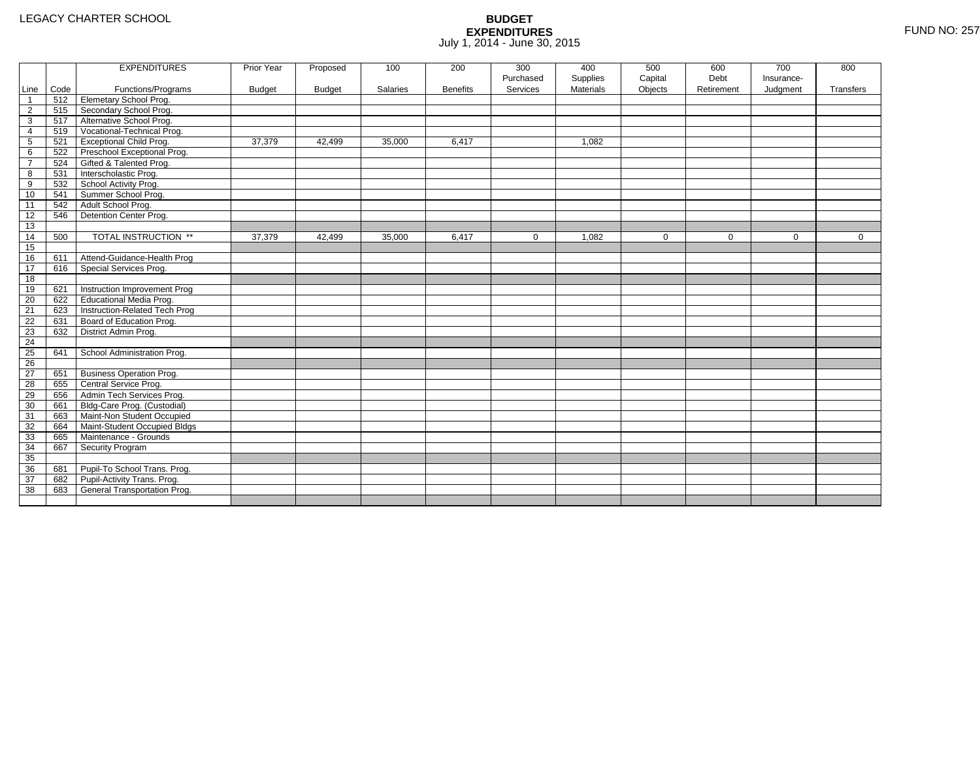|                 |      | <b>EXPENDITURES</b>             | Prior Year    | Proposed      | 100      | 200             | 300          | 400              | 500         | 600         | 700        | 800       |
|-----------------|------|---------------------------------|---------------|---------------|----------|-----------------|--------------|------------------|-------------|-------------|------------|-----------|
|                 |      |                                 |               |               |          |                 | Purchased    | Supplies         | Capital     | Debt        | Insurance- |           |
| Line            | Code | Functions/Programs              | <b>Budget</b> | <b>Budget</b> | Salaries | <b>Benefits</b> | Services     | <b>Materials</b> | Objects     | Retirement  | Judgment   | Transfers |
| $\overline{1}$  | 512  | <b>Elemetary School Prog.</b>   |               |               |          |                 |              |                  |             |             |            |           |
| $\overline{2}$  | 515  | Secondary School Prog.          |               |               |          |                 |              |                  |             |             |            |           |
| 3               | 517  | Alternative School Prog.        |               |               |          |                 |              |                  |             |             |            |           |
| 4               | 519  | Vocational-Technical Prog.      |               |               |          |                 |              |                  |             |             |            |           |
| 5               | 521  | <b>Exceptional Child Prog.</b>  | 37,379        | 42,499        | 35,000   | 6,417           |              | 1,082            |             |             |            |           |
| 6               | 522  | Preschool Exceptional Prog.     |               |               |          |                 |              |                  |             |             |            |           |
| $\overline{7}$  | 524  | Gifted & Talented Prog.         |               |               |          |                 |              |                  |             |             |            |           |
| 8               | 531  | Interscholastic Prog.           |               |               |          |                 |              |                  |             |             |            |           |
| 9               | 532  | School Activity Prog.           |               |               |          |                 |              |                  |             |             |            |           |
| 10              | 541  | Summer School Prog.             |               |               |          |                 |              |                  |             |             |            |           |
| 11              | 542  | Adult School Prog.              |               |               |          |                 |              |                  |             |             |            |           |
| $\overline{12}$ | 546  | Detention Center Prog.          |               |               |          |                 |              |                  |             |             |            |           |
| 13              |      |                                 |               |               |          |                 |              |                  |             |             |            |           |
| 14              | 500  | TOTAL INSTRUCTION **            | 37,379        | 42,499        | 35,000   | 6,417           | $\mathbf{0}$ | 1,082            | $\mathbf 0$ | $\mathbf 0$ | 0          | 0         |
| 15              |      |                                 |               |               |          |                 |              |                  |             |             |            |           |
| 16              | 611  | Attend-Guidance-Health Prog     |               |               |          |                 |              |                  |             |             |            |           |
| 17              | 616  | Special Services Prog.          |               |               |          |                 |              |                  |             |             |            |           |
| 18              |      |                                 |               |               |          |                 |              |                  |             |             |            |           |
| $\overline{19}$ | 621  | Instruction Improvement Prog    |               |               |          |                 |              |                  |             |             |            |           |
| $\overline{20}$ | 622  | <b>Educational Media Prog.</b>  |               |               |          |                 |              |                  |             |             |            |           |
| 21              | 623  | Instruction-Related Tech Prog   |               |               |          |                 |              |                  |             |             |            |           |
| $\overline{22}$ | 631  | Board of Education Prog.        |               |               |          |                 |              |                  |             |             |            |           |
| $\overline{23}$ | 632  | District Admin Prog.            |               |               |          |                 |              |                  |             |             |            |           |
| 24              |      |                                 |               |               |          |                 |              |                  |             |             |            |           |
| 25              | 641  | School Administration Prog.     |               |               |          |                 |              |                  |             |             |            |           |
| 26              |      |                                 |               |               |          |                 |              |                  |             |             |            |           |
| $\overline{27}$ | 651  | <b>Business Operation Prog.</b> |               |               |          |                 |              |                  |             |             |            |           |
| 28              | 655  | Central Service Prog.           |               |               |          |                 |              |                  |             |             |            |           |
| 29              | 656  | Admin Tech Services Prog.       |               |               |          |                 |              |                  |             |             |            |           |
| 30              | 661  | Bldg-Care Prog. (Custodial)     |               |               |          |                 |              |                  |             |             |            |           |
| 31              | 663  | Maint-Non Student Occupied      |               |               |          |                 |              |                  |             |             |            |           |
| 32              | 664  | Maint-Student Occupied Bldgs    |               |               |          |                 |              |                  |             |             |            |           |
| 33              | 665  | Maintenance - Grounds           |               |               |          |                 |              |                  |             |             |            |           |
| 34              | 667  | Security Program                |               |               |          |                 |              |                  |             |             |            |           |
| 35              |      |                                 |               |               |          |                 |              |                  |             |             |            |           |
| 36              | 681  | Pupil-To School Trans. Prog.    |               |               |          |                 |              |                  |             |             |            |           |
| $\overline{37}$ | 682  | Pupil-Activity Trans. Prog.     |               |               |          |                 |              |                  |             |             |            |           |
| $\overline{38}$ | 683  | General Transportation Prog.    |               |               |          |                 |              |                  |             |             |            |           |
|                 |      |                                 |               |               |          |                 |              |                  |             |             |            |           |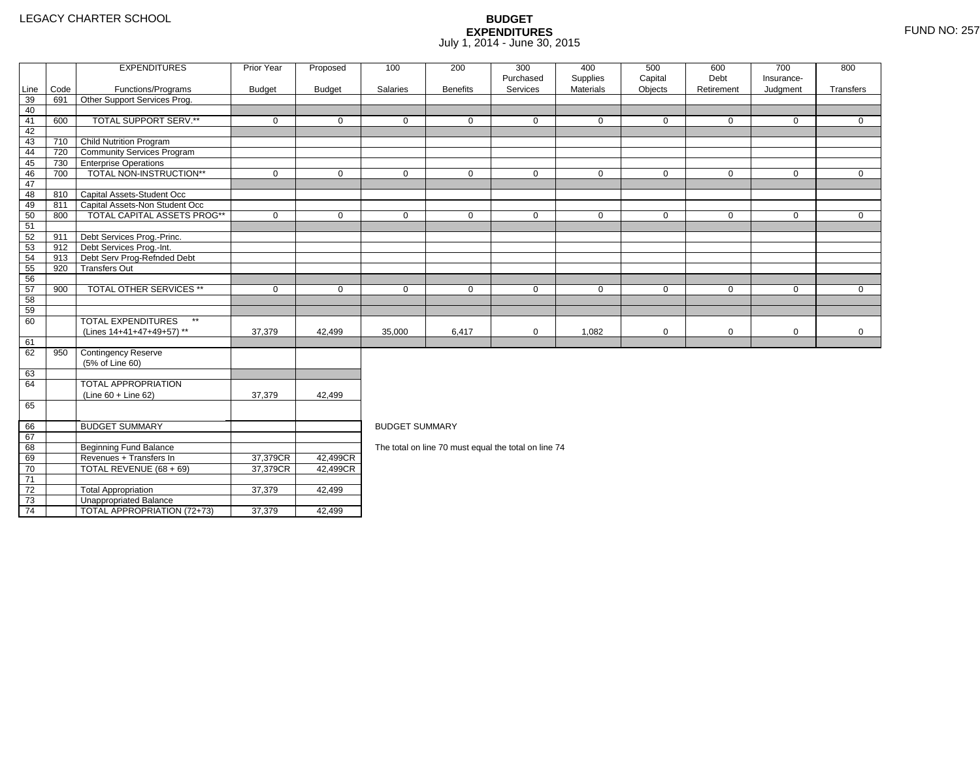2 Total Appropriation 1 37,379 42,499

4 | TOTAL APPROPRIATION (72+73) | 37,379 | 42,499

73

74

3 **Unappropriated Balance** 

|          |      | <b>EXPENDITURES</b>                                      | Prior Year           | Proposed      | 100                   | 200             | 300                                                  | 400                   | 500                | 600                | 700                    | 800          |
|----------|------|----------------------------------------------------------|----------------------|---------------|-----------------------|-----------------|------------------------------------------------------|-----------------------|--------------------|--------------------|------------------------|--------------|
| Line     | Code | Functions/Programs                                       | <b>Budget</b>        | <b>Budget</b> | Salaries              | <b>Benefits</b> | Purchased<br>Services                                | Supplies<br>Materials | Capital<br>Objects | Debt<br>Retirement | Insurance-<br>Judgment | Transfers    |
| 39       | 691  | Other Support Services Prog.                             |                      |               |                       |                 |                                                      |                       |                    |                    |                        |              |
| 40       |      |                                                          |                      |               |                       |                 |                                                      |                       |                    |                    |                        |              |
| 41       | 600  | TOTAL SUPPORT SERV.**                                    | $\mathbf 0$          | $\mathbf 0$   | $\mathbf 0$           | $\Omega$        | $\Omega$                                             | $\mathbf 0$           | $\mathbf 0$        | 0                  | $\mathbf 0$            | $\Omega$     |
| 42       |      |                                                          |                      |               |                       |                 |                                                      |                       |                    |                    |                        |              |
| 43       |      | 710 Child Nutrition Program                              |                      |               |                       |                 |                                                      |                       |                    |                    |                        |              |
| 44       | 720  | Community Services Program                               |                      |               |                       |                 |                                                      |                       |                    |                    |                        |              |
| 45       |      | 730 Enterprise Operations                                |                      |               |                       |                 |                                                      |                       |                    |                    |                        |              |
| 46       | 700  | TOTAL NON-INSTRUCTION**                                  | $\mathbf 0$          | $\mathbf 0$   | $\mathbf 0$           | $\mathbf 0$     | $\mathbf 0$                                          | $\mathbf 0$           | $\mathbf 0$        | $\mathbf 0$        | $\mathbf{0}$           | $\mathbf 0$  |
| 47       |      |                                                          |                      |               |                       |                 |                                                      |                       |                    |                    |                        |              |
| 48       |      | 810 Capital Assets-Student Occ                           |                      |               |                       |                 |                                                      |                       |                    |                    |                        |              |
| 49       | 811  | Capital Assets-Non Student Occ                           |                      |               |                       |                 |                                                      |                       |                    |                    |                        |              |
| 50       | 800  | TOTAL CAPITAL ASSETS PROG**                              | $\mathbf 0$          | $\Omega$      | $\mathbf 0$           | $\mathbf 0$     | $\mathbf 0$                                          | 0                     | $\mathbf 0$        | $\mathbf 0$        | $\mathbf 0$            | $\mathbf 0$  |
| 51       |      |                                                          |                      |               |                       |                 |                                                      |                       |                    |                    |                        |              |
| 52       | 911  | Debt Services Prog.-Princ.                               |                      |               |                       |                 |                                                      |                       |                    |                    |                        |              |
| 53       |      | 912 Debt Services Prog.-Int.                             |                      |               |                       |                 |                                                      |                       |                    |                    |                        |              |
| 54       | 913  | Debt Serv Prog-Refnded Debt                              |                      |               |                       |                 |                                                      |                       |                    |                    |                        |              |
| 55       | 920  | <b>Transfers Out</b>                                     |                      |               |                       |                 |                                                      |                       |                    |                    |                        |              |
| 56       |      |                                                          |                      |               |                       |                 |                                                      |                       |                    |                    |                        |              |
| 57       | 900  | <b>TOTAL OTHER SERVICES **</b>                           | $\mathbf 0$          | $\mathbf 0$   | $\mathbf 0$           | $\mathbf 0$     | 0                                                    | $\mathbf 0$           | 0                  | 0                  | 0                      | $\mathbf{0}$ |
| 58       |      |                                                          |                      |               |                       |                 |                                                      |                       |                    |                    |                        |              |
| 59       |      |                                                          |                      |               |                       |                 |                                                      |                       |                    |                    |                        |              |
| 60       |      | <b>TOTAL EXPENDITURES</b><br>$\star\star$                |                      |               |                       |                 |                                                      |                       |                    |                    |                        |              |
|          |      | (Lines 14+41+47+49+57) **                                | 37,379               | 42,499        | 35,000                | 6,417           | $\mathbf 0$                                          | 1,082                 | $\mathbf 0$        | 0                  | $\mathbf 0$            | $\mathbf 0$  |
| 61       |      |                                                          |                      |               |                       |                 |                                                      |                       |                    |                    |                        |              |
| 62       | 950  | <b>Contingency Reserve</b>                               |                      |               |                       |                 |                                                      |                       |                    |                    |                        |              |
|          |      | (5% of Line 60)                                          |                      |               |                       |                 |                                                      |                       |                    |                    |                        |              |
| 63       |      |                                                          |                      |               |                       |                 |                                                      |                       |                    |                    |                        |              |
| 64       |      | <b>TOTAL APPROPRIATION</b>                               |                      |               |                       |                 |                                                      |                       |                    |                    |                        |              |
|          |      | $(Line 60 + Line 62)$                                    | 37,379               | 42,499        |                       |                 |                                                      |                       |                    |                    |                        |              |
| 65       |      |                                                          |                      |               |                       |                 |                                                      |                       |                    |                    |                        |              |
|          |      |                                                          |                      |               |                       |                 |                                                      |                       |                    |                    |                        |              |
| 66<br>67 |      | <b>BUDGET SUMMARY</b>                                    |                      |               | <b>BUDGET SUMMARY</b> |                 |                                                      |                       |                    |                    |                        |              |
| 68       |      |                                                          |                      |               |                       |                 |                                                      |                       |                    |                    |                        |              |
|          |      | <b>Beginning Fund Balance</b><br>Revenues + Transfers In |                      | 42,499CR      |                       |                 | The total on line 70 must equal the total on line 74 |                       |                    |                    |                        |              |
| 69       |      | TOTAL REVENUE (68 + 69)                                  | 37,379CR<br>37,379CR | 42,499CR      |                       |                 |                                                      |                       |                    |                    |                        |              |
| 70<br>71 |      |                                                          |                      |               |                       |                 |                                                      |                       |                    |                    |                        |              |
| 72       |      | <b>Total Appropriation</b>                               | 37,379               | 42.499        |                       |                 |                                                      |                       |                    |                    |                        |              |
|          |      |                                                          |                      |               |                       |                 |                                                      |                       |                    |                    |                        |              |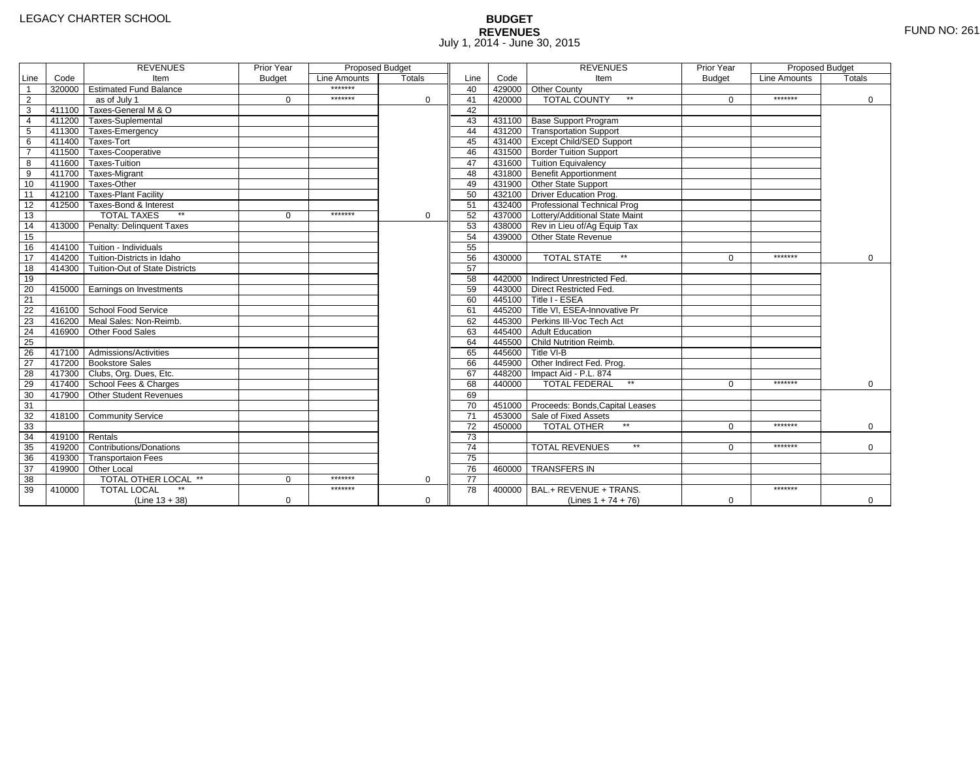# **BUDGET REVENUES** FUND NO: 261 July 1, 2014 - June 30, 2015

|                         |                | <b>REVENUES</b>                         | Prior Year    | <b>Proposed Budget</b> |               |                 |        | <b>REVENUES</b>                        | Prior Year    | Proposed Budget |             |
|-------------------------|----------------|-----------------------------------------|---------------|------------------------|---------------|-----------------|--------|----------------------------------------|---------------|-----------------|-------------|
| Line                    | Code           | Item                                    | <b>Budget</b> | Line Amounts           | <b>Totals</b> | Line            | Code   | Item                                   | <b>Budget</b> | Line Amounts    | Totals      |
| $\overline{1}$          |                | 320000 Estimated Fund Balance           |               | *******                |               | 40              |        | 429000 Other County                    |               |                 |             |
| $\overline{2}$          |                | as of July 1                            | $\Omega$      | *******                | $\Omega$      | 41              | 420000 | <b>TOTAL COUNTY</b><br>$\star\star$    | $\Omega$      | *******         | $\mathbf 0$ |
| $\overline{\mathbf{3}}$ |                | 411100 Taxes-General M & O              |               |                        |               | 42              |        |                                        |               |                 |             |
| $\overline{4}$          |                | 411200 Taxes-Suplemental                |               |                        |               | 43              |        | 431100 Base Support Program            |               |                 |             |
| $\overline{5}$          |                | 411300 Taxes-Emergency                  |               |                        |               | 44              |        | 431200 Transportation Support          |               |                 |             |
| 6                       |                | 411400 Taxes-Tort                       |               |                        |               | 45              |        | 431400 Except Child/SED Support        |               |                 |             |
| $\overline{7}$          |                | 411500 Taxes-Cooperative                |               |                        |               | 46              |        | 431500 Border Tuition Support          |               |                 |             |
| 8                       |                | 411600 Taxes-Tuition                    |               |                        |               | 47              |        | 431600 Tuition Equivalency             |               |                 |             |
| 9                       |                | 411700 Taxes-Migrant                    |               |                        |               | 48              |        | 431800 Benefit Apportionment           |               |                 |             |
| 10                      |                | 411900 Taxes-Other                      |               |                        |               | 49              |        | 431900 Other State Support             |               |                 |             |
| 11                      |                | 412100 Taxes-Plant Facility             |               |                        |               | 50              |        | 432100 Driver Education Prog.          |               |                 |             |
| 12                      |                | 412500 Taxes-Bond & Interest            |               |                        |               | 51              |        | 432400 Professional Technical Prog     |               |                 |             |
| 13                      |                | <b>TOTAL TAXES</b>                      | $\Omega$      | *******                | 0             | 52              |        | 437000 Lottery/Additional State Maint  |               |                 |             |
| 14                      |                | 413000 Penalty: Delinguent Taxes        |               |                        |               | 53              |        | 438000 Rev in Lieu of/Ag Equip Tax     |               |                 |             |
| 15                      |                |                                         |               |                        |               | 54              |        | 439000 Other State Revenue             |               |                 |             |
| 16                      |                | 414100 Tuition - Individuals            |               |                        |               | 55              |        |                                        |               |                 |             |
| 17                      |                | 414200 Tuition-Districts in Idaho       |               |                        |               | 56              | 430000 | <b>TOTAL STATE</b><br>$\star\star$     | $\Omega$      | *******         | $\mathbf 0$ |
| $\overline{18}$         |                | 414300   Tuition-Out of State Districts |               |                        |               | 57              |        |                                        |               |                 |             |
| 19                      |                |                                         |               |                        |               | 58              |        | 442000 Indirect Unrestricted Fed.      |               |                 |             |
| 20                      |                | 415000 Earnings on Investments          |               |                        |               | 59              |        | 443000 Direct Restricted Fed.          |               |                 |             |
| 21                      |                |                                         |               |                        |               | 60              |        | 445100 Title I - ESEA                  |               |                 |             |
| 22                      |                | 416100 School Food Service              |               |                        |               | 61              |        | 445200 Title VI. ESEA-Innovative Pr    |               |                 |             |
| 23                      |                | 416200 Meal Sales: Non-Reimb.           |               |                        |               | 62              |        | 445300 Perkins III-Voc Tech Act        |               |                 |             |
| 24                      |                | 416900 Other Food Sales                 |               |                        |               | 63              |        | 445400 Adult Education                 |               |                 |             |
| $\overline{25}$         |                |                                         |               |                        |               | 64              |        | 445500 Child Nutrition Reimb.          |               |                 |             |
| 26                      |                | 417100 Admissions/Activities            |               |                        |               | 65              |        | 445600 Title VI-B                      |               |                 |             |
| $\overline{27}$         |                | 417200 Bookstore Sales                  |               |                        |               | 66              |        | 445900 Other Indirect Fed. Prog.       |               |                 |             |
| 28                      |                | 417300 Clubs, Org. Dues, Etc.           |               |                        |               | 67              |        | 448200 Impact Aid - P.L. 874           |               |                 |             |
| 29                      |                | 417400 School Fees & Charges            |               |                        |               | 68              | 440000 | <b>TOTAL FEDERAL</b><br>$\star\star$   | $\Omega$      | *******         | $\Omega$    |
| 30                      | 417900         | Other Student Revenues                  |               |                        |               | 69              |        |                                        |               |                 |             |
| 31                      |                |                                         |               |                        |               | 70              |        | 451000 Proceeds: Bonds, Capital Leases |               |                 |             |
| 32                      |                | 418100 Community Service                |               |                        |               | $\overline{71}$ |        | 453000 Sale of Fixed Assets            |               |                 |             |
| 33                      |                |                                         |               |                        |               | 72              | 450000 | <b>TOTAL OTHER</b>                     | $\Omega$      | *******         | $\mathbf 0$ |
| 34                      | 419100 Rentals |                                         |               |                        |               | $\overline{73}$ |        |                                        |               |                 |             |
| 35                      |                | 419200 Contributions/Donations          |               |                        |               | $\overline{74}$ |        | $\star\star$<br><b>TOTAL REVENUES</b>  | 0             | *******         | $\Omega$    |
| 36                      |                | 419300 Transportaion Fees               |               |                        |               | $\overline{75}$ |        |                                        |               |                 |             |
| 37                      |                | 419900 Other Local                      |               |                        |               | 76              | 460000 | <b>TRANSFERS IN</b>                    |               |                 |             |
| 38                      |                | TOTAL OTHER LOCAL **                    | $\Omega$      | *******                | $\mathbf 0$   | 77              |        |                                        |               |                 |             |
| 39                      | 410000         | <b>TOTAL LOCAL</b>                      |               | *******                |               | 78              | 400000 | BAL.+ REVENUE + TRANS.                 |               | *******         |             |
|                         |                | $(Line 13 + 38)$                        | $\mathbf 0$   |                        | $\mathbf 0$   |                 |        | (Lines $1 + 74 + 76$ )                 | $\mathbf 0$   |                 | 0           |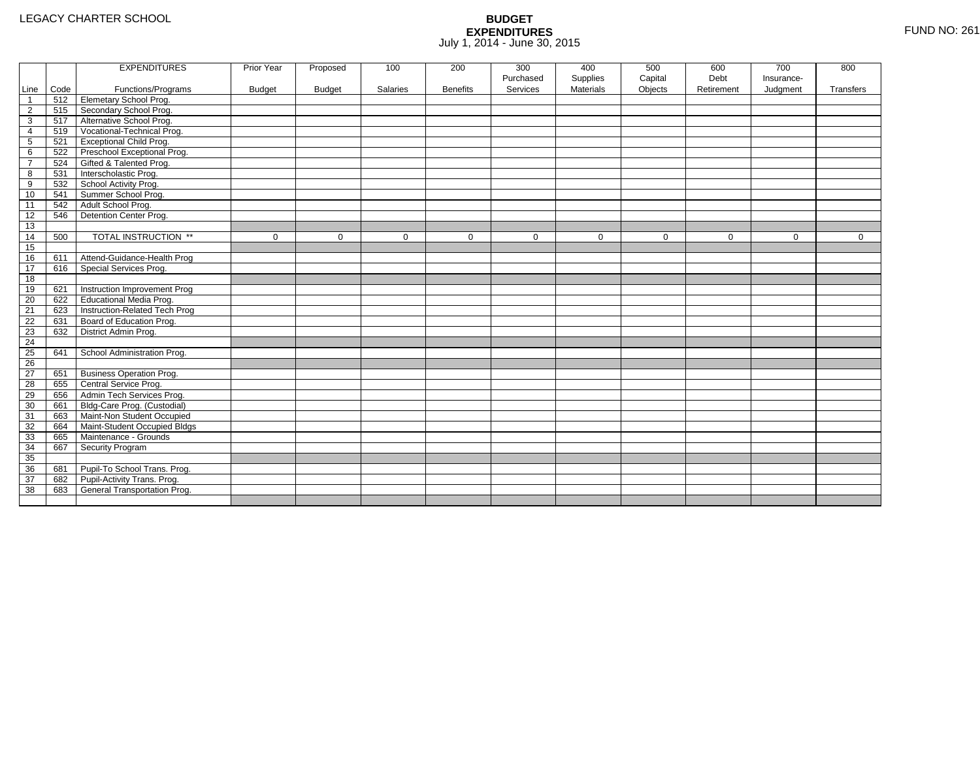|                 |      | <b>EXPENDITURES</b>             | Prior Year    | Proposed      | 100             | 200             | 300         | 400              | 500         | 600         | 700         | 800         |
|-----------------|------|---------------------------------|---------------|---------------|-----------------|-----------------|-------------|------------------|-------------|-------------|-------------|-------------|
|                 |      |                                 |               |               |                 |                 | Purchased   | Supplies         | Capital     | Debt        | Insurance-  |             |
| Line            | Code | Functions/Programs              | <b>Budget</b> | <b>Budget</b> | <b>Salaries</b> | <b>Benefits</b> | Services    | <b>Materials</b> | Objects     | Retirement  | Judgment    | Transfers   |
| $\mathbf{1}$    | 512  | Elemetary School Prog.          |               |               |                 |                 |             |                  |             |             |             |             |
| $\overline{2}$  | 515  | Secondary School Prog.          |               |               |                 |                 |             |                  |             |             |             |             |
| 3               | 517  | Alternative School Prog.        |               |               |                 |                 |             |                  |             |             |             |             |
| 4               | 519  | Vocational-Technical Prog.      |               |               |                 |                 |             |                  |             |             |             |             |
| 5               | 521  | <b>Exceptional Child Prog.</b>  |               |               |                 |                 |             |                  |             |             |             |             |
| 6               | 522  | Preschool Exceptional Prog.     |               |               |                 |                 |             |                  |             |             |             |             |
| $\overline{7}$  | 524  | Gifted & Talented Prog.         |               |               |                 |                 |             |                  |             |             |             |             |
| 8               | 531  | Interscholastic Prog.           |               |               |                 |                 |             |                  |             |             |             |             |
| 9               | 532  | School Activity Prog.           |               |               |                 |                 |             |                  |             |             |             |             |
| 10              | 541  | Summer School Prog.             |               |               |                 |                 |             |                  |             |             |             |             |
| 11              | 542  | Adult School Prog.              |               |               |                 |                 |             |                  |             |             |             |             |
| 12              | 546  | Detention Center Prog.          |               |               |                 |                 |             |                  |             |             |             |             |
| 13              |      |                                 |               |               |                 |                 |             |                  |             |             |             |             |
| 14              | 500  | TOTAL INSTRUCTION **            | $\mathbf 0$   | 0             | 0               | $\mathbf 0$     | $\mathbf 0$ | $\mathbf 0$      | $\mathbf 0$ | $\mathbf 0$ | $\mathbf 0$ | $\mathbf 0$ |
| 15              |      |                                 |               |               |                 |                 |             |                  |             |             |             |             |
| 16              | 611  | Attend-Guidance-Health Prog     |               |               |                 |                 |             |                  |             |             |             |             |
| 17              | 616  | Special Services Prog.          |               |               |                 |                 |             |                  |             |             |             |             |
| 18              |      |                                 |               |               |                 |                 |             |                  |             |             |             |             |
| 19              | 621  | Instruction Improvement Prog    |               |               |                 |                 |             |                  |             |             |             |             |
| 20              | 622  | <b>Educational Media Prog.</b>  |               |               |                 |                 |             |                  |             |             |             |             |
| 21              | 623  | Instruction-Related Tech Prog   |               |               |                 |                 |             |                  |             |             |             |             |
| 22              | 631  | Board of Education Prog.        |               |               |                 |                 |             |                  |             |             |             |             |
| 23              | 632  | District Admin Prog.            |               |               |                 |                 |             |                  |             |             |             |             |
| 24              |      |                                 |               |               |                 |                 |             |                  |             |             |             |             |
| 25              | 641  | School Administration Prog.     |               |               |                 |                 |             |                  |             |             |             |             |
| 26              |      |                                 |               |               |                 |                 |             |                  |             |             |             |             |
| $\overline{27}$ | 651  | <b>Business Operation Prog.</b> |               |               |                 |                 |             |                  |             |             |             |             |
| 28              | 655  | Central Service Prog.           |               |               |                 |                 |             |                  |             |             |             |             |
| 29              | 656  | Admin Tech Services Prog.       |               |               |                 |                 |             |                  |             |             |             |             |
| 30              | 661  | Bldg-Care Prog. (Custodial)     |               |               |                 |                 |             |                  |             |             |             |             |
| 31              | 663  | Maint-Non Student Occupied      |               |               |                 |                 |             |                  |             |             |             |             |
| 32              | 664  | Maint-Student Occupied Bldgs    |               |               |                 |                 |             |                  |             |             |             |             |
| 33              | 665  | Maintenance - Grounds           |               |               |                 |                 |             |                  |             |             |             |             |
| 34              | 667  | Security Program                |               |               |                 |                 |             |                  |             |             |             |             |
| 35              |      |                                 |               |               |                 |                 |             |                  |             |             |             |             |
| 36              | 681  | Pupil-To School Trans. Prog.    |               |               |                 |                 |             |                  |             |             |             |             |
| 37              | 682  | Pupil-Activity Trans. Prog.     |               |               |                 |                 |             |                  |             |             |             |             |
| 38              | 683  | General Transportation Prog.    |               |               |                 |                 |             |                  |             |             |             |             |
|                 |      |                                 |               |               |                 |                 |             |                  |             |             |             |             |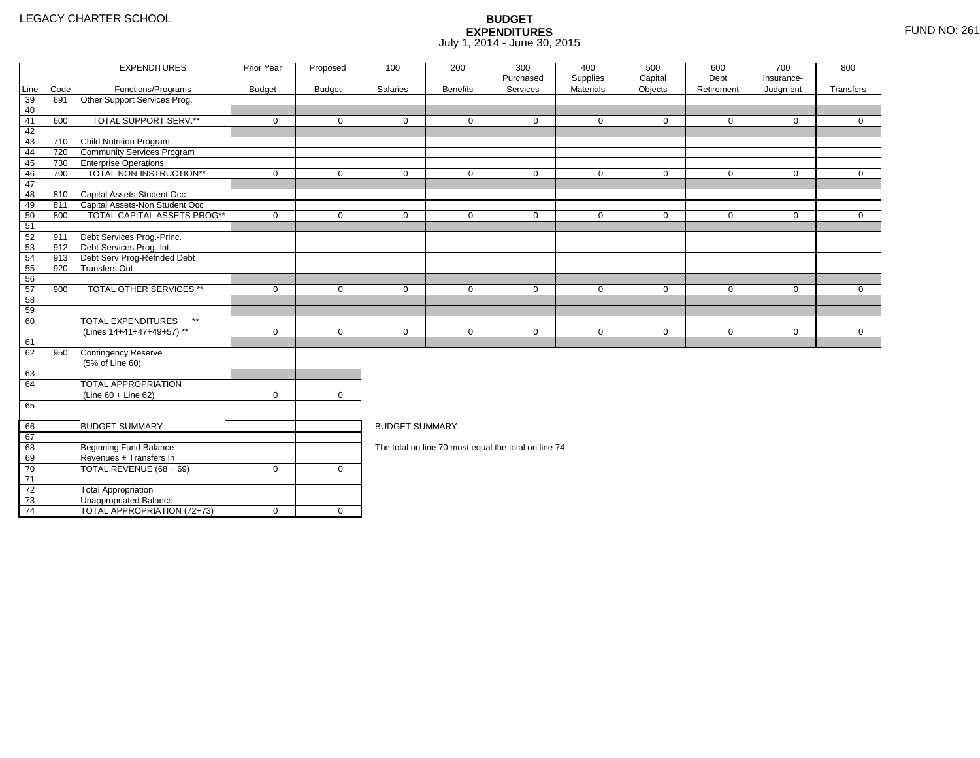4 | TOTAL APPROPRIATION (72+73) | 0 | 0

|                 |      | <b>EXPENDITURES</b>                       | Prior Year    | Proposed      | 100                   | 200             | 300<br>Purchased                                     | 400<br>Supplies | 500<br>Capital | 600<br>Debt | 700<br>Insurance- | 800          |
|-----------------|------|-------------------------------------------|---------------|---------------|-----------------------|-----------------|------------------------------------------------------|-----------------|----------------|-------------|-------------------|--------------|
| Line            | Code | Functions/Programs                        | <b>Budget</b> | <b>Budget</b> | Salaries              | <b>Benefits</b> | Services                                             | Materials       | Objects        | Retirement  | Judgment          | Transfers    |
| 39              | 691  | Other Support Services Prog.              |               |               |                       |                 |                                                      |                 |                |             |                   |              |
| 40              |      |                                           |               |               |                       |                 |                                                      |                 |                |             |                   |              |
| 41              | 600  | TOTAL SUPPORT SERV.**                     | $\mathbf 0$   | $\mathbf 0$   | $\mathbf 0$           | $\mathbf{0}$    | $\mathbf 0$                                          | $\mathbf 0$     | $\mathbf 0$    | $\mathbf 0$ | $\mathbf 0$       | $\mathbf{0}$ |
| 42              |      |                                           |               |               |                       |                 |                                                      |                 |                |             |                   |              |
| 43              | 710  | Child Nutrition Program                   |               |               |                       |                 |                                                      |                 |                |             |                   |              |
| 44              | 720  | <b>Community Services Program</b>         |               |               |                       |                 |                                                      |                 |                |             |                   |              |
| 45              | 730  | <b>TEnterprise Operations</b>             |               |               |                       |                 |                                                      |                 |                |             |                   |              |
| 46              | 700  | TOTAL NON-INSTRUCTION**                   | $\mathbf 0$   | $\mathbf 0$   | $\mathbf 0$           | $\mathbf 0$     | $\mathbf 0$                                          | $\mathbf 0$     | $\mathbf 0$    | $\mathbf 0$ | $\overline{0}$    | $\mathbf{0}$ |
| 47              |      |                                           |               |               |                       |                 |                                                      |                 |                |             |                   |              |
| 48              |      | 810 Capital Assets-Student Occ            |               |               |                       |                 |                                                      |                 |                |             |                   |              |
| 49              | 811  | Capital Assets-Non Student Occ            |               |               |                       |                 |                                                      |                 |                |             |                   |              |
| 50              | 800  | <b>TOTAL CAPITAL ASSETS PROG**</b>        | $\mathbf 0$   | $\mathbf 0$   | $\mathbf 0$           | $\mathbf 0$     | $\mathbf 0$                                          | $\mathbf 0$     | $\mathbf 0$    | $\mathbf 0$ | $\mathbf 0$       | $\mathbf{0}$ |
| 51              |      |                                           |               |               |                       |                 |                                                      |                 |                |             |                   |              |
| 52              | 911  | Debt Services Prog.-Princ.                |               |               |                       |                 |                                                      |                 |                |             |                   |              |
| 53              |      | 912 Debt Services Prog.-Int.              |               |               |                       |                 |                                                      |                 |                |             |                   |              |
| 54              | 913  | Debt Serv Prog-Refnded Debt               |               |               |                       |                 |                                                      |                 |                |             |                   |              |
| 55              | 920  | <b>Transfers Out</b>                      |               |               |                       |                 |                                                      |                 |                |             |                   |              |
| 56              |      |                                           |               |               |                       |                 |                                                      |                 |                |             |                   |              |
| 57              | 900  | <b>TOTAL OTHER SERVICES **</b>            | $\mathbf 0$   | $\mathbf 0$   | $\mathbf 0$           | $\mathbf{0}$    | $\mathbf 0$                                          | $\mathbf 0$     | $\mathbf 0$    | $\mathbf 0$ | $\mathbf 0$       | $\Omega$     |
| 58              |      |                                           |               |               |                       |                 |                                                      |                 |                |             |                   |              |
| 59              |      |                                           |               |               |                       |                 |                                                      |                 |                |             |                   |              |
| 60              |      | <b>TOTAL EXPENDITURES</b><br>$\star\star$ |               |               |                       |                 |                                                      |                 |                |             |                   |              |
|                 |      | (Lines 14+41+47+49+57) **                 | $\mathbf 0$   | $\mathbf 0$   | $\mathbf 0$           | $\mathbf 0$     | 0                                                    | 0               | $\mathbf 0$    | $\mathbf 0$ | $\mathbf 0$       | $\mathbf 0$  |
| 61              |      |                                           |               |               |                       |                 |                                                      |                 |                |             |                   |              |
| 62              | 950  | Contingency Reserve                       |               |               |                       |                 |                                                      |                 |                |             |                   |              |
|                 |      | (5% of Line 60)                           |               |               |                       |                 |                                                      |                 |                |             |                   |              |
| 63              |      |                                           |               |               |                       |                 |                                                      |                 |                |             |                   |              |
| 64              |      | <b>TOTAL APPROPRIATION</b>                |               |               |                       |                 |                                                      |                 |                |             |                   |              |
|                 |      | $(Line 60 + Line 62)$                     | $\mathbf 0$   | $\mathbf 0$   |                       |                 |                                                      |                 |                |             |                   |              |
| 65              |      |                                           |               |               |                       |                 |                                                      |                 |                |             |                   |              |
| 66              |      | <b>BUDGET SUMMARY</b>                     |               |               | <b>BUDGET SUMMARY</b> |                 |                                                      |                 |                |             |                   |              |
| 67              |      |                                           |               |               |                       |                 |                                                      |                 |                |             |                   |              |
| 68              |      | <b>Beginning Fund Balance</b>             |               |               |                       |                 | The total on line 70 must equal the total on line 74 |                 |                |             |                   |              |
| 69              |      | Revenues + Transfers In                   |               |               |                       |                 |                                                      |                 |                |             |                   |              |
| 70              |      | TOTAL REVENUE (68 + 69)                   | $\mathbf 0$   | $\mathbf 0$   |                       |                 |                                                      |                 |                |             |                   |              |
| $\overline{71}$ |      |                                           |               |               |                       |                 |                                                      |                 |                |             |                   |              |
| 72              |      | <b>Total Appropriation</b>                |               |               |                       |                 |                                                      |                 |                |             |                   |              |
| 73              |      | Unappropriated Balance                    |               |               |                       |                 |                                                      |                 |                |             |                   |              |
|                 |      |                                           |               |               |                       |                 |                                                      |                 |                |             |                   |              |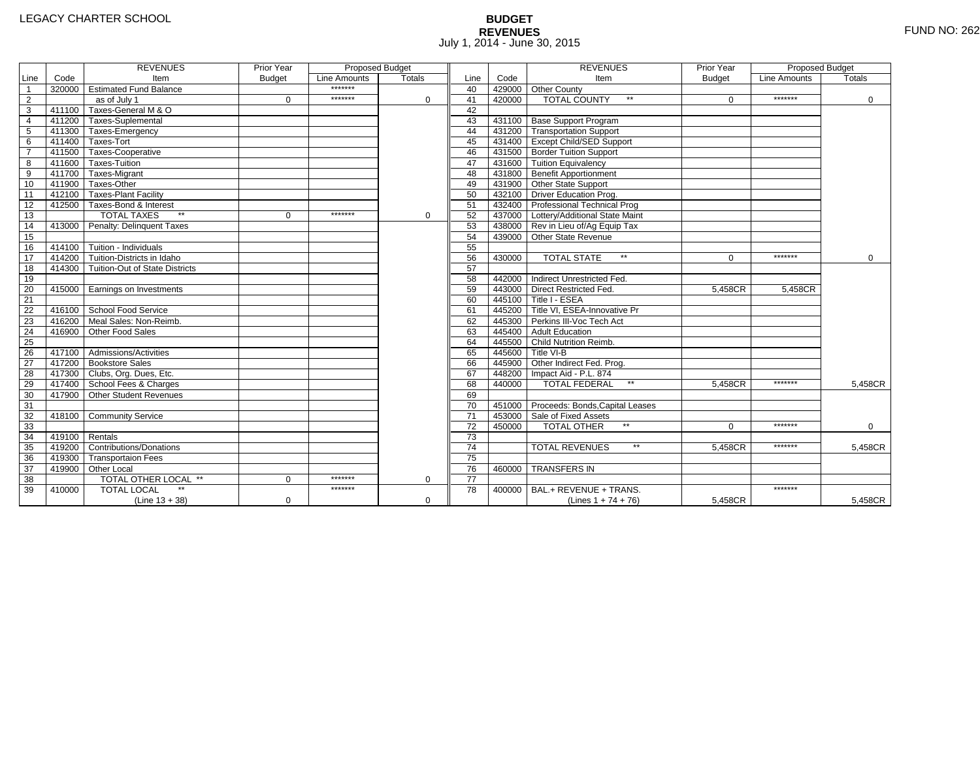# **BUDGET REVENUES** FUND NO: 262 July 1, 2014 - June 30, 2015

|                 |                | <b>REVENUES</b>                         | Prior Year    | <b>Proposed Budget</b> |             |                 |        | <b>REVENUES</b>                        | Prior Year    | <b>Proposed Budget</b> |          |
|-----------------|----------------|-----------------------------------------|---------------|------------------------|-------------|-----------------|--------|----------------------------------------|---------------|------------------------|----------|
| Line            | Code           | Item                                    | <b>Budget</b> | Line Amounts           | Totals      | Line            | Code   | Item                                   | <b>Budget</b> | Line Amounts           | Totals   |
| $\mathbf{1}$    |                | 320000 Estimated Fund Balance           |               | *******                |             | 40              |        | 429000 Other County                    |               |                        |          |
| $\overline{2}$  |                | as of July 1                            | $\Omega$      | *******                | 0           | 41              | 420000 | <b>TOTAL COUNTY</b><br>$\star\star$    | $\Omega$      | *******                | 0        |
| 3               |                | 411100 Taxes-General M & O              |               |                        |             | 42              |        |                                        |               |                        |          |
| $\overline{4}$  |                | 411200 Taxes-Suplemental                |               |                        |             | 43              |        | 431100   Base Support Program          |               |                        |          |
| 5               |                | 411300 Taxes-Emergency                  |               |                        |             | 44              |        | 431200 Transportation Support          |               |                        |          |
| 6               |                | 411400 Taxes-Tort                       |               |                        |             | 45              |        | 431400 Except Child/SED Support        |               |                        |          |
| $\overline{7}$  |                | 411500 Taxes-Cooperative                |               |                        |             | 46              |        | 431500 Border Tuition Support          |               |                        |          |
| 8               |                | 411600 Taxes-Tuition                    |               |                        |             | 47              |        | 431600 Tuition Equivalency             |               |                        |          |
| $\overline{9}$  |                | 411700 Taxes-Migrant                    |               |                        |             | 48              |        | 431800 Benefit Apportionment           |               |                        |          |
| 10              |                | 411900 Taxes-Other                      |               |                        |             | 49              |        | 431900 Other State Support             |               |                        |          |
| 11              |                | 412100 Taxes-Plant Facility             |               |                        |             | 50              |        | 432100 Driver Education Prog.          |               |                        |          |
| 12              |                | 412500 Taxes-Bond & Interest            |               |                        |             | 51              |        | 432400 Professional Technical Prog     |               |                        |          |
| 13              |                | $**$<br><b>TOTAL TAXES</b>              | $\Omega$      | *******                | 0           | 52              |        | 437000 Lottery/Additional State Maint  |               |                        |          |
| 14              |                | 413000 Penalty: Delinquent Taxes        |               |                        |             | 53              |        | 438000 Rev in Lieu of/Ag Equip Tax     |               |                        |          |
| 15              |                |                                         |               |                        |             | 54              |        | 439000 Other State Revenue             |               |                        |          |
| 16              |                | $-414100$ Tuition - Individuals         |               |                        |             | 55              |        |                                        |               |                        |          |
| 17              |                | 414200 Tuition-Districts in Idaho       |               |                        |             | 56              | 430000 | <b>TOTAL STATE</b><br>$\star\star$     | $\Omega$      | *******                | $\Omega$ |
| 18              |                | 414300   Tuition-Out of State Districts |               |                        |             | 57              |        |                                        |               |                        |          |
| 19              |                |                                         |               |                        |             | 58              |        | 442000 Indirect Unrestricted Fed.      |               |                        |          |
| 20              |                | 415000 Earnings on Investments          |               |                        |             | 59              |        | 443000 Direct Restricted Fed.          | 5,458CR       | 5,458CR                |          |
| 21              |                |                                         |               |                        |             | 60              |        | 445100 Title I - ESEA                  |               |                        |          |
| 22              |                | 416100 School Food Service              |               |                        |             | 61              |        | 445200 Title VI. ESEA-Innovative Pr    |               |                        |          |
| 23              | 416200         | Meal Sales: Non-Reimb.                  |               |                        |             | 62              |        | 445300 Perkins III-Voc Tech Act        |               |                        |          |
| 24              | 416900         | Other Food Sales                        |               |                        |             | 63              |        | 445400 Adult Education                 |               |                        |          |
| $\overline{25}$ |                |                                         |               |                        |             | 64              |        | 445500 Child Nutrition Reimb.          |               |                        |          |
| 26              |                | $417100$ Admissions/Activities          |               |                        |             | 65              |        | 445600 Title VI-B                      |               |                        |          |
| 27              |                | 417200 Bookstore Sales                  |               |                        |             | 66              |        | 445900 Other Indirect Fed. Prog.       |               |                        |          |
| 28              |                | 417300 Clubs, Org. Dues, Etc.           |               |                        |             | 67              |        | 448200   Impact Aid - P.L. 874         |               |                        |          |
| 29              |                | 417400 School Fees & Charges            |               |                        |             | 68              | 440000 | <b>TOTAL FEDERAL</b>                   | 5.458CR       | *******                | 5.458CR  |
| 30              |                | 417900 Other Student Revenues           |               |                        |             | 69              |        |                                        |               |                        |          |
| 31              |                |                                         |               |                        |             | 70              |        | 451000 Proceeds: Bonds, Capital Leases |               |                        |          |
| 32              |                | 418100 Community Service                |               |                        |             | 71              |        | 453000 Sale of Fixed Assets            |               |                        |          |
| 33              |                |                                         |               |                        |             | 72              | 450000 | <b>TOTAL OTHER</b>                     | $\Omega$      | *******                | 0        |
| 34              | 419100 Rentals |                                         |               |                        |             | 73              |        |                                        |               |                        |          |
| 35              |                | 419200 Contributions/Donations          |               |                        |             | $\overline{74}$ |        | $\star\star$<br><b>TOTAL REVENUES</b>  | 5,458CR       | *******                | 5,458CR  |
| 36              |                | 419300 Transportaion Fees               |               |                        |             | 75              |        |                                        |               |                        |          |
| 37              |                | 419900 Other Local                      |               |                        |             | 76              | 460000 | <b>TRANSFERS IN</b>                    |               |                        |          |
| 38              |                | TOTAL OTHER LOCAL **                    | $\Omega$      | *******                | 0           | $\overline{77}$ |        |                                        |               |                        |          |
| 39              | 410000         | <b>TOTAL LOCAL</b>                      |               | *******                |             | 78              | 400000 | BAL.+ REVENUE + TRANS.                 |               | *******                |          |
|                 |                | $(Line 13 + 38)$                        | 0             |                        | $\mathbf 0$ |                 |        | (Lines $1 + 74 + 76$ )                 | 5,458CR       |                        | 5,458CR  |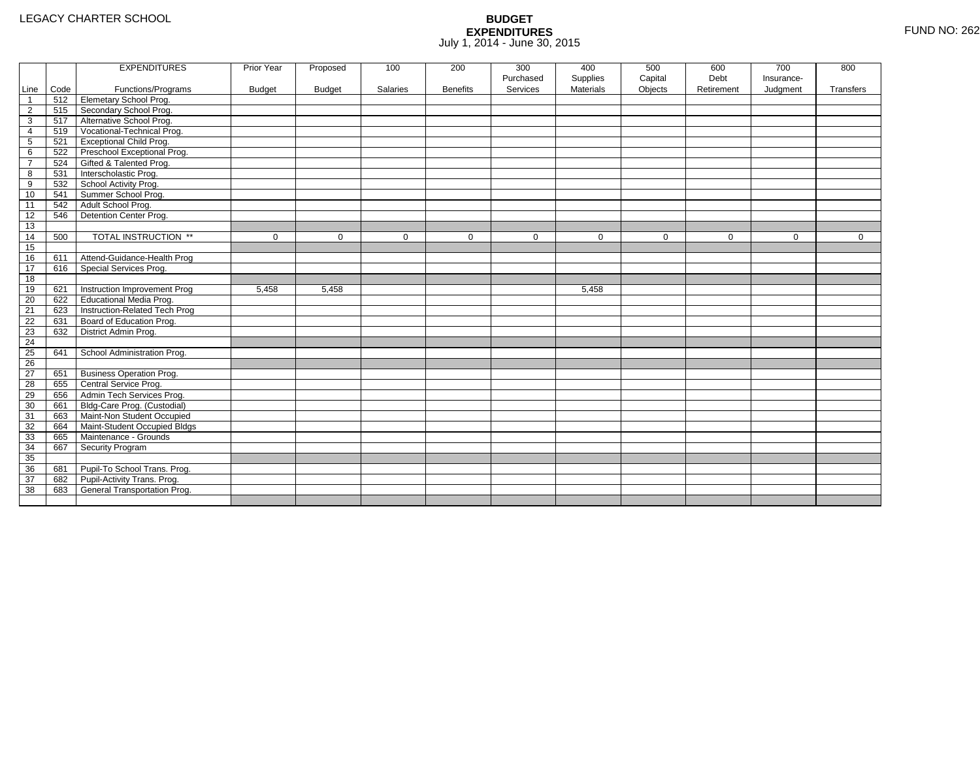|                |      | <b>EXPENDITURES</b>             | Prior Year    | Proposed      | 100      | 200             | 300       | 400              | 500         | 600         | 700        | 800         |
|----------------|------|---------------------------------|---------------|---------------|----------|-----------------|-----------|------------------|-------------|-------------|------------|-------------|
|                |      |                                 |               |               |          |                 | Purchased | Supplies         | Capital     | Debt        | Insurance- |             |
| Line           | Code | Functions/Programs              | <b>Budget</b> | <b>Budget</b> | Salaries | <b>Benefits</b> | Services  | <b>Materials</b> | Objects     | Retirement  | Judgment   | Transfers   |
| $\mathbf{1}$   | 512  | <b>Elemetary School Prog.</b>   |               |               |          |                 |           |                  |             |             |            |             |
| $\overline{2}$ | 515  | Secondary School Prog.          |               |               |          |                 |           |                  |             |             |            |             |
| 3              | 517  | Alternative School Prog.        |               |               |          |                 |           |                  |             |             |            |             |
| 4              | 519  | Vocational-Technical Prog.      |               |               |          |                 |           |                  |             |             |            |             |
| 5              | 521  | <b>Exceptional Child Prog.</b>  |               |               |          |                 |           |                  |             |             |            |             |
| 6              | 522  | Preschool Exceptional Prog.     |               |               |          |                 |           |                  |             |             |            |             |
| $\overline{7}$ | 524  | Gifted & Talented Prog.         |               |               |          |                 |           |                  |             |             |            |             |
| 8              | 531  | Interscholastic Prog.           |               |               |          |                 |           |                  |             |             |            |             |
| 9              | 532  | School Activity Prog.           |               |               |          |                 |           |                  |             |             |            |             |
| 10             | 541  | Summer School Prog.             |               |               |          |                 |           |                  |             |             |            |             |
| 11             | 542  | Adult School Prog.              |               |               |          |                 |           |                  |             |             |            |             |
| 12             | 546  | Detention Center Prog.          |               |               |          |                 |           |                  |             |             |            |             |
| 13             |      |                                 |               |               |          |                 |           |                  |             |             |            |             |
| 14             | 500  | TOTAL INSTRUCTION **            | $\mathbf 0$   | $\mathbf 0$   | 0        | $\mathbf 0$     | 0         | $\mathbf 0$      | $\mathbf 0$ | $\mathbf 0$ | 0          | $\mathbf 0$ |
| 15             |      |                                 |               |               |          |                 |           |                  |             |             |            |             |
| 16             | 611  | Attend-Guidance-Health Prog     |               |               |          |                 |           |                  |             |             |            |             |
| 17             | 616  | Special Services Prog.          |               |               |          |                 |           |                  |             |             |            |             |
| 18             |      |                                 |               |               |          |                 |           |                  |             |             |            |             |
| 19             | 621  | Instruction Improvement Prog    | 5,458         | 5.458         |          |                 |           | 5.458            |             |             |            |             |
| 20             | 622  | <b>Educational Media Prog.</b>  |               |               |          |                 |           |                  |             |             |            |             |
| 21             | 623  | Instruction-Related Tech Prog   |               |               |          |                 |           |                  |             |             |            |             |
| 22             | 631  | Board of Education Prog.        |               |               |          |                 |           |                  |             |             |            |             |
| 23             | 632  | District Admin Prog.            |               |               |          |                 |           |                  |             |             |            |             |
| 24             |      |                                 |               |               |          |                 |           |                  |             |             |            |             |
| 25             | 641  | School Administration Prog.     |               |               |          |                 |           |                  |             |             |            |             |
| 26             |      |                                 |               |               |          |                 |           |                  |             |             |            |             |
| 27             | 651  | <b>Business Operation Prog.</b> |               |               |          |                 |           |                  |             |             |            |             |
| 28             | 655  | Central Service Prog.           |               |               |          |                 |           |                  |             |             |            |             |
| 29             | 656  | Admin Tech Services Prog.       |               |               |          |                 |           |                  |             |             |            |             |
| 30             | 661  | Bldg-Care Prog. (Custodial)     |               |               |          |                 |           |                  |             |             |            |             |
| 31             | 663  | Maint-Non Student Occupied      |               |               |          |                 |           |                  |             |             |            |             |
| 32             | 664  | Maint-Student Occupied Bldgs    |               |               |          |                 |           |                  |             |             |            |             |
| 33             | 665  | Maintenance - Grounds           |               |               |          |                 |           |                  |             |             |            |             |
| 34             | 667  | Security Program                |               |               |          |                 |           |                  |             |             |            |             |
| 35             |      |                                 |               |               |          |                 |           |                  |             |             |            |             |
| 36             | 681  | Pupil-To School Trans. Prog.    |               |               |          |                 |           |                  |             |             |            |             |
| 37             | 682  | Pupil-Activity Trans. Prog.     |               |               |          |                 |           |                  |             |             |            |             |
| 38             | 683  | General Transportation Prog.    |               |               |          |                 |           |                  |             |             |            |             |
|                |      |                                 |               |               |          |                 |           |                  |             |             |            |             |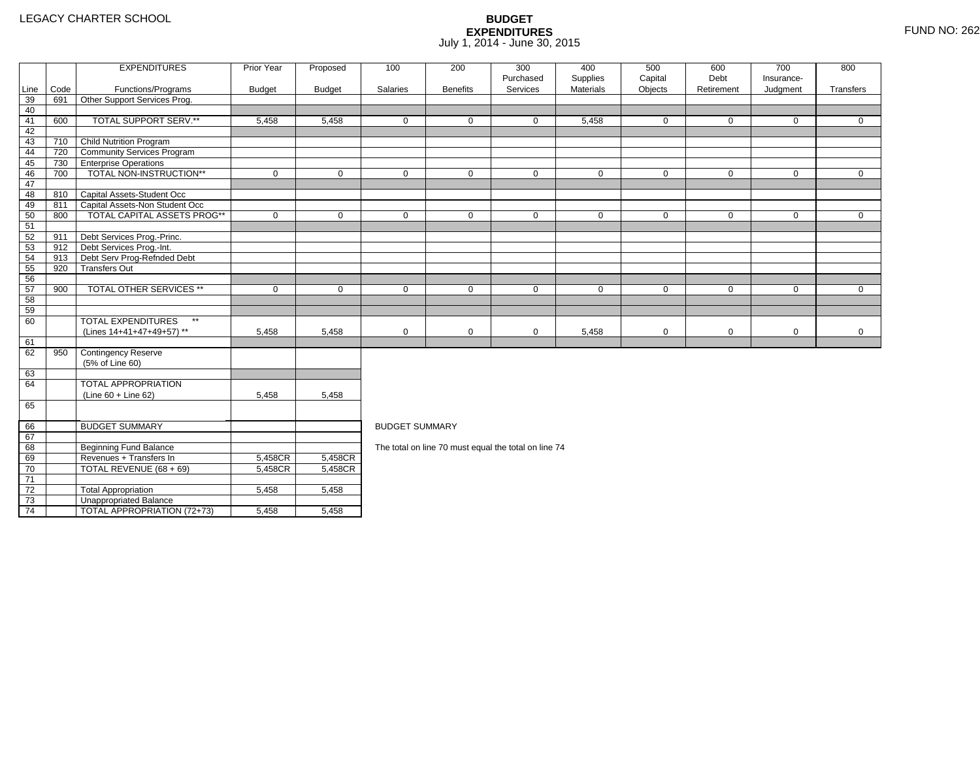71 72

73

74

TOTAL REVENUE (68 + 69) 5,458CR

3 **Unappropriated Balance** 

2 Total Appropriation 1 5,458 5,458

 $\overline{1}$ TOTAL APPROPRIATION (72+73)  $\overline{3}$  5,458 5,458

### **BUDGET EXPENDITURES**July 1, 2014 - June 30, 2015

|      |      | <b>EXPENDITURES</b>                       | Prior Year    | Proposed      | 100                   | 200             | 300                                                  | 400         | 500         | 600          | 700          | 800          |
|------|------|-------------------------------------------|---------------|---------------|-----------------------|-----------------|------------------------------------------------------|-------------|-------------|--------------|--------------|--------------|
|      |      |                                           |               |               |                       |                 | Purchased                                            | Supplies    | Capital     | Debt         | Insurance-   |              |
| Line | Code | Functions/Programs                        | <b>Budget</b> | <b>Budget</b> | Salaries              | <b>Benefits</b> | Services                                             | Materials   | Objects     | Retirement   | Judgment     | Transfers    |
| 39   | 691  | Other Support Services Prog.              |               |               |                       |                 |                                                      |             |             |              |              |              |
| 40   |      |                                           |               |               |                       |                 |                                                      |             |             |              |              |              |
| 41   | 600  | TOTAL SUPPORT SERV.**                     | 5,458         | 5,458         | $\mathbf{0}$          | 0               | 0                                                    | 5,458       | $\mathbf 0$ | 0            | $\mathbf{0}$ | $\mathbf{0}$ |
| 42   |      |                                           |               |               |                       |                 |                                                      |             |             |              |              |              |
| 43   | 710  | Child Nutrition Program                   |               |               |                       |                 |                                                      |             |             |              |              |              |
| 44   | 720  | <b>Community Services Program</b>         |               |               |                       |                 |                                                      |             |             |              |              |              |
| 45   | 730  | <b>Enterprise Operations</b>              |               |               |                       |                 |                                                      |             |             |              |              |              |
| 46   | 700  | TOTAL NON-INSTRUCTION**                   | $\mathbf 0$   | $\Omega$      | $\Omega$              | $\Omega$        | $\mathbf 0$                                          | $\mathbf 0$ | $\mathbf 0$ | $\mathbf{0}$ | $\mathbf 0$  | $\mathbf 0$  |
| 47   |      |                                           |               |               |                       |                 |                                                      |             |             |              |              |              |
| 48   |      | 810 Capital Assets-Student Occ            |               |               |                       |                 |                                                      |             |             |              |              |              |
| 49   | 811  | Capital Assets-Non Student Occ            |               |               |                       |                 |                                                      |             |             |              |              |              |
| 50   | 800  | <b>TOTAL CAPITAL ASSETS PROG**</b>        | $\mathbf 0$   | $\Omega$      | $\Omega$              | $\Omega$        | $\Omega$                                             | $\mathbf 0$ | $\Omega$    | $\Omega$     | $\Omega$     | $\Omega$     |
| 51   |      |                                           |               |               |                       |                 |                                                      |             |             |              |              |              |
| 52   | 911  | Debt Services Prog.-Princ.                |               |               |                       |                 |                                                      |             |             |              |              |              |
| 53   | 912  | Debt Services Prog.-Int.                  |               |               |                       |                 |                                                      |             |             |              |              |              |
| 54   | 913  | Debt Serv Prog-Refnded Debt               |               |               |                       |                 |                                                      |             |             |              |              |              |
| 55   | 920  | <b>Transfers Out</b>                      |               |               |                       |                 |                                                      |             |             |              |              |              |
| 56   |      |                                           |               |               |                       |                 |                                                      |             |             |              |              |              |
| 57   | 900  | <b>TOTAL OTHER SERVICES **</b>            | $\mathbf 0$   | 0             | $\mathbf 0$           | 0               | $\mathbf 0$                                          | 0           | $\mathbf 0$ | $\mathbf 0$  | 0            | $\mathbf{0}$ |
| 58   |      |                                           |               |               |                       |                 |                                                      |             |             |              |              |              |
| 59   |      |                                           |               |               |                       |                 |                                                      |             |             |              |              |              |
| 60   |      | $\star\star$<br><b>TOTAL EXPENDITURES</b> |               |               |                       |                 |                                                      |             |             |              |              |              |
|      |      | (Lines 14+41+47+49+57) **                 | 5,458         | 5,458         | $\mathbf 0$           | 0               | $\mathbf 0$                                          | 5,458       | $\mathbf 0$ | 0            | $\mathbf 0$  | $\mathbf 0$  |
| 61   |      |                                           |               |               |                       |                 |                                                      |             |             |              |              |              |
| 62   | 950  | <b>Contingency Reserve</b>                |               |               |                       |                 |                                                      |             |             |              |              |              |
|      |      | (5% of Line 60)                           |               |               |                       |                 |                                                      |             |             |              |              |              |
| 63   |      |                                           |               |               |                       |                 |                                                      |             |             |              |              |              |
| 64   |      | TOTAL APPROPRIATION                       |               |               |                       |                 |                                                      |             |             |              |              |              |
|      |      | (Line 60 + Line 62)                       | 5,458         | 5,458         |                       |                 |                                                      |             |             |              |              |              |
| 65   |      |                                           |               |               |                       |                 |                                                      |             |             |              |              |              |
|      |      |                                           |               |               |                       |                 |                                                      |             |             |              |              |              |
| 66   |      | <b>BUDGET SUMMARY</b>                     |               |               | <b>BUDGET SUMMARY</b> |                 |                                                      |             |             |              |              |              |
| 67   |      |                                           |               |               |                       |                 |                                                      |             |             |              |              |              |
| 68   |      | <b>Beginning Fund Balance</b>             |               |               |                       |                 | The total on line 70 must equal the total on line 74 |             |             |              |              |              |
| 69   |      | Revenues + Transfers In                   | 5,458CR       | 5,458CR       |                       |                 |                                                      |             |             |              |              |              |
| 70   |      | TOTAL REVENUE (68 + 69)                   | 5.458CR       | 5.458CR       |                       |                 |                                                      |             |             |              |              |              |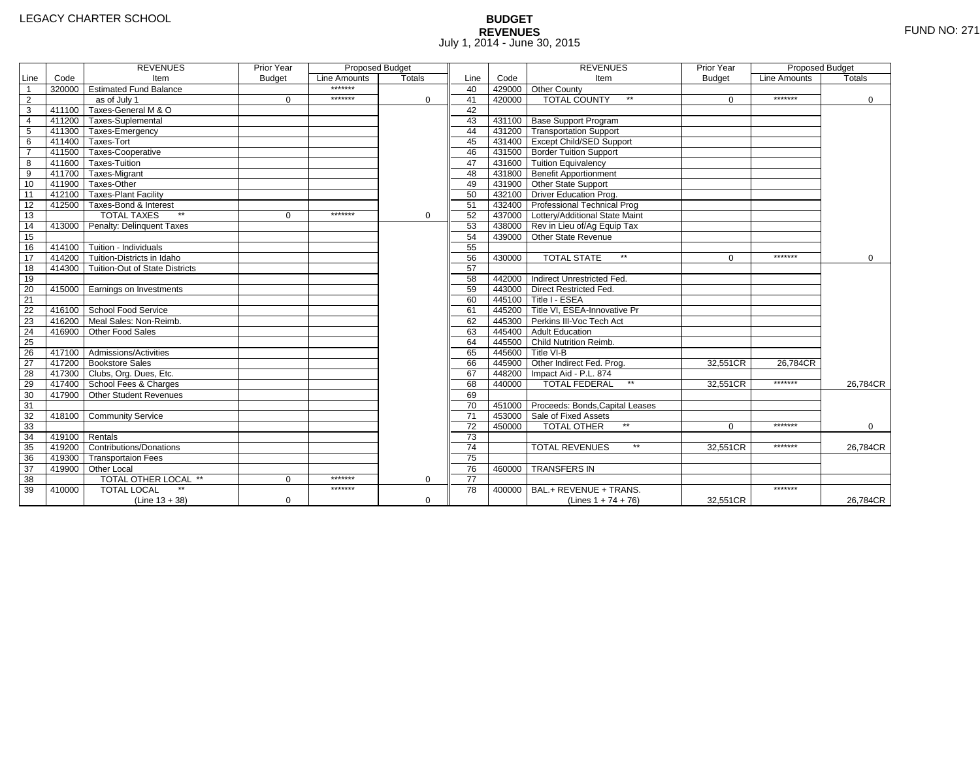# **BUDGET REVENUES** FUND NO: 271 July 1, 2014 - June 30, 2015

|                |        | <b>REVENUES</b>                         | Prior Year    | Proposed Budget |               |                 |        | <b>REVENUES</b>                        | Prior Year    | <b>Proposed Budget</b> |             |
|----------------|--------|-----------------------------------------|---------------|-----------------|---------------|-----------------|--------|----------------------------------------|---------------|------------------------|-------------|
| Line           | Code   | Item                                    | <b>Budget</b> | Line Amounts    | <b>Totals</b> | Line            | Code   | Item                                   | <b>Budget</b> | Line Amounts           | Totals      |
| $\mathbf{1}$   |        | 320000 Estimated Fund Balance           |               | *******         |               | 40              |        | 429000 Other County                    |               |                        |             |
| $\overline{2}$ |        | as of July 1                            | $\mathbf 0$   | *******         | 0             | 41              | 420000 | <b>TOTAL COUNTY</b><br>$\star\star$    | $\Omega$      | *******                | 0           |
| 3              |        | 411100 Taxes-General M & O              |               |                 |               | 42              |        |                                        |               |                        |             |
| $\overline{4}$ |        | 411200 Taxes-Suplemental                |               |                 |               | 43              |        | 431100 Base Support Program            |               |                        |             |
| 5              |        | 411300 Taxes-Emergency                  |               |                 |               | 44              |        | 431200 Transportation Support          |               |                        |             |
| 6              |        | 411400 Taxes-Tort                       |               |                 |               | 45              |        | 431400 Except Child/SED Support        |               |                        |             |
| $\overline{7}$ |        | 411500 Taxes-Cooperative                |               |                 |               | 46              |        | 431500 Border Tuition Support          |               |                        |             |
| 8              |        | 411600 Taxes-Tuition                    |               |                 |               | 47              |        | 431600 Tuition Equivalency             |               |                        |             |
| $\overline{9}$ |        | 411700 Taxes-Migrant                    |               |                 |               | 48              |        | 431800 Benefit Apportionment           |               |                        |             |
| 10             |        | 411900 Taxes-Other                      |               |                 |               | 49              |        | 431900 Other State Support             |               |                        |             |
| 11             |        | 412100   Taxes-Plant Facility           |               |                 |               | 50              |        | 432100 Driver Education Prog.          |               |                        |             |
| 12             |        | 412500 Taxes-Bond & Interest            |               |                 |               | 51              |        | 432400 Professional Technical Prog     |               |                        |             |
| 13             |        | <b>TOTAL TAXES</b><br>$\star\star$      | $\Omega$      | *******         | 0             | 52              |        | 437000 Lottery/Additional State Maint  |               |                        |             |
| 14             |        | 413000 Penalty: Delinquent Taxes        |               |                 |               | 53              |        | 438000 Rev in Lieu of/Ag Equip Tax     |               |                        |             |
| 15             |        |                                         |               |                 |               | 54              |        | 439000 Other State Revenue             |               |                        |             |
| 16             |        | $-414100$ Tuition - Individuals         |               |                 |               | 55              |        |                                        |               |                        |             |
| 17             |        | 414200 Tuition-Districts in Idaho       |               |                 |               | 56              | 430000 | <b>TOTAL STATE</b><br>$\star\star$     | $\Omega$      | *******                | $\Omega$    |
| 18             |        | 414300   Tuition-Out of State Districts |               |                 |               | 57              |        |                                        |               |                        |             |
| 19             |        |                                         |               |                 |               | 58              |        | 442000 Indirect Unrestricted Fed.      |               |                        |             |
| 20             |        | 415000 Earnings on Investments          |               |                 |               | 59              |        | 443000 Direct Restricted Fed.          |               |                        |             |
| 21             |        |                                         |               |                 |               | 60              |        | 445100 Title I - ESEA                  |               |                        |             |
| 22             |        | 416100 School Food Service              |               |                 |               | 61              |        | 445200 Title VI, ESEA-Innovative Pr    |               |                        |             |
| 23             | 416200 | Meal Sales: Non-Reimb.                  |               |                 |               | 62              |        | 445300 Perkins III-Voc Tech Act        |               |                        |             |
| 24             | 416900 | Other Food Sales                        |               |                 |               | 63              |        | 445400 Adult Education                 |               |                        |             |
| 25             |        |                                         |               |                 |               | 64              |        | 445500 Child Nutrition Reimb.          |               |                        |             |
| 26             |        | 417100 Admissions/Activities            |               |                 |               | 65              |        | 445600 Title VI-B                      |               |                        |             |
| 27             |        | 417200 Bookstore Sales                  |               |                 |               | 66              |        | 445900 Other Indirect Fed. Prog.       | 32,551CR      | 26.784CR               |             |
| 28             |        | 417300 Clubs, Org. Dues, Etc.           |               |                 |               | 67              |        | 448200   Impact Aid - P.L. 874         |               |                        |             |
| 29             |        | 417400 School Fees & Charges            |               |                 |               | 68              | 440000 | <b>TOTAL FEDERAL</b><br>$\star\star$   | 32,551CR      | *******                | 26.784CR    |
| 30             |        | 417900 Other Student Revenues           |               |                 |               | 69              |        |                                        |               |                        |             |
| 31             |        |                                         |               |                 |               | 70              |        | 451000 Proceeds: Bonds, Capital Leases |               |                        |             |
| 32             |        | 418100 Community Service                |               |                 |               | 71              |        | 453000 Sale of Fixed Assets            |               |                        |             |
| 33             |        |                                         |               |                 |               | 72              | 450000 | <b>TOTAL OTHER</b>                     | $\Omega$      | *******                | $\mathbf 0$ |
| 34             | 419100 | Rentals                                 |               |                 |               | 73              |        |                                        |               |                        |             |
| 35             |        | 419200 Contributions/Donations          |               |                 |               | 74              |        | $\star\star$<br><b>TOTAL REVENUES</b>  | 32,551CR      | *******                | 26,784CR    |
| 36             |        | 419300 Transportaion Fees               |               |                 |               | 75              |        |                                        |               |                        |             |
| 37             |        | 419900 Other Local                      |               |                 |               | 76              | 460000 | <b>TRANSFERS IN</b>                    |               |                        |             |
| 38             |        | TOTAL OTHER LOCAL **                    | $\Omega$      | *******         | 0             | $\overline{77}$ |        |                                        |               |                        |             |
| 39             | 410000 | <b>TOTAL LOCAL</b>                      |               | *******         |               | 78              | 400000 | BAL.+ REVENUE + TRANS.                 |               | *******                |             |
|                |        | $(Line 13 + 38)$                        | 0             |                 | 0             |                 |        | (Lines $1 + 74 + 76$ )                 | 32,551CR      |                        | 26,784CR    |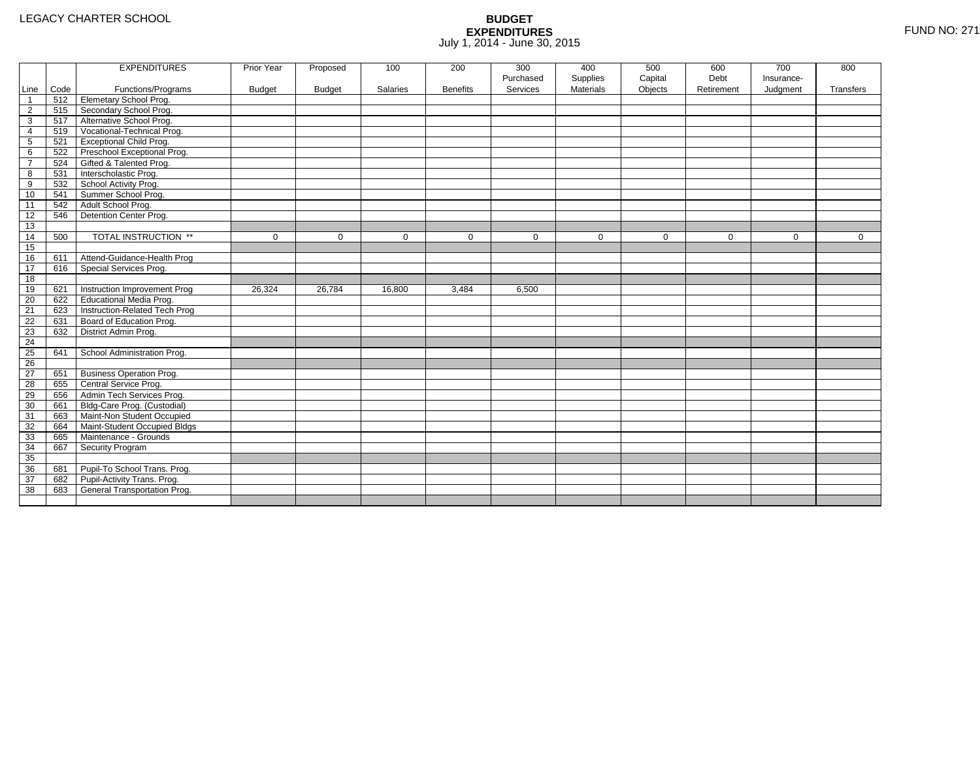|                 |      | <b>EXPENDITURES</b>             | Prior Year    | Proposed      | 100         | 200             | 300         | 400              | 500     | 600         | 700          | 800         |
|-----------------|------|---------------------------------|---------------|---------------|-------------|-----------------|-------------|------------------|---------|-------------|--------------|-------------|
|                 |      |                                 |               |               |             |                 | Purchased   | Supplies         | Capital | Debt        | Insurance-   |             |
| Line            | Code | Functions/Programs              | <b>Budget</b> | <b>Budget</b> | Salaries    | <b>Benefits</b> | Services    | <b>Materials</b> | Objects | Retirement  | Judgment     | Transfers   |
| -1              | 512  | Elemetary School Prog.          |               |               |             |                 |             |                  |         |             |              |             |
| $\overline{2}$  | 515  | Secondary School Prog.          |               |               |             |                 |             |                  |         |             |              |             |
| 3               | 517  | Alternative School Prog.        |               |               |             |                 |             |                  |         |             |              |             |
| 4               | 519  | Vocational-Technical Prog.      |               |               |             |                 |             |                  |         |             |              |             |
| $5\phantom{.0}$ | 521  | <b>Exceptional Child Prog.</b>  |               |               |             |                 |             |                  |         |             |              |             |
| 6               | 522  | Preschool Exceptional Prog.     |               |               |             |                 |             |                  |         |             |              |             |
| $\overline{7}$  | 524  | Gifted & Talented Prog.         |               |               |             |                 |             |                  |         |             |              |             |
| 8               | 531  | Interscholastic Prog.           |               |               |             |                 |             |                  |         |             |              |             |
| 9               | 532  | School Activity Prog.           |               |               |             |                 |             |                  |         |             |              |             |
| 10              | 541  | Summer School Prog.             |               |               |             |                 |             |                  |         |             |              |             |
| 11              | 542  | Adult School Prog.              |               |               |             |                 |             |                  |         |             |              |             |
| 12              | 546  | Detention Center Prog.          |               |               |             |                 |             |                  |         |             |              |             |
| 13              |      |                                 |               |               |             |                 |             |                  |         |             |              |             |
| 14              | 500  | TOTAL INSTRUCTION **            | 0             | $\mathbf 0$   | $\mathbf 0$ | $\mathbf{0}$    | $\mathbf 0$ | $\mathbf 0$      | 0       | $\mathbf 0$ | $\mathbf{0}$ | $\mathbf 0$ |
| 15              |      |                                 |               |               |             |                 |             |                  |         |             |              |             |
| 16              | 611  | Attend-Guidance-Health Prog     |               |               |             |                 |             |                  |         |             |              |             |
| 17              | 616  | Special Services Prog.          |               |               |             |                 |             |                  |         |             |              |             |
| 18              |      |                                 |               |               |             |                 |             |                  |         |             |              |             |
| 19              | 621  | Instruction Improvement Prog    | 26,324        | 26,784        | 16,800      | 3,484           | 6,500       |                  |         |             |              |             |
| 20              | 622  | Educational Media Prog.         |               |               |             |                 |             |                  |         |             |              |             |
| 21              | 623  | Instruction-Related Tech Prog   |               |               |             |                 |             |                  |         |             |              |             |
| 22              | 631  | Board of Education Prog.        |               |               |             |                 |             |                  |         |             |              |             |
| 23              | 632  | District Admin Prog.            |               |               |             |                 |             |                  |         |             |              |             |
| 24              |      |                                 |               |               |             |                 |             |                  |         |             |              |             |
| 25              | 641  | School Administration Prog.     |               |               |             |                 |             |                  |         |             |              |             |
| $\overline{26}$ |      |                                 |               |               |             |                 |             |                  |         |             |              |             |
| 27              | 651  | <b>Business Operation Prog.</b> |               |               |             |                 |             |                  |         |             |              |             |
| 28              | 655  | Central Service Prog.           |               |               |             |                 |             |                  |         |             |              |             |
| 29              | 656  | Admin Tech Services Prog.       |               |               |             |                 |             |                  |         |             |              |             |
| 30              | 661  | Bldg-Care Prog. (Custodial)     |               |               |             |                 |             |                  |         |             |              |             |
| 31              | 663  | Maint-Non Student Occupied      |               |               |             |                 |             |                  |         |             |              |             |
| 32              | 664  | Maint-Student Occupied Bldgs    |               |               |             |                 |             |                  |         |             |              |             |
| 33              | 665  | Maintenance - Grounds           |               |               |             |                 |             |                  |         |             |              |             |
| 34              | 667  | Security Program                |               |               |             |                 |             |                  |         |             |              |             |
| 35              |      |                                 |               |               |             |                 |             |                  |         |             |              |             |
| 36              | 681  | Pupil-To School Trans. Prog.    |               |               |             |                 |             |                  |         |             |              |             |
| 37              | 682  | Pupil-Activity Trans. Prog.     |               |               |             |                 |             |                  |         |             |              |             |
| 38              | 683  | General Transportation Prog.    |               |               |             |                 |             |                  |         |             |              |             |
|                 |      |                                 |               |               |             |                 |             |                  |         |             |              |             |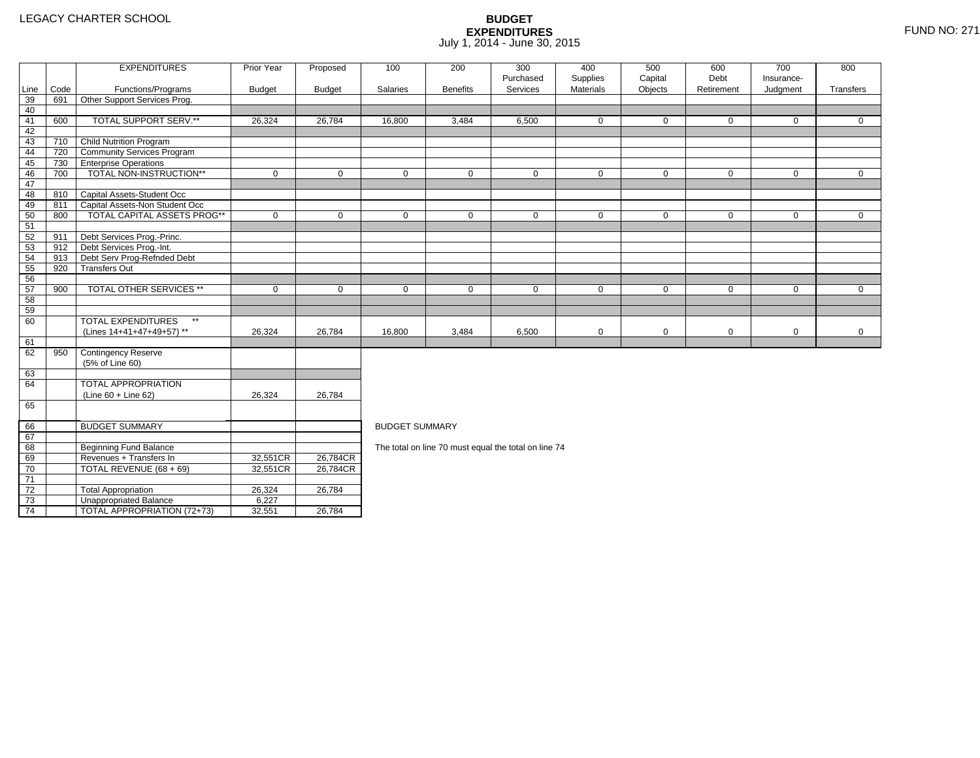2 | Total Appropriation | 26,324 <u>| 26,784</u>

4 | TOTAL APPROPRIATION (72+73) | 32,551 <u>|</u> 26,784

3 **Unappropriated Balance** 6,227

73

74

|      |      | <b>EXPENDITURES</b>                       | Prior Year    | Proposed      | 100                   | 200             | 300                                                  | 400         | 500          | 600          | 700          | 800          |
|------|------|-------------------------------------------|---------------|---------------|-----------------------|-----------------|------------------------------------------------------|-------------|--------------|--------------|--------------|--------------|
|      |      |                                           |               |               |                       |                 | Purchased                                            | Supplies    | Capital      | Debt         | Insurance-   |              |
| Line | Code | Functions/Programs                        | <b>Budget</b> | <b>Budget</b> | Salaries              | <b>Benefits</b> | Services                                             | Materials   | Objects      | Retirement   | Judgment     | Transfers    |
| 39   | 691  | Other Support Services Prog.              |               |               |                       |                 |                                                      |             |              |              |              |              |
| 40   |      |                                           |               |               |                       |                 |                                                      |             |              |              |              |              |
| 41   | 600  | TOTAL SUPPORT SERV.**                     | 26,324        | 26,784        | 16,800                | 3,484           | 6,500                                                | 0           | $\mathbf{0}$ | $\mathbf{0}$ | $\mathbf{0}$ | $\Omega$     |
| 42   |      |                                           |               |               |                       |                 |                                                      |             |              |              |              |              |
| 43   | 710  | <b>Child Nutrition Program</b>            |               |               |                       |                 |                                                      |             |              |              |              |              |
| 44   | 720  | <b>Community Services Program</b>         |               |               |                       |                 |                                                      |             |              |              |              |              |
| 45   | 730  | <b>Enterprise Operations</b>              |               |               |                       |                 |                                                      |             |              |              |              |              |
| 46   | 700  | TOTAL NON-INSTRUCTION**                   | $\mathbf 0$   | $\mathbf 0$   | $\Omega$              | $\mathbf 0$     | $\mathbf 0$                                          | $\mathbf 0$ | $\mathbf 0$  | $\mathbf 0$  | $\mathbf 0$  | $\mathbf 0$  |
| 47   |      |                                           |               |               |                       |                 |                                                      |             |              |              |              |              |
| 48   | 810  | Capital Assets-Student Occ                |               |               |                       |                 |                                                      |             |              |              |              |              |
| 49   | 811  | Capital Assets-Non Student Occ            |               |               |                       |                 |                                                      |             |              |              |              |              |
| 50   | 800  | TOTAL CAPITAL ASSETS PROG**               | $\mathbf 0$   | $\Omega$      | $\Omega$              | $\mathbf 0$     | $\mathbf 0$                                          | 0           | $\mathbf 0$  | $\mathbf 0$  | $\mathbf 0$  | $\mathbf 0$  |
| 51   |      |                                           |               |               |                       |                 |                                                      |             |              |              |              |              |
| 52   | 911  | Debt Services Prog.-Princ.                |               |               |                       |                 |                                                      |             |              |              |              |              |
| 53   | 912  | Debt Services Prog.-Int.                  |               |               |                       |                 |                                                      |             |              |              |              |              |
| 54   | 913  | Debt Serv Prog-Refnded Debt               |               |               |                       |                 |                                                      |             |              |              |              |              |
| 55   | 920  | <b>Transfers Out</b>                      |               |               |                       |                 |                                                      |             |              |              |              |              |
| 56   |      |                                           |               |               |                       |                 |                                                      |             |              |              |              |              |
| 57   | 900  | <b>TOTAL OTHER SERVICES **</b>            | $\mathbf 0$   | 0             | $\mathbf 0$           | 0               | 0                                                    | 0           | 0            | 0            | 0            | $\mathbf{0}$ |
| 58   |      |                                           |               |               |                       |                 |                                                      |             |              |              |              |              |
| 59   |      |                                           |               |               |                       |                 |                                                      |             |              |              |              |              |
| 60   |      | <b>TOTAL EXPENDITURES</b><br>$\star\star$ |               |               |                       |                 |                                                      |             |              |              |              |              |
|      |      | (Lines 14+41+47+49+57) **                 | 26,324        | 26,784        | 16,800                | 3,484           | 6,500                                                | 0           | $\mathbf 0$  | 0            | $\mathbf 0$  | $\mathbf{0}$ |
| 61   |      |                                           |               |               |                       |                 |                                                      |             |              |              |              |              |
| 62   | 950  | <b>Contingency Reserve</b>                |               |               |                       |                 |                                                      |             |              |              |              |              |
|      |      | (5% of Line 60)                           |               |               |                       |                 |                                                      |             |              |              |              |              |
| 63   |      |                                           |               |               |                       |                 |                                                      |             |              |              |              |              |
| 64   |      | <b>TOTAL APPROPRIATION</b>                |               |               |                       |                 |                                                      |             |              |              |              |              |
|      |      | $(Line 60 + Line 62)$                     | 26,324        | 26,784        |                       |                 |                                                      |             |              |              |              |              |
| 65   |      |                                           |               |               |                       |                 |                                                      |             |              |              |              |              |
|      |      |                                           |               |               |                       |                 |                                                      |             |              |              |              |              |
| 66   |      | <b>BUDGET SUMMARY</b>                     |               |               | <b>BUDGET SUMMARY</b> |                 |                                                      |             |              |              |              |              |
| 67   |      |                                           |               |               |                       |                 |                                                      |             |              |              |              |              |
| 68   |      | Beginning Fund Balance                    |               |               |                       |                 | The total on line 70 must equal the total on line 74 |             |              |              |              |              |
| 69   |      | Revenues + Transfers In                   | 32,551CR      | 26,784CR      |                       |                 |                                                      |             |              |              |              |              |
| 70   |      | TOTAL REVENUE (68 + 69)                   | 32,551CR      | 26,784CR      |                       |                 |                                                      |             |              |              |              |              |
| 71   |      |                                           |               |               |                       |                 |                                                      |             |              |              |              |              |
| 72   |      | <b>Total Appropriation</b>                | 26.324        | 26.784        |                       |                 |                                                      |             |              |              |              |              |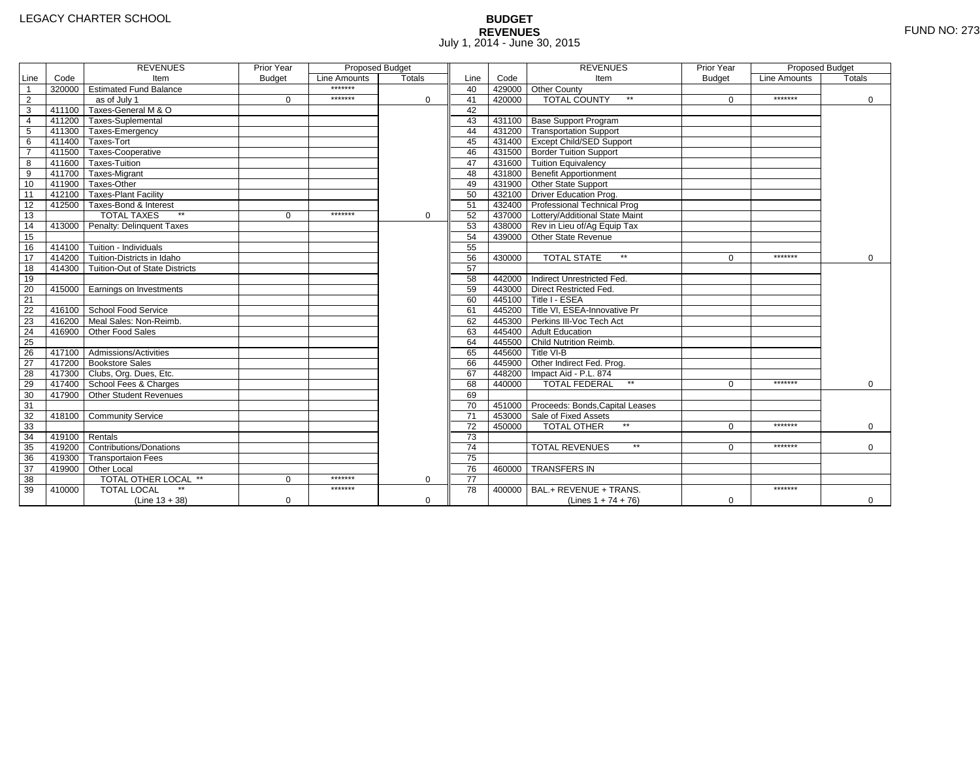# **BUDGET REVENUES** FUND NO: 273 July 1, 2014 - June 30, 2015

|                         |                | <b>REVENUES</b>                         | Prior Year    | <b>Proposed Budget</b> |               |                 |        | <b>REVENUES</b>                        | Prior Year    | Proposed Budget |             |
|-------------------------|----------------|-----------------------------------------|---------------|------------------------|---------------|-----------------|--------|----------------------------------------|---------------|-----------------|-------------|
| Line                    | Code           | Item                                    | <b>Budget</b> | Line Amounts           | <b>Totals</b> | Line            | Code   | Item                                   | <b>Budget</b> | Line Amounts    | Totals      |
| $\overline{1}$          |                | 320000 Estimated Fund Balance           |               | *******                |               | 40              |        | 429000 Other County                    |               |                 |             |
| $\overline{2}$          |                | as of July 1                            | $\Omega$      | *******                | $\Omega$      | 41              | 420000 | <b>TOTAL COUNTY</b><br>$\star\star$    | $\Omega$      | *******         | $\mathbf 0$ |
| $\overline{\mathbf{3}}$ |                | 411100 Taxes-General M & O              |               |                        |               | 42              |        |                                        |               |                 |             |
| $\overline{4}$          |                | 411200 Taxes-Suplemental                |               |                        |               | 43              |        | 431100 Base Support Program            |               |                 |             |
| $\overline{5}$          |                | 411300 Taxes-Emergency                  |               |                        |               | 44              |        | 431200 Transportation Support          |               |                 |             |
| 6                       |                | 411400 Taxes-Tort                       |               |                        |               | 45              |        | 431400 Except Child/SED Support        |               |                 |             |
| $\overline{7}$          |                | 411500 Taxes-Cooperative                |               |                        |               | 46              |        | 431500 Border Tuition Support          |               |                 |             |
| 8                       |                | 411600 Taxes-Tuition                    |               |                        |               | 47              |        | 431600 Tuition Equivalency             |               |                 |             |
| 9                       |                | 411700 Taxes-Migrant                    |               |                        |               | 48              |        | 431800 Benefit Apportionment           |               |                 |             |
| 10                      |                | 411900 Taxes-Other                      |               |                        |               | 49              |        | 431900 Other State Support             |               |                 |             |
| 11                      |                | 412100 Taxes-Plant Facility             |               |                        |               | 50              |        | 432100 Driver Education Prog.          |               |                 |             |
| 12                      |                | 412500 Taxes-Bond & Interest            |               |                        |               | 51              |        | 432400 Professional Technical Prog     |               |                 |             |
| 13                      |                | <b>TOTAL TAXES</b>                      | $\Omega$      | *******                | 0             | 52              |        | 437000 Lottery/Additional State Maint  |               |                 |             |
| 14                      |                | 413000 Penalty: Delinguent Taxes        |               |                        |               | 53              |        | 438000 Rev in Lieu of/Ag Equip Tax     |               |                 |             |
| 15                      |                |                                         |               |                        |               | 54              |        | 439000 Other State Revenue             |               |                 |             |
| 16                      |                | 414100 Tuition - Individuals            |               |                        |               | 55              |        |                                        |               |                 |             |
| 17                      |                | 414200 Tuition-Districts in Idaho       |               |                        |               | 56              | 430000 | <b>TOTAL STATE</b><br>$\star\star$     | $\Omega$      | *******         | $\mathbf 0$ |
| $\overline{18}$         |                | 414300   Tuition-Out of State Districts |               |                        |               | 57              |        |                                        |               |                 |             |
| 19                      |                |                                         |               |                        |               | 58              |        | 442000 Indirect Unrestricted Fed.      |               |                 |             |
| 20                      |                | 415000 Earnings on Investments          |               |                        |               | 59              |        | 443000 Direct Restricted Fed.          |               |                 |             |
| 21                      |                |                                         |               |                        |               | 60              |        | 445100 Title I - ESEA                  |               |                 |             |
| 22                      |                | 416100 School Food Service              |               |                        |               | 61              |        | 445200 Title VI. ESEA-Innovative Pr    |               |                 |             |
| 23                      |                | 416200 Meal Sales: Non-Reimb.           |               |                        |               | 62              |        | 445300 Perkins III-Voc Tech Act        |               |                 |             |
| 24                      |                | 416900 Other Food Sales                 |               |                        |               | 63              |        | 445400 Adult Education                 |               |                 |             |
| $\overline{25}$         |                |                                         |               |                        |               | 64              |        | 445500 Child Nutrition Reimb.          |               |                 |             |
| 26                      |                | 417100 Admissions/Activities            |               |                        |               | 65              |        | 445600 Title VI-B                      |               |                 |             |
| $\overline{27}$         |                | 417200 Bookstore Sales                  |               |                        |               | 66              |        | 445900 Other Indirect Fed. Prog.       |               |                 |             |
| 28                      |                | 417300 Clubs, Org. Dues, Etc.           |               |                        |               | 67              |        | 448200 Impact Aid - P.L. 874           |               |                 |             |
| 29                      |                | 417400 School Fees & Charges            |               |                        |               | 68              | 440000 | <b>TOTAL FEDERAL</b><br>$\star\star$   | $\Omega$      | *******         | $\Omega$    |
| 30                      | 417900         | Other Student Revenues                  |               |                        |               | 69              |        |                                        |               |                 |             |
| 31                      |                |                                         |               |                        |               | 70              |        | 451000 Proceeds: Bonds, Capital Leases |               |                 |             |
| 32                      |                | 418100 Community Service                |               |                        |               | $\overline{71}$ |        | 453000 Sale of Fixed Assets            |               |                 |             |
| 33                      |                |                                         |               |                        |               | 72              | 450000 | <b>TOTAL OTHER</b>                     | $\Omega$      | *******         | $\mathbf 0$ |
| 34                      | 419100 Rentals |                                         |               |                        |               | $\overline{73}$ |        |                                        |               |                 |             |
| 35                      |                | 419200 Contributions/Donations          |               |                        |               | $\overline{74}$ |        | $\star\star$<br><b>TOTAL REVENUES</b>  | 0             | *******         | $\Omega$    |
| 36                      |                | 419300 Transportaion Fees               |               |                        |               | $\overline{75}$ |        |                                        |               |                 |             |
| 37                      |                | 419900 Other Local                      |               |                        |               | 76              | 460000 | <b>TRANSFERS IN</b>                    |               |                 |             |
| 38                      |                | TOTAL OTHER LOCAL **                    | $\Omega$      | *******                | $\mathbf 0$   | 77              |        |                                        |               |                 |             |
| 39                      | 410000         | <b>TOTAL LOCAL</b>                      |               | *******                |               | 78              | 400000 | BAL.+ REVENUE + TRANS.                 |               | *******         |             |
|                         |                | $(Line 13 + 38)$                        | $\mathbf 0$   |                        | $\mathbf 0$   |                 |        | (Lines $1 + 74 + 76$ )                 | $\mathbf 0$   |                 | 0           |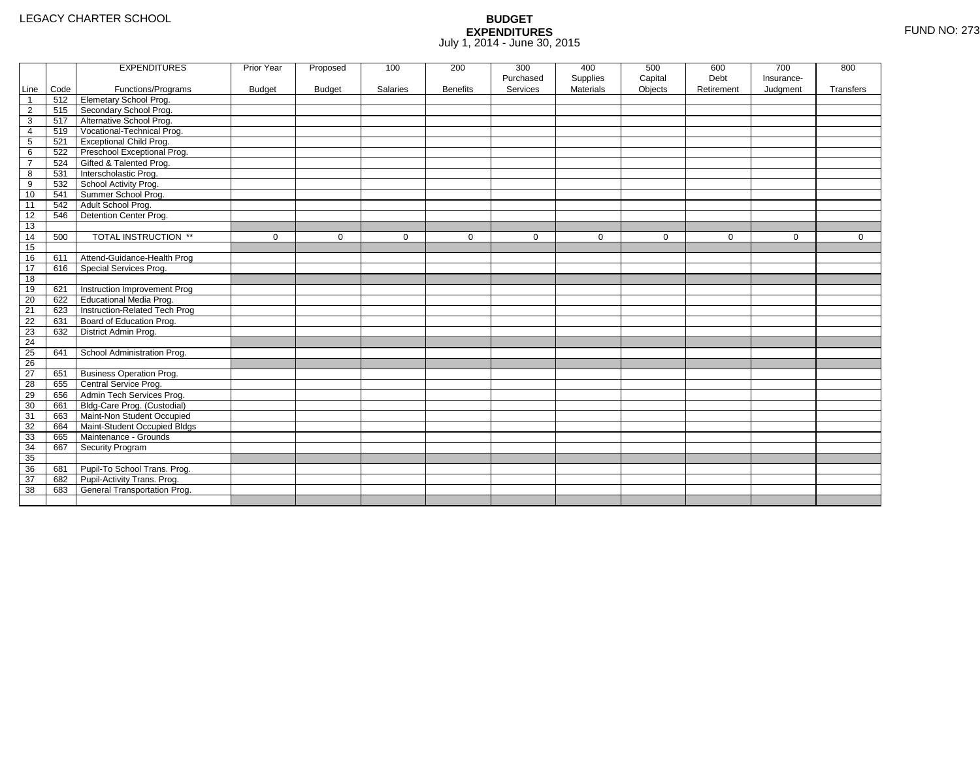|                |      | <b>EXPENDITURES</b>             | Prior Year    | Proposed      | 100      | 200             | 300       | 400              | 500         | 600         | 700        | 800         |
|----------------|------|---------------------------------|---------------|---------------|----------|-----------------|-----------|------------------|-------------|-------------|------------|-------------|
|                |      |                                 |               |               |          |                 | Purchased | Supplies         | Capital     | Debt        | Insurance- |             |
| Line           | Code | Functions/Programs              | <b>Budget</b> | <b>Budget</b> | Salaries | <b>Benefits</b> | Services  | <b>Materials</b> | Objects     | Retirement  | Judgment   | Transfers   |
| $\mathbf 1$    | 512  | <b>Elemetary School Prog.</b>   |               |               |          |                 |           |                  |             |             |            |             |
| $\overline{2}$ | 515  | Secondary School Prog.          |               |               |          |                 |           |                  |             |             |            |             |
| 3              | 517  | Alternative School Prog.        |               |               |          |                 |           |                  |             |             |            |             |
| 4              | 519  | Vocational-Technical Prog.      |               |               |          |                 |           |                  |             |             |            |             |
| 5              | 521  | <b>Exceptional Child Prog.</b>  |               |               |          |                 |           |                  |             |             |            |             |
| 6              | 522  | Preschool Exceptional Prog.     |               |               |          |                 |           |                  |             |             |            |             |
| $\overline{7}$ | 524  | Gifted & Talented Prog.         |               |               |          |                 |           |                  |             |             |            |             |
| 8              | 531  | Interscholastic Prog.           |               |               |          |                 |           |                  |             |             |            |             |
| 9              | 532  | School Activity Prog.           |               |               |          |                 |           |                  |             |             |            |             |
| 10             | 541  | Summer School Prog.             |               |               |          |                 |           |                  |             |             |            |             |
| 11             | 542  | Adult School Prog.              |               |               |          |                 |           |                  |             |             |            |             |
| 12             | 546  | Detention Center Prog.          |               |               |          |                 |           |                  |             |             |            |             |
| 13             |      |                                 |               |               |          |                 |           |                  |             |             |            |             |
| 14             | 500  | TOTAL INSTRUCTION **            | $\mathbf 0$   | $\Omega$      | $\Omega$ | $\mathbf{0}$    | $\Omega$  | $\mathbf{0}$     | $\mathbf 0$ | $\mathbf 0$ | $\Omega$   | $\mathbf 0$ |
| 15             |      |                                 |               |               |          |                 |           |                  |             |             |            |             |
| 16             | 611  | Attend-Guidance-Health Prog     |               |               |          |                 |           |                  |             |             |            |             |
| 17             | 616  | Special Services Prog.          |               |               |          |                 |           |                  |             |             |            |             |
| 18             |      |                                 |               |               |          |                 |           |                  |             |             |            |             |
| 19             | 621  | Instruction Improvement Prog    |               |               |          |                 |           |                  |             |             |            |             |
| 20             | 622  | <b>Educational Media Prog.</b>  |               |               |          |                 |           |                  |             |             |            |             |
| 21             | 623  | Instruction-Related Tech Prog   |               |               |          |                 |           |                  |             |             |            |             |
| 22             | 631  | Board of Education Prog.        |               |               |          |                 |           |                  |             |             |            |             |
| 23             | 632  | District Admin Prog.            |               |               |          |                 |           |                  |             |             |            |             |
| 24             |      |                                 |               |               |          |                 |           |                  |             |             |            |             |
| 25             | 641  | School Administration Prog.     |               |               |          |                 |           |                  |             |             |            |             |
| 26             |      |                                 |               |               |          |                 |           |                  |             |             |            |             |
| 27             | 651  | <b>Business Operation Prog.</b> |               |               |          |                 |           |                  |             |             |            |             |
| 28             | 655  | Central Service Prog.           |               |               |          |                 |           |                  |             |             |            |             |
| 29             | 656  | Admin Tech Services Prog.       |               |               |          |                 |           |                  |             |             |            |             |
| 30             | 661  | Bldg-Care Prog. (Custodial)     |               |               |          |                 |           |                  |             |             |            |             |
| 31             | 663  | Maint-Non Student Occupied      |               |               |          |                 |           |                  |             |             |            |             |
| 32             | 664  | Maint-Student Occupied Bldgs    |               |               |          |                 |           |                  |             |             |            |             |
| 33             | 665  | Maintenance - Grounds           |               |               |          |                 |           |                  |             |             |            |             |
| 34             | 667  | Security Program                |               |               |          |                 |           |                  |             |             |            |             |
| 35             |      |                                 |               |               |          |                 |           |                  |             |             |            |             |
| 36             | 681  | Pupil-To School Trans. Prog.    |               |               |          |                 |           |                  |             |             |            |             |
| 37             | 682  | Pupil-Activity Trans. Prog.     |               |               |          |                 |           |                  |             |             |            |             |
| 38             | 683  | General Transportation Prog.    |               |               |          |                 |           |                  |             |             |            |             |
|                |      |                                 |               |               |          |                 |           |                  |             |             |            |             |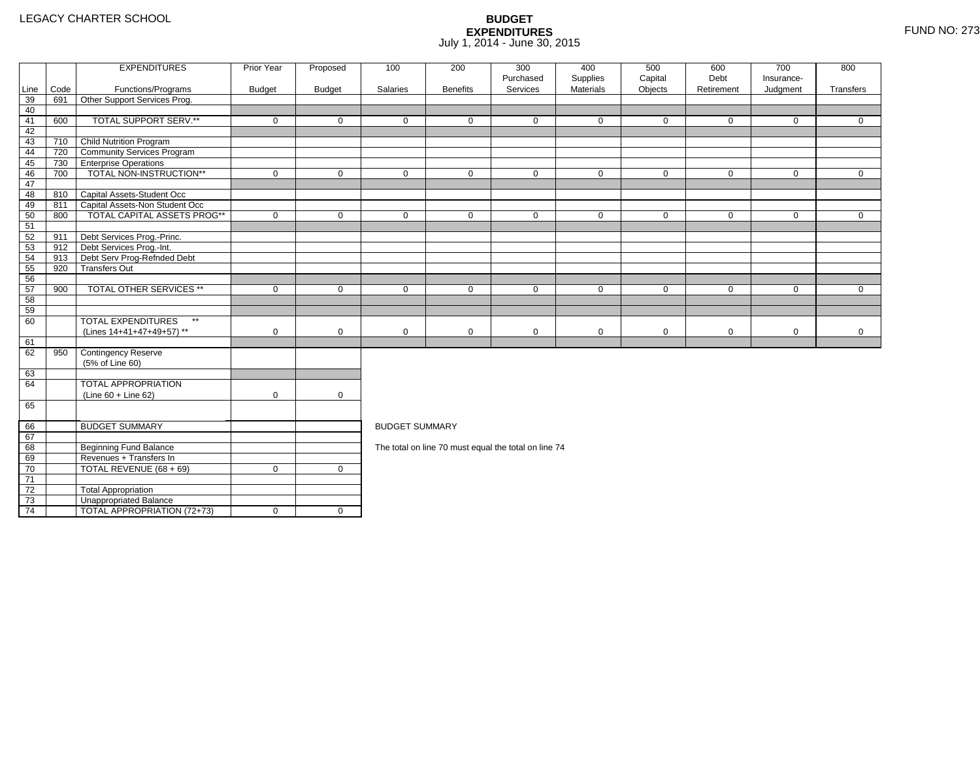4 | TOTAL APPROPRIATION (72+73) | 0 | 0

|      |      | <b>EXPENDITURES</b>                       | Prior Year    | Proposed      | 100                   | 200             | 300                                                  | 400                   | 500                | 600                | 700                    | 800          |
|------|------|-------------------------------------------|---------------|---------------|-----------------------|-----------------|------------------------------------------------------|-----------------------|--------------------|--------------------|------------------------|--------------|
| Line | Code | Functions/Programs                        | <b>Budget</b> | <b>Budget</b> | Salaries              | <b>Benefits</b> | Purchased<br>Services                                | Supplies<br>Materials | Capital<br>Objects | Debt<br>Retirement | Insurance-<br>Judgment | Transfers    |
| 39   | 691  | Other Support Services Prog.              |               |               |                       |                 |                                                      |                       |                    |                    |                        |              |
| 40   |      |                                           |               |               |                       |                 |                                                      |                       |                    |                    |                        |              |
| 41   | 600  | TOTAL SUPPORT SERV.**                     | $\mathbf 0$   | $\mathbf 0$   | $\mathbf 0$           | $\mathbf 0$     | $\mathbf 0$                                          | $\mathbf 0$           | $\mathbf 0$        | $\mathbf 0$        | $\mathbf 0$            | $\mathbf{0}$ |
| 42   |      |                                           |               |               |                       |                 |                                                      |                       |                    |                    |                        |              |
| 43   | 710  | <b>Child Nutrition Program</b>            |               |               |                       |                 |                                                      |                       |                    |                    |                        |              |
| 44   | 720  | <b>Community Services Program</b>         |               |               |                       |                 |                                                      |                       |                    |                    |                        |              |
| 45   | 730  | <b>TEnterprise Operations</b>             |               |               |                       |                 |                                                      |                       |                    |                    |                        |              |
| 46   | 700  | TOTAL NON-INSTRUCTION**                   | $\mathbf 0$   | $\mathbf 0$   | $\mathbf 0$           | $\mathbf{0}$    | $\mathbf 0$                                          | $\mathbf 0$           | $\mathbf 0$        | $\mathbf 0$        | $\mathbf 0$            | $\mathbf{0}$ |
| 47   |      |                                           |               |               |                       |                 |                                                      |                       |                    |                    |                        |              |
| 48   |      | 810 Capital Assets-Student Occ            |               |               |                       |                 |                                                      |                       |                    |                    |                        |              |
| 49   | 811  | Capital Assets-Non Student Occ            |               |               |                       |                 |                                                      |                       |                    |                    |                        |              |
| 50   | 800  | <b>TOTAL CAPITAL ASSETS PROG**</b>        | $\mathbf 0$   | $\mathbf 0$   | $\mathbf 0$           | $\mathbf 0$     | $\mathbf 0$                                          | $\mathbf 0$           | $\mathbf 0$        | $\mathbf 0$        | $\mathbf 0$            | $\mathbf{0}$ |
| 51   |      |                                           |               |               |                       |                 |                                                      |                       |                    |                    |                        |              |
| 52   | 911  | Debt Services Prog.-Princ.                |               |               |                       |                 |                                                      |                       |                    |                    |                        |              |
| 53   | 912  | Debt Services Prog.-Int.                  |               |               |                       |                 |                                                      |                       |                    |                    |                        |              |
| 54   | 913  | Debt Serv Prog-Refnded Debt               |               |               |                       |                 |                                                      |                       |                    |                    |                        |              |
| 55   | 920  | <b>Transfers Out</b>                      |               |               |                       |                 |                                                      |                       |                    |                    |                        |              |
| 56   |      |                                           |               |               |                       |                 |                                                      |                       |                    |                    |                        |              |
| 57   | 900  | <b>TOTAL OTHER SERVICES **</b>            | $\mathbf 0$   | $\mathbf 0$   | $\mathbf 0$           | $\mathbf{0}$    | $\mathbf 0$                                          | $\mathbf 0$           | $\mathbf 0$        | $\mathbf 0$        | $\mathbf 0$            | $\Omega$     |
| 58   |      |                                           |               |               |                       |                 |                                                      |                       |                    |                    |                        |              |
| 59   |      |                                           |               |               |                       |                 |                                                      |                       |                    |                    |                        |              |
| 60   |      | <b>TOTAL EXPENDITURES</b><br>$\star\star$ |               |               |                       |                 |                                                      |                       |                    |                    |                        |              |
|      |      | (Lines 14+41+47+49+57) **                 | $\mathbf 0$   | $\mathbf 0$   | $\mathbf 0$           | 0               | $\mathbf 0$                                          | 0                     | $\mathbf 0$        | $\mathbf 0$        | $\mathbf 0$            | $\mathbf 0$  |
| 61   |      |                                           |               |               |                       |                 |                                                      |                       |                    |                    |                        |              |
| 62   | 950  | Contingency Reserve                       |               |               |                       |                 |                                                      |                       |                    |                    |                        |              |
|      |      | (5% of Line 60)                           |               |               |                       |                 |                                                      |                       |                    |                    |                        |              |
| 63   |      |                                           |               |               |                       |                 |                                                      |                       |                    |                    |                        |              |
| 64   |      | TOTAL APPROPRIATION                       |               |               |                       |                 |                                                      |                       |                    |                    |                        |              |
|      |      | $(Line 60 + Line 62)$                     | $\mathbf 0$   | $\mathbf 0$   |                       |                 |                                                      |                       |                    |                    |                        |              |
| 65   |      |                                           |               |               |                       |                 |                                                      |                       |                    |                    |                        |              |
| 66   |      | <b>BUDGET SUMMARY</b>                     |               |               | <b>BUDGET SUMMARY</b> |                 |                                                      |                       |                    |                    |                        |              |
| 67   |      |                                           |               |               |                       |                 |                                                      |                       |                    |                    |                        |              |
| 68   |      | <b>Beginning Fund Balance</b>             |               |               |                       |                 | The total on line 70 must equal the total on line 74 |                       |                    |                    |                        |              |
| 69   |      | Revenues + Transfers In                   |               |               |                       |                 |                                                      |                       |                    |                    |                        |              |
| 70   |      | TOTAL REVENUE (68 + 69)                   | $\mathbf 0$   | $\mathbf{0}$  |                       |                 |                                                      |                       |                    |                    |                        |              |
| 71   |      |                                           |               |               |                       |                 |                                                      |                       |                    |                    |                        |              |
| 72   |      | <b>Total Appropriation</b>                |               |               |                       |                 |                                                      |                       |                    |                    |                        |              |
| 73   |      | Unappropriated Balance                    |               |               |                       |                 |                                                      |                       |                    |                    |                        |              |
|      |      |                                           |               |               |                       |                 |                                                      |                       |                    |                    |                        |              |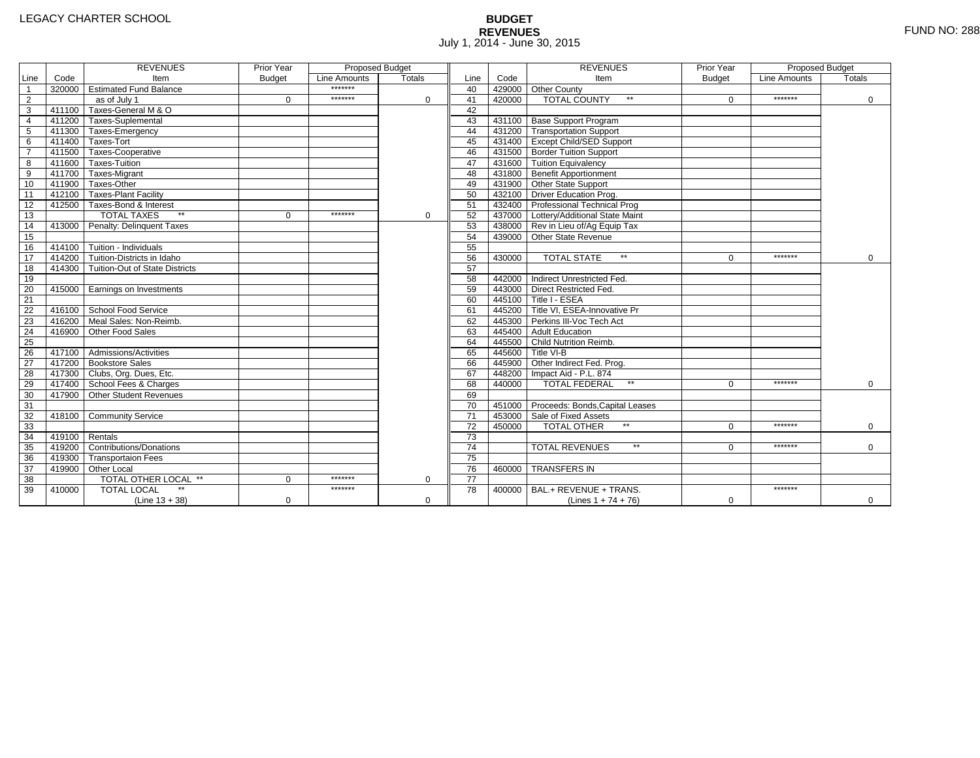# **BUDGET REVENUES** FUND NO: 288 July 1, 2014 - June 30, 2015

|                         |                | <b>REVENUES</b>                         | Prior Year    | <b>Proposed Budget</b> |               |                 |        | <b>REVENUES</b>                        | Prior Year    | Proposed Budget |             |
|-------------------------|----------------|-----------------------------------------|---------------|------------------------|---------------|-----------------|--------|----------------------------------------|---------------|-----------------|-------------|
| Line                    | Code           | Item                                    | <b>Budget</b> | Line Amounts           | <b>Totals</b> | Line            | Code   | Item                                   | <b>Budget</b> | Line Amounts    | Totals      |
| $\overline{1}$          |                | 320000 Estimated Fund Balance           |               | *******                |               | 40              |        | 429000 Other County                    |               |                 |             |
| $\overline{2}$          |                | as of July 1                            | $\Omega$      | *******                | $\Omega$      | 41              | 420000 | <b>TOTAL COUNTY</b><br>$\star\star$    | $\Omega$      | *******         | $\mathbf 0$ |
| $\overline{\mathbf{3}}$ |                | 411100 Taxes-General M & O              |               |                        |               | 42              |        |                                        |               |                 |             |
| $\overline{4}$          |                | 411200 Taxes-Suplemental                |               |                        |               | 43              |        | 431100 Base Support Program            |               |                 |             |
| $\overline{5}$          |                | 411300 Taxes-Emergency                  |               |                        |               | 44              |        | 431200 Transportation Support          |               |                 |             |
| 6                       |                | 411400 Taxes-Tort                       |               |                        |               | 45              |        | 431400 Except Child/SED Support        |               |                 |             |
| $\overline{7}$          |                | 411500 Taxes-Cooperative                |               |                        |               | 46              |        | 431500 Border Tuition Support          |               |                 |             |
| 8                       |                | 411600 Taxes-Tuition                    |               |                        |               | 47              |        | 431600 Tuition Equivalency             |               |                 |             |
| 9                       |                | 411700 Taxes-Migrant                    |               |                        |               | 48              |        | 431800 Benefit Apportionment           |               |                 |             |
| 10                      |                | 411900 Taxes-Other                      |               |                        |               | 49              |        | 431900 Other State Support             |               |                 |             |
| 11                      |                | 412100 Taxes-Plant Facility             |               |                        |               | 50              |        | 432100 Driver Education Prog.          |               |                 |             |
| 12                      |                | 412500 Taxes-Bond & Interest            |               |                        |               | 51              |        | 432400 Professional Technical Prog     |               |                 |             |
| 13                      |                | <b>TOTAL TAXES</b>                      | $\Omega$      | *******                | 0             | 52              |        | 437000 Lottery/Additional State Maint  |               |                 |             |
| 14                      |                | 413000 Penalty: Delinguent Taxes        |               |                        |               | 53              |        | 438000 Rev in Lieu of/Ag Equip Tax     |               |                 |             |
| 15                      |                |                                         |               |                        |               | 54              |        | 439000 Other State Revenue             |               |                 |             |
| 16                      |                | 414100 Tuition - Individuals            |               |                        |               | 55              |        |                                        |               |                 |             |
| 17                      |                | 414200 Tuition-Districts in Idaho       |               |                        |               | 56              | 430000 | <b>TOTAL STATE</b><br>$\star\star$     | $\Omega$      | *******         | $\mathbf 0$ |
| $\overline{18}$         |                | 414300   Tuition-Out of State Districts |               |                        |               | 57              |        |                                        |               |                 |             |
| 19                      |                |                                         |               |                        |               | 58              |        | 442000 Indirect Unrestricted Fed.      |               |                 |             |
| 20                      |                | 415000 Earnings on Investments          |               |                        |               | 59              |        | 443000 Direct Restricted Fed.          |               |                 |             |
| 21                      |                |                                         |               |                        |               | 60              |        | 445100 Title I - ESEA                  |               |                 |             |
| 22                      |                | 416100 School Food Service              |               |                        |               | 61              |        | 445200 Title VI. ESEA-Innovative Pr    |               |                 |             |
| 23                      |                | 416200 Meal Sales: Non-Reimb.           |               |                        |               | 62              |        | 445300 Perkins III-Voc Tech Act        |               |                 |             |
| 24                      |                | 416900 Other Food Sales                 |               |                        |               | 63              |        | 445400 Adult Education                 |               |                 |             |
| $\overline{25}$         |                |                                         |               |                        |               | 64              |        | 445500 Child Nutrition Reimb.          |               |                 |             |
| 26                      |                | 417100 Admissions/Activities            |               |                        |               | 65              |        | 445600 Title VI-B                      |               |                 |             |
| $\overline{27}$         |                | 417200 Bookstore Sales                  |               |                        |               | 66              |        | 445900 Other Indirect Fed. Prog.       |               |                 |             |
| 28                      |                | 417300 Clubs, Org. Dues, Etc.           |               |                        |               | 67              |        | 448200 Impact Aid - P.L. 874           |               |                 |             |
| 29                      |                | 417400 School Fees & Charges            |               |                        |               | 68              | 440000 | <b>TOTAL FEDERAL</b><br>$\star\star$   | $\Omega$      | *******         | $\Omega$    |
| 30                      | 417900         | Other Student Revenues                  |               |                        |               | 69              |        |                                        |               |                 |             |
| 31                      |                |                                         |               |                        |               | 70              |        | 451000 Proceeds: Bonds, Capital Leases |               |                 |             |
| 32                      |                | 418100 Community Service                |               |                        |               | $\overline{71}$ |        | 453000 Sale of Fixed Assets            |               |                 |             |
| 33                      |                |                                         |               |                        |               | 72              | 450000 | <b>TOTAL OTHER</b>                     | $\Omega$      | *******         | $\mathbf 0$ |
| 34                      | 419100 Rentals |                                         |               |                        |               | $\overline{73}$ |        |                                        |               |                 |             |
| 35                      |                | 419200 Contributions/Donations          |               |                        |               | $\overline{74}$ |        | $\star\star$<br><b>TOTAL REVENUES</b>  | 0             | *******         | $\Omega$    |
| 36                      |                | 419300 Transportaion Fees               |               |                        |               | $\overline{75}$ |        |                                        |               |                 |             |
| 37                      |                | 419900 Other Local                      |               |                        |               | 76              | 460000 | <b>TRANSFERS IN</b>                    |               |                 |             |
| 38                      |                | TOTAL OTHER LOCAL **                    | $\Omega$      | *******                | $\mathbf 0$   | 77              |        |                                        |               |                 |             |
| 39                      | 410000         | <b>TOTAL LOCAL</b>                      |               | *******                |               | 78              | 400000 | BAL.+ REVENUE + TRANS.                 |               | *******         |             |
|                         |                | $(Line 13 + 38)$                        | $\mathbf 0$   |                        | $\mathbf 0$   |                 |        | (Lines $1 + 74 + 76$ )                 | $\mathbf 0$   |                 | 0           |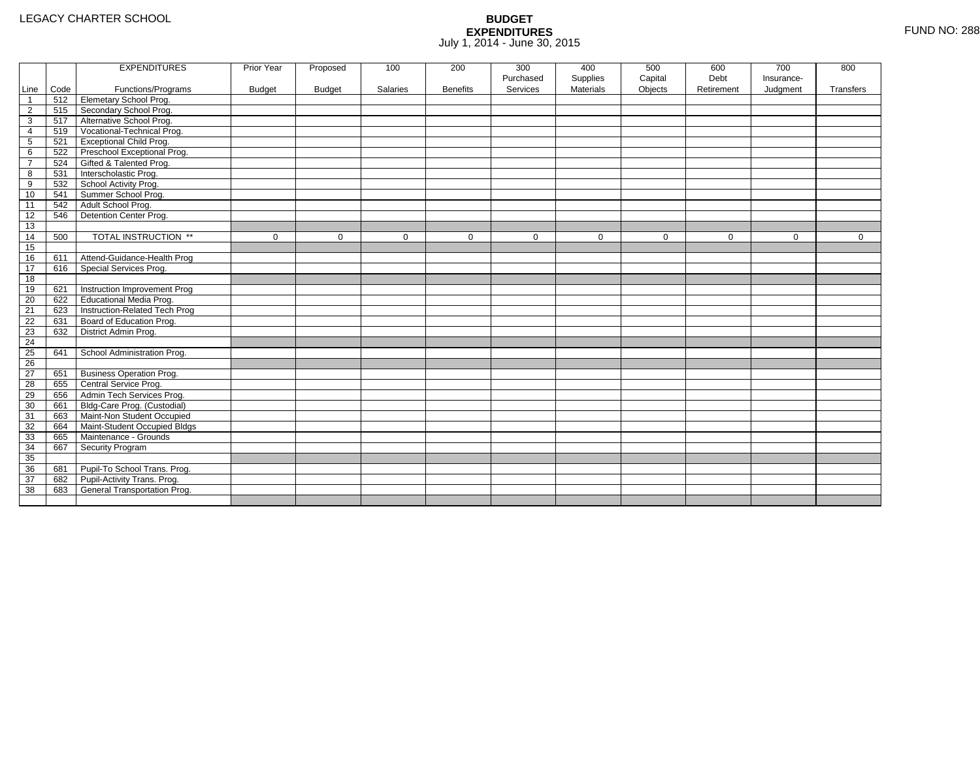|                 |      | <b>EXPENDITURES</b>             | Prior Year    | Proposed      | 100         | 200             | 300         | 400              | 500         | 600         | 700         | 800          |
|-----------------|------|---------------------------------|---------------|---------------|-------------|-----------------|-------------|------------------|-------------|-------------|-------------|--------------|
|                 |      |                                 |               |               |             |                 | Purchased   | Supplies         | Capital     | Debt        | Insurance-  |              |
| Line            | Code | Functions/Programs              | <b>Budget</b> | <b>Budget</b> | Salaries    | <b>Benefits</b> | Services    | <b>Materials</b> | Objects     | Retirement  | Judgment    | Transfers    |
| $\overline{1}$  | 512  | <b>Elemetary School Prog.</b>   |               |               |             |                 |             |                  |             |             |             |              |
| $\overline{2}$  | 515  | Secondary School Prog.          |               |               |             |                 |             |                  |             |             |             |              |
| 3               | 517  | Alternative School Prog.        |               |               |             |                 |             |                  |             |             |             |              |
| 4               | 519  | Vocational-Technical Prog.      |               |               |             |                 |             |                  |             |             |             |              |
| $5\phantom{.0}$ | 521  | <b>Exceptional Child Prog.</b>  |               |               |             |                 |             |                  |             |             |             |              |
| 6               | 522  | Preschool Exceptional Prog.     |               |               |             |                 |             |                  |             |             |             |              |
| $\overline{7}$  | 524  | Gifted & Talented Prog.         |               |               |             |                 |             |                  |             |             |             |              |
| 8               | 531  | Interscholastic Prog.           |               |               |             |                 |             |                  |             |             |             |              |
| 9               | 532  | School Activity Prog.           |               |               |             |                 |             |                  |             |             |             |              |
| 10              | 541  | Summer School Prog.             |               |               |             |                 |             |                  |             |             |             |              |
| 11              | 542  | Adult School Prog.              |               |               |             |                 |             |                  |             |             |             |              |
| 12              | 546  | Detention Center Prog.          |               |               |             |                 |             |                  |             |             |             |              |
| 13              |      |                                 |               |               |             |                 |             |                  |             |             |             |              |
| 14              | 500  | TOTAL INSTRUCTION **            | $\mathbf 0$   | $\Omega$      | $\mathbf 0$ | $\mathbf 0$     | $\mathbf 0$ | $\mathbf 0$      | $\mathbf 0$ | $\mathbf 0$ | $\mathbf 0$ | $\mathbf{0}$ |
| 15              |      |                                 |               |               |             |                 |             |                  |             |             |             |              |
| 16              | 611  | Attend-Guidance-Health Prog     |               |               |             |                 |             |                  |             |             |             |              |
| 17              | 616  | Special Services Prog.          |               |               |             |                 |             |                  |             |             |             |              |
| 18              |      |                                 |               |               |             |                 |             |                  |             |             |             |              |
| 19              | 621  | Instruction Improvement Prog    |               |               |             |                 |             |                  |             |             |             |              |
| 20              | 622  | Educational Media Prog.         |               |               |             |                 |             |                  |             |             |             |              |
| 21              | 623  | Instruction-Related Tech Prog   |               |               |             |                 |             |                  |             |             |             |              |
| 22              | 631  | Board of Education Prog.        |               |               |             |                 |             |                  |             |             |             |              |
| 23              | 632  | District Admin Prog.            |               |               |             |                 |             |                  |             |             |             |              |
| 24              |      |                                 |               |               |             |                 |             |                  |             |             |             |              |
| 25              | 641  | School Administration Prog.     |               |               |             |                 |             |                  |             |             |             |              |
| $\overline{26}$ |      |                                 |               |               |             |                 |             |                  |             |             |             |              |
| 27              | 651  | <b>Business Operation Prog.</b> |               |               |             |                 |             |                  |             |             |             |              |
| 28              | 655  | Central Service Prog.           |               |               |             |                 |             |                  |             |             |             |              |
| 29              | 656  | Admin Tech Services Prog.       |               |               |             |                 |             |                  |             |             |             |              |
| 30              | 661  | Bldg-Care Prog. (Custodial)     |               |               |             |                 |             |                  |             |             |             |              |
| 31              | 663  | Maint-Non Student Occupied      |               |               |             |                 |             |                  |             |             |             |              |
| 32              | 664  | Maint-Student Occupied Bldgs    |               |               |             |                 |             |                  |             |             |             |              |
| 33              | 665  | Maintenance - Grounds           |               |               |             |                 |             |                  |             |             |             |              |
| 34              | 667  | Security Program                |               |               |             |                 |             |                  |             |             |             |              |
| 35              |      |                                 |               |               |             |                 |             |                  |             |             |             |              |
| 36              | 681  | Pupil-To School Trans. Prog.    |               |               |             |                 |             |                  |             |             |             |              |
| 37              | 682  | Pupil-Activity Trans. Prog.     |               |               |             |                 |             |                  |             |             |             |              |
| 38              | 683  | General Transportation Prog.    |               |               |             |                 |             |                  |             |             |             |              |
|                 |      |                                 |               |               |             |                 |             |                  |             |             |             |              |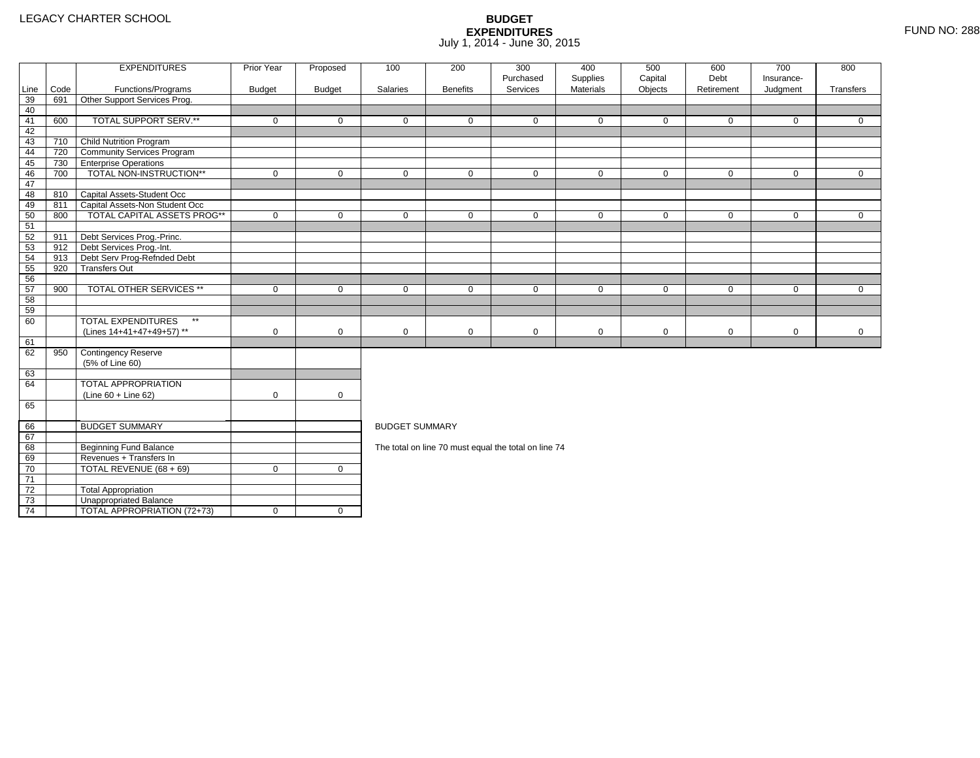4 | TOTAL APPROPRIATION (72+73) | 0 | 0

|      |      | <b>EXPENDITURES</b>                       | <b>Prior Year</b> | Proposed      | 100                   | 200             | 300<br>Purchased                                     | 400<br>Supplies | 500<br>Capital | 600<br>Debt | 700<br>Insurance- | 800          |
|------|------|-------------------------------------------|-------------------|---------------|-----------------------|-----------------|------------------------------------------------------|-----------------|----------------|-------------|-------------------|--------------|
| Line | Code | Functions/Programs                        | <b>Budget</b>     | <b>Budget</b> | Salaries              | <b>Benefits</b> | Services                                             | Materials       | Objects        | Retirement  | Judgment          | Transfers    |
| 39   | 691  | Other Support Services Prog.              |                   |               |                       |                 |                                                      |                 |                |             |                   |              |
| 40   |      |                                           |                   |               |                       |                 |                                                      |                 |                |             |                   |              |
| 41   | 600  | TOTAL SUPPORT SERV.**                     | $\mathbf 0$       | $\Omega$      | $\Omega$              | $\mathbf{0}$    | $\Omega$                                             | $\mathbf{0}$    | 0              | $\Omega$    | $\mathbf 0$       | $\Omega$     |
| 42   |      |                                           |                   |               |                       |                 |                                                      |                 |                |             |                   |              |
| 43   | 710  | Child Nutrition Program                   |                   |               |                       |                 |                                                      |                 |                |             |                   |              |
| 44   | 720  | <b>Community Services Program</b>         |                   |               |                       |                 |                                                      |                 |                |             |                   |              |
| 45   | 730  | <b>Enterprise Operations</b>              |                   |               |                       |                 |                                                      |                 |                |             |                   |              |
| 46   | 700  | TOTAL NON-INSTRUCTION**                   | 0                 | $\mathbf 0$   | 0                     | $\mathbf 0$     | $\mathbf 0$                                          | $\mathbf 0$     | 0              | $\mathbf 0$ | $\mathbf{0}$      | $\mathbf 0$  |
| 47   |      |                                           |                   |               |                       |                 |                                                      |                 |                |             |                   |              |
| 48   | 810  | Capital Assets-Student Occ                |                   |               |                       |                 |                                                      |                 |                |             |                   |              |
| 49   | 811  | Capital Assets-Non Student Occ            |                   |               |                       |                 |                                                      |                 |                |             |                   |              |
| 50   | 800  | <b>TOTAL CAPITAL ASSETS PROG**</b>        | 0                 | $\mathbf 0$   | $\mathbf 0$           | $\mathbf 0$     | $\mathbf 0$                                          | $\mathbf 0$     | 0              | $\mathbf 0$ | $\overline{0}$    | $\mathbf{0}$ |
| 51   |      |                                           |                   |               |                       |                 |                                                      |                 |                |             |                   |              |
| 52   | 911  | Debt Services Prog.-Princ.                |                   |               |                       |                 |                                                      |                 |                |             |                   |              |
| 53   | 912  | Debt Services Prog.-Int.                  |                   |               |                       |                 |                                                      |                 |                |             |                   |              |
| 54   | 913  | Debt Serv Prog-Refnded Debt               |                   |               |                       |                 |                                                      |                 |                |             |                   |              |
| 55   | 920  | <b>Transfers Out</b>                      |                   |               |                       |                 |                                                      |                 |                |             |                   |              |
| 56   |      |                                           |                   |               |                       |                 |                                                      |                 |                |             |                   |              |
| 57   | 900  | <b>TOTAL OTHER SERVICES **</b>            | 0                 | $\mathbf 0$   | $\mathbf 0$           | $\mathbf 0$     | $\mathbf 0$                                          | $\mathbf 0$     | 0              | $\mathbf 0$ | $\mathbf 0$       | $\mathbf{0}$ |
| 58   |      |                                           |                   |               |                       |                 |                                                      |                 |                |             |                   |              |
| 59   |      |                                           |                   |               |                       |                 |                                                      |                 |                |             |                   |              |
| 60   |      | <b>TOTAL EXPENDITURES</b><br>$\star\star$ |                   |               |                       |                 |                                                      |                 |                |             |                   |              |
|      |      | (Lines 14+41+47+49+57) **                 | 0                 | $\mathbf 0$   | 0                     | $\mathbf 0$     | $\mathbf 0$                                          | $\mathbf 0$     | 0              | $\mathbf 0$ | $\mathbf 0$       | $\mathbf 0$  |
| 61   |      |                                           |                   |               |                       |                 |                                                      |                 |                |             |                   |              |
| 62   | 950  | Contingency Reserve                       |                   |               |                       |                 |                                                      |                 |                |             |                   |              |
|      |      | (5% of Line 60)                           |                   |               |                       |                 |                                                      |                 |                |             |                   |              |
| 63   |      |                                           |                   |               |                       |                 |                                                      |                 |                |             |                   |              |
| 64   |      | <b>TOTAL APPROPRIATION</b>                |                   |               |                       |                 |                                                      |                 |                |             |                   |              |
|      |      | $(Line 60 + Line 62)$                     | $\mathbf 0$       | $\mathbf 0$   |                       |                 |                                                      |                 |                |             |                   |              |
| 65   |      |                                           |                   |               |                       |                 |                                                      |                 |                |             |                   |              |
| 66   |      | <b>BUDGET SUMMARY</b>                     |                   |               | <b>BUDGET SUMMARY</b> |                 |                                                      |                 |                |             |                   |              |
| 67   |      |                                           |                   |               |                       |                 |                                                      |                 |                |             |                   |              |
| 68   |      | <b>Beginning Fund Balance</b>             |                   |               |                       |                 | The total on line 70 must equal the total on line 74 |                 |                |             |                   |              |
| 69   |      | Revenues + Transfers In                   |                   |               |                       |                 |                                                      |                 |                |             |                   |              |
| 70   |      | TOTAL REVENUE (68 + 69)                   | $\mathbf 0$       | $\mathbf 0$   |                       |                 |                                                      |                 |                |             |                   |              |
| 71   |      |                                           |                   |               |                       |                 |                                                      |                 |                |             |                   |              |
| 72   |      | <b>Total Appropriation</b>                |                   |               |                       |                 |                                                      |                 |                |             |                   |              |
| 73   |      | Unappropriated Balance                    |                   |               |                       |                 |                                                      |                 |                |             |                   |              |
|      |      |                                           |                   |               |                       |                 |                                                      |                 |                |             |                   |              |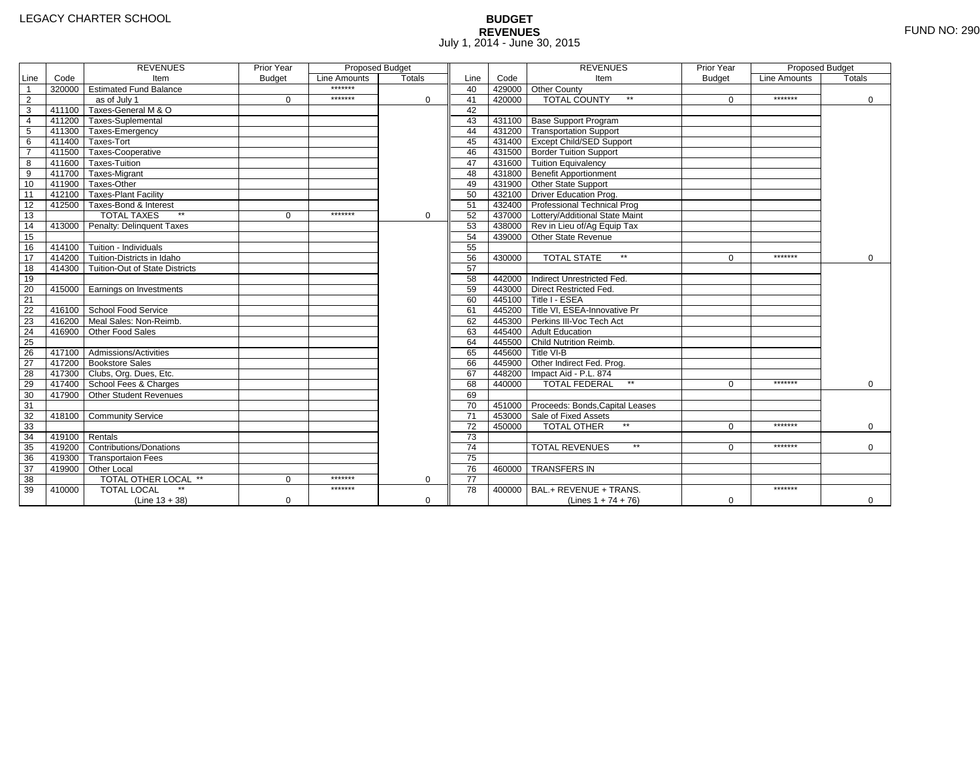# **BUDGET REVENUES** FUND NO: 290 July 1, 2014 - June 30, 2015

|                 |                | <b>REVENUES</b>                       | Prior Year    | <b>Proposed Budget</b> |               |                 |        | <b>REVENUES</b>                        | Prior Year    | Proposed Budget |             |
|-----------------|----------------|---------------------------------------|---------------|------------------------|---------------|-----------------|--------|----------------------------------------|---------------|-----------------|-------------|
| Line            | Code           | Item                                  | <b>Budget</b> | Line Amounts           | <b>Totals</b> | Line            | Code   | Item                                   | <b>Budget</b> | Line Amounts    | Totals      |
| $\overline{1}$  |                | 320000 Estimated Fund Balance         |               | *******                |               | 40              |        | 429000 Other County                    |               |                 |             |
| $\overline{2}$  |                | as of July 1                          | $\Omega$      | *******                | $\Omega$      | 41              | 420000 | <b>TOTAL COUNTY</b><br>$\star\star$    | $\Omega$      | *******         | $\mathbf 0$ |
| $\overline{3}$  |                | 411100 Taxes-General M & O            |               |                        |               | 42              |        |                                        |               |                 |             |
| $\overline{4}$  |                | 411200 Taxes-Suplemental              |               |                        |               | 43              |        | 431100 Base Support Program            |               |                 |             |
| $\overline{5}$  |                | 411300 Taxes-Emergency                |               |                        |               | 44              |        | 431200 Transportation Support          |               |                 |             |
| $\overline{6}$  |                | 411400 Taxes-Tort                     |               |                        |               | 45              |        | 431400 Except Child/SED Support        |               |                 |             |
| $\overline{7}$  |                | 411500 Taxes-Cooperative              |               |                        |               | 46              |        | 431500 Border Tuition Support          |               |                 |             |
| 8               |                | 411600 Taxes-Tuition                  |               |                        |               | 47              |        | 431600 Tuition Equivalency             |               |                 |             |
| 9               |                | 411700 Taxes-Migrant                  |               |                        |               | 48              |        | 431800 Benefit Apportionment           |               |                 |             |
| 10              |                | 411900 Taxes-Other                    |               |                        |               | 49              |        | 431900 Other State Support             |               |                 |             |
| 11              |                | 412100 Taxes-Plant Facility           |               |                        |               | 50              |        | 432100 Driver Education Prog.          |               |                 |             |
| 12              |                | 412500 Taxes-Bond & Interest          |               |                        |               | 51              |        | 432400 Professional Technical Prog     |               |                 |             |
| 13              |                | <b>TOTAL TAXES</b>                    | $\Omega$      | *******                | 0             | 52              |        | 437000 Lottery/Additional State Maint  |               |                 |             |
| $\overline{14}$ |                | 413000 Penalty: Delinquent Taxes      |               |                        |               | 53              |        | 438000 Rev in Lieu of/Ag Equip Tax     |               |                 |             |
| 15              |                |                                       |               |                        |               | 54              |        | 439000 Other State Revenue             |               |                 |             |
| 16              |                | 414100 Tuition - Individuals          |               |                        |               | 55              |        |                                        |               |                 |             |
| 17              |                | 414200 Tuition-Districts in Idaho     |               |                        |               | 56              | 430000 | <b>TOTAL STATE</b><br>$\star\star$     | $\Omega$      | *******         | $\mathbf 0$ |
| $\overline{18}$ |                | 414300 Tuition-Out of State Districts |               |                        |               | 57              |        |                                        |               |                 |             |
| 19              |                |                                       |               |                        |               | 58              |        | 442000 Indirect Unrestricted Fed.      |               |                 |             |
| 20              |                | 415000 Earnings on Investments        |               |                        |               | 59              |        | 443000 Direct Restricted Fed.          |               |                 |             |
| $\overline{21}$ |                |                                       |               |                        |               | 60              |        | 445100 Title I - ESEA                  |               |                 |             |
| 22              |                | 416100 School Food Service            |               |                        |               | 61              |        | 445200 Title VI, ESEA-Innovative Pr    |               |                 |             |
| 23              |                | 416200 Meal Sales: Non-Reimb.         |               |                        |               | 62              |        | 445300 Perkins III-Voc Tech Act        |               |                 |             |
| $\overline{24}$ |                | 416900 Other Food Sales               |               |                        |               | 63              |        | 445400 Adult Education                 |               |                 |             |
| $\overline{25}$ |                |                                       |               |                        |               | 64              |        | 445500 Child Nutrition Reimb.          |               |                 |             |
| 26              |                | 417100 Admissions/Activities          |               |                        |               | 65              |        | 445600 Title VI-B                      |               |                 |             |
| $\overline{27}$ |                | 417200 Bookstore Sales                |               |                        |               | 66              |        | 445900 Other Indirect Fed. Prog.       |               |                 |             |
| 28              |                | 417300 Clubs, Org. Dues, Etc.         |               |                        |               | 67              |        | 448200 Impact Aid - P.L. 874           |               |                 |             |
| 29              |                | 417400 School Fees & Charges          |               |                        |               | 68              | 440000 | <b>TOTAL FEDERAL</b><br>$\star\star$   | $\Omega$      | *******         | $\Omega$    |
| 30              | 417900         | Other Student Revenues                |               |                        |               | 69              |        |                                        |               |                 |             |
| 31              |                |                                       |               |                        |               | 70              |        | 451000 Proceeds: Bonds, Capital Leases |               |                 |             |
| 32              |                | 418100 Community Service              |               |                        |               | 71              |        | 453000 Sale of Fixed Assets            |               |                 |             |
| 33              |                |                                       |               |                        |               | 72              | 450000 | <b>TOTAL OTHER</b>                     | $\Omega$      | *******         | $\mathbf 0$ |
| 34              | 419100 Rentals |                                       |               |                        |               | 73              |        |                                        |               |                 |             |
| 35              |                | 419200 Contributions/Donations        |               |                        |               | $\overline{74}$ |        | $\star\star$<br><b>TOTAL REVENUES</b>  | <sup>n</sup>  | *******         | $\Omega$    |
| 36              |                | 419300 Transportaion Fees             |               |                        |               | 75              |        |                                        |               |                 |             |
| 37              |                | 419900 Other Local                    |               |                        |               | 76              |        | 460000 TRANSFERS IN                    |               |                 |             |
| 38              |                | TOTAL OTHER LOCAL **                  | $\Omega$      | *******                | 0             | 77              |        |                                        |               |                 |             |
| 39              | 410000         | <b>TOTAL LOCAL</b>                    |               | *******                |               | 78              | 400000 | BAL.+ REVENUE + TRANS.                 |               | *******         |             |
|                 |                | $(Line 13 + 38)$                      | $\mathbf 0$   |                        | $\mathbf 0$   |                 |        | (Lines $1 + 74 + 76$ )                 | $\mathbf 0$   |                 | 0           |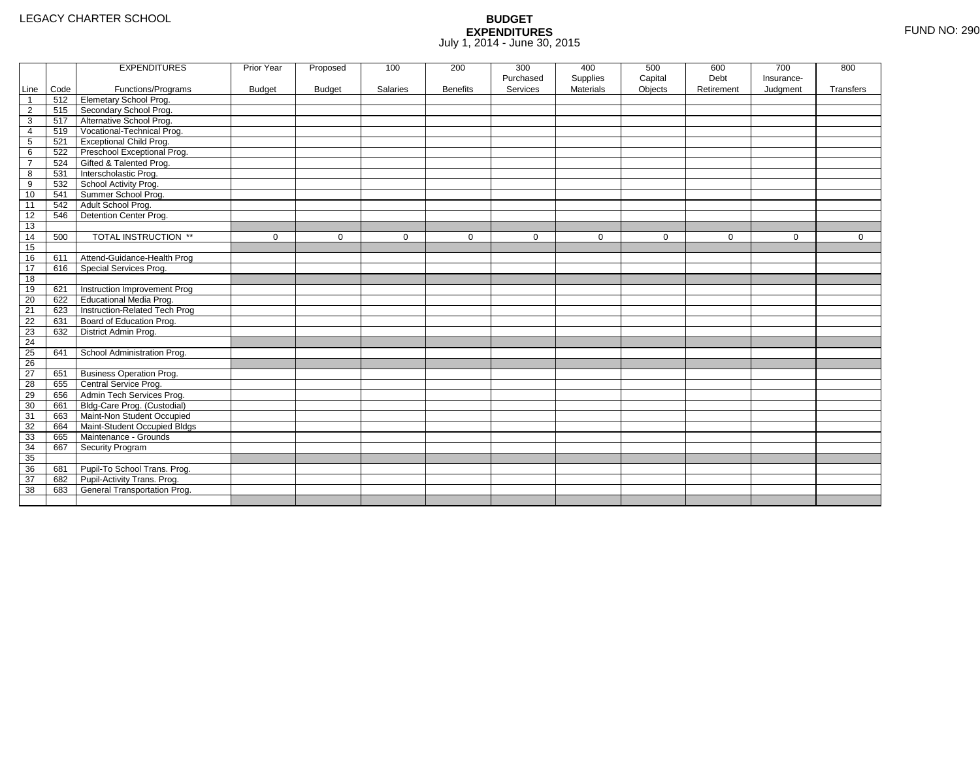|                 |      | <b>EXPENDITURES</b>             | Prior Year    | Proposed      | 100         | 200             | 300         | 400              | 500         | 600         | 700         | 800          |
|-----------------|------|---------------------------------|---------------|---------------|-------------|-----------------|-------------|------------------|-------------|-------------|-------------|--------------|
|                 |      |                                 |               |               |             |                 | Purchased   | Supplies         | Capital     | Debt        | Insurance-  |              |
| Line            | Code | Functions/Programs              | <b>Budget</b> | <b>Budget</b> | Salaries    | <b>Benefits</b> | Services    | <b>Materials</b> | Objects     | Retirement  | Judgment    | Transfers    |
| $\overline{1}$  | 512  | <b>Elemetary School Prog.</b>   |               |               |             |                 |             |                  |             |             |             |              |
| $\overline{2}$  | 515  | Secondary School Prog.          |               |               |             |                 |             |                  |             |             |             |              |
| 3               | 517  | Alternative School Prog.        |               |               |             |                 |             |                  |             |             |             |              |
| 4               | 519  | Vocational-Technical Prog.      |               |               |             |                 |             |                  |             |             |             |              |
| $5\phantom{.0}$ | 521  | <b>Exceptional Child Prog.</b>  |               |               |             |                 |             |                  |             |             |             |              |
| 6               | 522  | Preschool Exceptional Prog.     |               |               |             |                 |             |                  |             |             |             |              |
| $\overline{7}$  | 524  | Gifted & Talented Prog.         |               |               |             |                 |             |                  |             |             |             |              |
| 8               | 531  | Interscholastic Prog.           |               |               |             |                 |             |                  |             |             |             |              |
| 9               | 532  | School Activity Prog.           |               |               |             |                 |             |                  |             |             |             |              |
| 10              | 541  | Summer School Prog.             |               |               |             |                 |             |                  |             |             |             |              |
| 11              | 542  | Adult School Prog.              |               |               |             |                 |             |                  |             |             |             |              |
| 12              | 546  | Detention Center Prog.          |               |               |             |                 |             |                  |             |             |             |              |
| 13              |      |                                 |               |               |             |                 |             |                  |             |             |             |              |
| 14              | 500  | TOTAL INSTRUCTION **            | $\mathbf 0$   | $\Omega$      | $\mathbf 0$ | $\mathbf 0$     | $\mathbf 0$ | $\mathbf 0$      | $\mathbf 0$ | $\mathbf 0$ | $\mathbf 0$ | $\mathbf{0}$ |
| 15              |      |                                 |               |               |             |                 |             |                  |             |             |             |              |
| 16              | 611  | Attend-Guidance-Health Prog     |               |               |             |                 |             |                  |             |             |             |              |
| 17              | 616  | Special Services Prog.          |               |               |             |                 |             |                  |             |             |             |              |
| 18              |      |                                 |               |               |             |                 |             |                  |             |             |             |              |
| 19              | 621  | Instruction Improvement Prog    |               |               |             |                 |             |                  |             |             |             |              |
| 20              | 622  | Educational Media Prog.         |               |               |             |                 |             |                  |             |             |             |              |
| 21              | 623  | Instruction-Related Tech Prog   |               |               |             |                 |             |                  |             |             |             |              |
| 22              | 631  | Board of Education Prog.        |               |               |             |                 |             |                  |             |             |             |              |
| 23              | 632  | District Admin Prog.            |               |               |             |                 |             |                  |             |             |             |              |
| 24              |      |                                 |               |               |             |                 |             |                  |             |             |             |              |
| 25              | 641  | School Administration Prog.     |               |               |             |                 |             |                  |             |             |             |              |
| $\overline{26}$ |      |                                 |               |               |             |                 |             |                  |             |             |             |              |
| 27              | 651  | <b>Business Operation Prog.</b> |               |               |             |                 |             |                  |             |             |             |              |
| 28              | 655  | Central Service Prog.           |               |               |             |                 |             |                  |             |             |             |              |
| 29              | 656  | Admin Tech Services Prog.       |               |               |             |                 |             |                  |             |             |             |              |
| 30              | 661  | Bldg-Care Prog. (Custodial)     |               |               |             |                 |             |                  |             |             |             |              |
| 31              | 663  | Maint-Non Student Occupied      |               |               |             |                 |             |                  |             |             |             |              |
| 32              | 664  | Maint-Student Occupied Bldgs    |               |               |             |                 |             |                  |             |             |             |              |
| 33              | 665  | Maintenance - Grounds           |               |               |             |                 |             |                  |             |             |             |              |
| 34              | 667  | Security Program                |               |               |             |                 |             |                  |             |             |             |              |
| 35              |      |                                 |               |               |             |                 |             |                  |             |             |             |              |
| 36              | 681  | Pupil-To School Trans. Prog.    |               |               |             |                 |             |                  |             |             |             |              |
| 37              | 682  | Pupil-Activity Trans. Prog.     |               |               |             |                 |             |                  |             |             |             |              |
| 38              | 683  | General Transportation Prog.    |               |               |             |                 |             |                  |             |             |             |              |
|                 |      |                                 |               |               |             |                 |             |                  |             |             |             |              |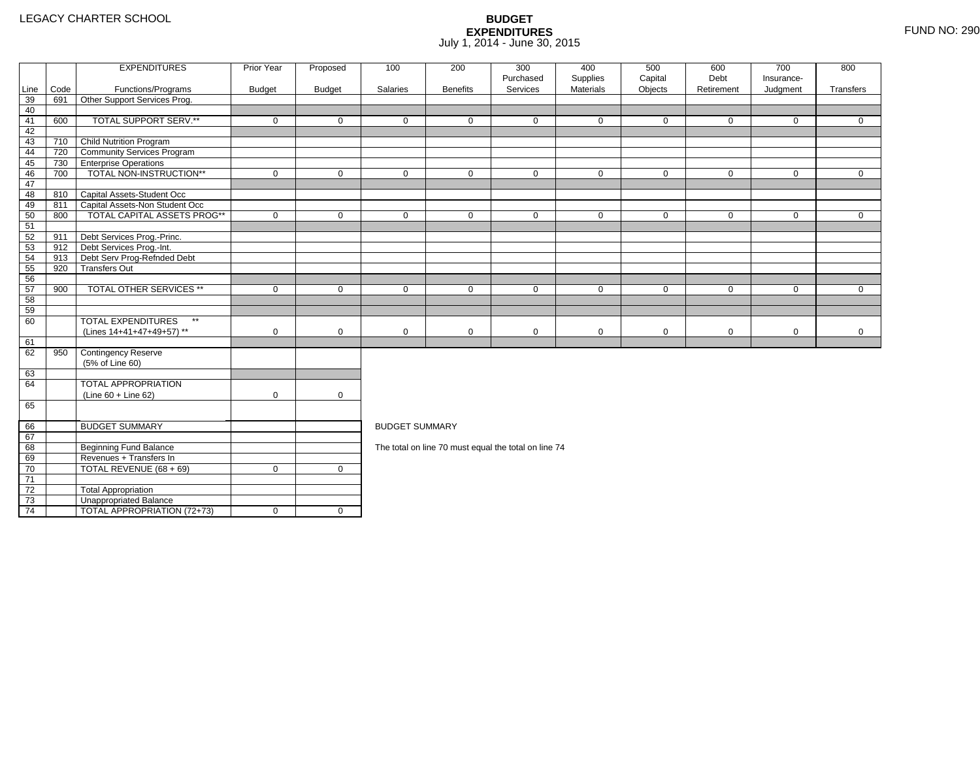4 | TOTAL APPROPRIATION (72+73) | 0 | 0

|                 |      | <b>EXPENDITURES</b>                       | Prior Year    | Proposed      | 100                   | 200             | 300<br>Purchased                                     | 400<br>Supplies | 500<br>Capital | 600<br>Debt | 700<br>Insurance- | 800          |
|-----------------|------|-------------------------------------------|---------------|---------------|-----------------------|-----------------|------------------------------------------------------|-----------------|----------------|-------------|-------------------|--------------|
| Line            | Code | Functions/Programs                        | <b>Budget</b> | <b>Budget</b> | Salaries              | <b>Benefits</b> | Services                                             | Materials       | Objects        | Retirement  | Judgment          | Transfers    |
| 39              | 691  | Other Support Services Prog.              |               |               |                       |                 |                                                      |                 |                |             |                   |              |
| 40              |      |                                           |               |               |                       |                 |                                                      |                 |                |             |                   |              |
| 41              | 600  | TOTAL SUPPORT SERV.**                     | $\mathbf 0$   | $\Omega$      | $\Omega$              | $\Omega$        | $\Omega$                                             | $\mathbf 0$     | $\mathbf 0$    | $\Omega$    | $\Omega$          | $\Omega$     |
| 42              |      |                                           |               |               |                       |                 |                                                      |                 |                |             |                   |              |
| 43              | 710  | Child Nutrition Program                   |               |               |                       |                 |                                                      |                 |                |             |                   |              |
| 44              |      | 720 Community Services Program            |               |               |                       |                 |                                                      |                 |                |             |                   |              |
| 45              | 730  | <b>Enterprise Operations</b>              |               |               |                       |                 |                                                      |                 |                |             |                   |              |
| 46              | 700  | TOTAL NON-INSTRUCTION**                   | $\mathbf 0$   | $\mathbf 0$   | $\mathbf 0$           | $\mathbf 0$     | $\mathbf 0$                                          | $\mathbf 0$     | $\mathbf 0$    | $\mathbf 0$ | $\mathbf{0}$      | $\mathbf{0}$ |
| 47              |      |                                           |               |               |                       |                 |                                                      |                 |                |             |                   |              |
| 48              |      | 810 Capital Assets-Student Occ            |               |               |                       |                 |                                                      |                 |                |             |                   |              |
| 49              | 811  | Capital Assets-Non Student Occ            |               |               |                       |                 |                                                      |                 |                |             |                   |              |
| 50              | 800  | <b>TOTAL CAPITAL ASSETS PROG**</b>        | $\mathbf 0$   | $\mathbf 0$   | $\mathbf 0$           | 0               | $\mathbf 0$                                          | $\mathbf 0$     | $\mathbf 0$    | $\mathbf 0$ | $\mathbf 0$       | $\mathbf 0$  |
| 51              |      |                                           |               |               |                       |                 |                                                      |                 |                |             |                   |              |
| 52              | 911  | Debt Services Prog.-Princ.                |               |               |                       |                 |                                                      |                 |                |             |                   |              |
| 53              | 912  | Debt Services Prog.-Int.                  |               |               |                       |                 |                                                      |                 |                |             |                   |              |
| 54              | 913  | Debt Serv Prog-Refnded Debt               |               |               |                       |                 |                                                      |                 |                |             |                   |              |
| 55              | 920  | <b>Transfers Out</b>                      |               |               |                       |                 |                                                      |                 |                |             |                   |              |
| 56              |      |                                           |               |               |                       |                 |                                                      |                 |                |             |                   |              |
| 57              | 900  | <b>TOTAL OTHER SERVICES **</b>            | $\mathbf 0$   | $\mathbf 0$   | $\mathbf 0$           | $\mathbf 0$     | $\mathbf 0$                                          | $\mathbf 0$     | $\mathbf 0$    | $\mathbf 0$ | $\mathbf 0$       | $\mathbf{0}$ |
| 58              |      |                                           |               |               |                       |                 |                                                      |                 |                |             |                   |              |
| 59              |      |                                           |               |               |                       |                 |                                                      |                 |                |             |                   |              |
| 60              |      | <b>TOTAL EXPENDITURES</b><br>$\star\star$ |               |               |                       |                 |                                                      |                 |                |             |                   |              |
|                 |      | (Lines 14+41+47+49+57) **                 | $\mathbf 0$   | $\mathbf 0$   | 0                     | $\mathbf 0$     | $\mathbf 0$                                          | 0               | $\mathbf 0$    | $\mathbf 0$ | $\mathbf 0$       | $\mathbf 0$  |
| 61              |      |                                           |               |               |                       |                 |                                                      |                 |                |             |                   |              |
| 62              | 950  | Contingency Reserve                       |               |               |                       |                 |                                                      |                 |                |             |                   |              |
|                 |      | (5% of Line 60)                           |               |               |                       |                 |                                                      |                 |                |             |                   |              |
| 63              |      |                                           |               |               |                       |                 |                                                      |                 |                |             |                   |              |
| 64              |      | <b>TOTAL APPROPRIATION</b>                |               |               |                       |                 |                                                      |                 |                |             |                   |              |
|                 |      | $(Line 60 + Line 62)$                     | $\mathbf 0$   | $\mathbf 0$   |                       |                 |                                                      |                 |                |             |                   |              |
| 65              |      |                                           |               |               |                       |                 |                                                      |                 |                |             |                   |              |
| 66              |      | <b>BUDGET SUMMARY</b>                     |               |               | <b>BUDGET SUMMARY</b> |                 |                                                      |                 |                |             |                   |              |
| 67              |      |                                           |               |               |                       |                 |                                                      |                 |                |             |                   |              |
| 68              |      | Beginning Fund Balance                    |               |               |                       |                 | The total on line 70 must equal the total on line 74 |                 |                |             |                   |              |
| 69              |      | Revenues + Transfers In                   |               |               |                       |                 |                                                      |                 |                |             |                   |              |
| 70              |      | TOTAL REVENUE (68 + 69)                   | $\mathbf 0$   | $\mathbf 0$   |                       |                 |                                                      |                 |                |             |                   |              |
| $\overline{71}$ |      |                                           |               |               |                       |                 |                                                      |                 |                |             |                   |              |
| 72              |      | <b>Total Appropriation</b>                |               |               |                       |                 |                                                      |                 |                |             |                   |              |
| 73              |      | Unappropriated Balance                    |               |               |                       |                 |                                                      |                 |                |             |                   |              |
|                 |      |                                           |               |               |                       |                 |                                                      |                 |                |             |                   |              |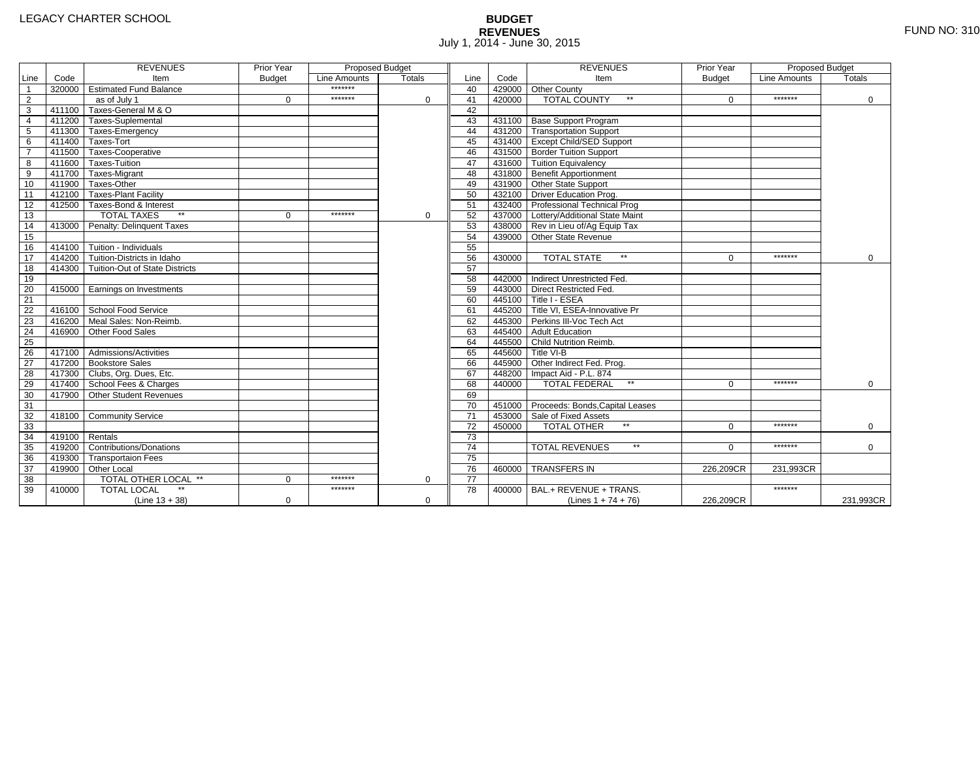# **BUDGET REVENUES** FUND NO: 310 July 1, 2014 - June 30, 2015

|                 |                | <b>REVENUES</b>                       | Prior Year    | <b>Proposed Budget</b> |          |                 |        | <b>REVENUES</b>                        | Prior Year    | Proposed Budget |               |
|-----------------|----------------|---------------------------------------|---------------|------------------------|----------|-----------------|--------|----------------------------------------|---------------|-----------------|---------------|
| Line            | Code           | Item                                  | <b>Budget</b> | Line Amounts           | Totals   | Line            | Code   | Item                                   | <b>Budget</b> | Line Amounts    | <b>Totals</b> |
| $\overline{1}$  |                | 320000 Estimated Fund Balance         |               | *******                |          | 40              |        | 429000 Other County                    |               |                 |               |
| $\overline{2}$  |                | as of July 1                          | $\Omega$      | *******                | $\Omega$ | 41              | 420000 | <b>TOTAL COUNTY</b><br>$\star\star$    | $\Omega$      | *******         | $\Omega$      |
| $\overline{3}$  |                | 411100 Taxes-General M & O            |               |                        |          | 42              |        |                                        |               |                 |               |
| $\overline{4}$  |                | 411200 Taxes-Suplemental              |               |                        |          | 43              |        | 431100 Base Support Program            |               |                 |               |
| 5               |                | 411300 Taxes-Emergency                |               |                        |          | 44              |        | 431200 Transportation Support          |               |                 |               |
| 6               |                | 411400 Taxes-Tort                     |               |                        |          | 45              |        | 431400 Except Child/SED Support        |               |                 |               |
| $\overline{7}$  |                | 411500 Taxes-Cooperative              |               |                        |          | 46              |        | 431500 Border Tuition Support          |               |                 |               |
| 8               |                | 411600 Taxes-Tuition                  |               |                        |          | 47              |        | 431600 Tuition Equivalency             |               |                 |               |
| 9               |                | 411700 Taxes-Migrant                  |               |                        |          | 48              |        | 431800 Benefit Apportionment           |               |                 |               |
| 10              |                | 411900 Taxes-Other                    |               |                        |          | 49              |        | 431900 Other State Support             |               |                 |               |
| 11              |                | 412100 Taxes-Plant Facility           |               |                        |          | 50              |        | 432100 Driver Education Prog.          |               |                 |               |
| 12              |                | 412500 Taxes-Bond & Interest          |               |                        |          | 51              |        | 432400 Professional Technical Prog     |               |                 |               |
| 13              |                | <b>TOTAL TAXES</b>                    | $\Omega$      | *******                | 0        | 52              |        | 437000 Lottery/Additional State Maint  |               |                 |               |
| 14              |                | 413000 Penalty: Delinquent Taxes      |               |                        |          | 53              |        | 438000 Rev in Lieu of/Ag Equip Tax     |               |                 |               |
| 15              |                |                                       |               |                        |          | 54              |        | 439000 Other State Revenue             |               |                 |               |
| 16              |                | $414100$ Tuition - Individuals        |               |                        |          | 55              |        |                                        |               |                 |               |
| 17              |                | 414200 Tuition-Districts in Idaho     |               |                        |          | 56              | 430000 | $**$<br><b>TOTAL STATE</b>             | $\Omega$      | *******         | 0             |
| $\overline{18}$ |                | 414300 Tuition-Out of State Districts |               |                        |          | 57              |        |                                        |               |                 |               |
| 19              |                |                                       |               |                        |          | 58              |        | 442000 Indirect Unrestricted Fed.      |               |                 |               |
| 20              |                | 415000 Earnings on Investments        |               |                        |          | 59              | 443000 | Direct Restricted Fed.                 |               |                 |               |
| $\overline{21}$ |                |                                       |               |                        |          | 60              |        | 445100 Title I - ESEA                  |               |                 |               |
| 22              |                | 416100 School Food Service            |               |                        |          | 61              |        | 445200 Title VI, ESEA-Innovative Pr    |               |                 |               |
| 23              |                | 416200 Meal Sales: Non-Reimb.         |               |                        |          | 62              |        | 445300 Perkins III-Voc Tech Act        |               |                 |               |
| 24              | 416900         | Other Food Sales                      |               |                        |          | 63              |        | 445400 Adult Education                 |               |                 |               |
| 25              |                |                                       |               |                        |          | 64              |        | 445500 Child Nutrition Reimb.          |               |                 |               |
| 26              |                | $417100$ Admissions/Activities        |               |                        |          | 65              |        | 445600 Title VI-B                      |               |                 |               |
| $\overline{27}$ |                | 417200 Bookstore Sales                |               |                        |          | 66              |        | 445900 Other Indirect Fed. Prog.       |               |                 |               |
| 28              |                | 417300 Clubs, Org. Dues, Etc.         |               |                        |          | 67              |        | 448200   Impact Aid - P.L. 874         |               |                 |               |
| 29              |                | 417400 School Fees & Charges          |               |                        |          | 68              | 440000 | $\star\star$<br><b>TOTAL FEDERAL</b>   | $\Omega$      | *******         | 0             |
| 30              |                | 417900 Other Student Revenues         |               |                        |          | 69              |        |                                        |               |                 |               |
| 31              |                |                                       |               |                        |          | 70              |        | 451000 Proceeds: Bonds, Capital Leases |               |                 |               |
| 32              |                | 418100 Community Service              |               |                        |          | 71              |        | 453000 Sale of Fixed Assets            |               |                 |               |
| 33              |                |                                       |               |                        |          | 72              | 450000 | <b>TOTAL OTHER</b>                     | $\Omega$      | *******         | 0             |
| 34              | 419100 Rentals |                                       |               |                        |          | $\overline{73}$ |        |                                        |               |                 |               |
| 35              |                | 419200 Contributions/Donations        |               |                        |          | 74              |        | <b>TOTAL REVENUES</b><br>$**$          | $\Omega$      | *******         | $\mathbf 0$   |
| 36              |                | 419300 Transportaion Fees             |               |                        |          | 75              |        |                                        |               |                 |               |
| 37              |                | 419900 Other Local                    |               |                        |          | 76              | 460000 | <b>TRANSFERS IN</b>                    | 226,209CR     | 231,993CR       |               |
| 38              |                | <b>TOTAL OTHER LOCAL **</b>           | $\Omega$      | *******                | $\Omega$ | $\overline{77}$ |        |                                        |               |                 |               |
| 39              | 410000         | <b>TOTAL LOCAL</b>                    |               | *******                |          | 78              | 400000 | BAL.+ REVENUE + TRANS.                 |               | *******         |               |
|                 |                | $(Line 13 + 38)$                      | $\mathbf 0$   |                        | 0        |                 |        | (Lines $1 + 74 + 76$ )                 | 226,209CR     |                 | 231,993CR     |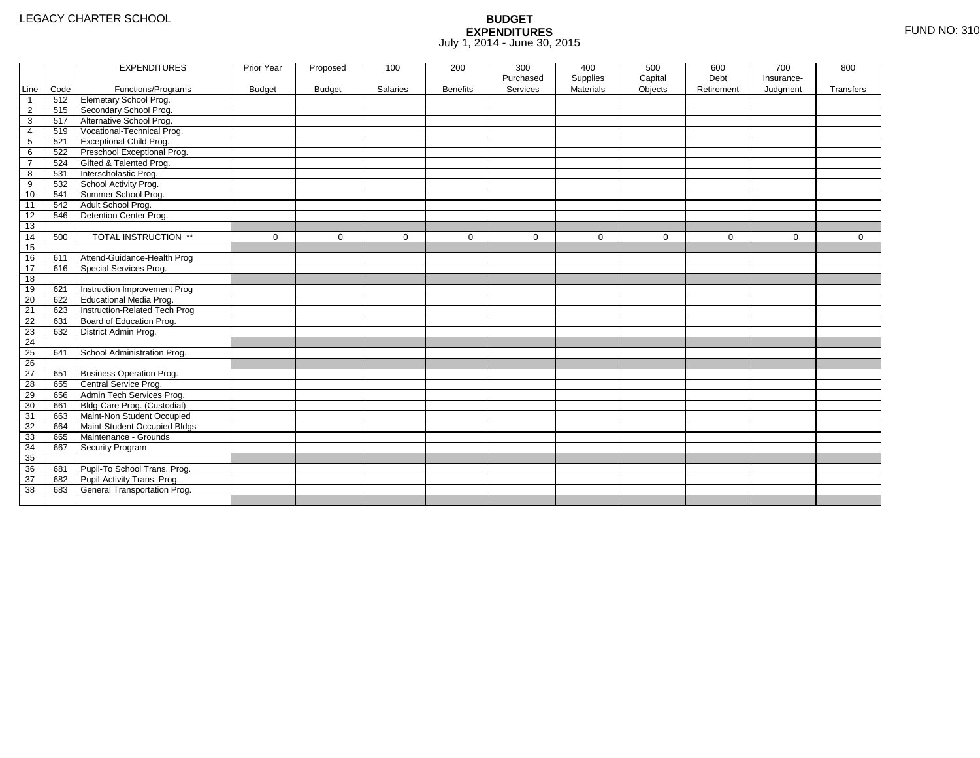|                 |      | <b>EXPENDITURES</b>             | Prior Year    | Proposed      | 100             | 200             | 300         | 400              | 500         | 600         | 700         | 800         |
|-----------------|------|---------------------------------|---------------|---------------|-----------------|-----------------|-------------|------------------|-------------|-------------|-------------|-------------|
|                 |      |                                 |               |               |                 |                 | Purchased   | Supplies         | Capital     | Debt        | Insurance-  |             |
| Line            | Code | Functions/Programs              | <b>Budget</b> | <b>Budget</b> | <b>Salaries</b> | <b>Benefits</b> | Services    | <b>Materials</b> | Objects     | Retirement  | Judgment    | Transfers   |
| $\mathbf{1}$    | 512  | Elemetary School Prog.          |               |               |                 |                 |             |                  |             |             |             |             |
| $\overline{2}$  | 515  | Secondary School Prog.          |               |               |                 |                 |             |                  |             |             |             |             |
| 3               | 517  | Alternative School Prog.        |               |               |                 |                 |             |                  |             |             |             |             |
| 4               | 519  | Vocational-Technical Prog.      |               |               |                 |                 |             |                  |             |             |             |             |
| 5               | 521  | <b>Exceptional Child Prog.</b>  |               |               |                 |                 |             |                  |             |             |             |             |
| 6               | 522  | Preschool Exceptional Prog.     |               |               |                 |                 |             |                  |             |             |             |             |
| $\overline{7}$  | 524  | Gifted & Talented Prog.         |               |               |                 |                 |             |                  |             |             |             |             |
| 8               | 531  | Interscholastic Prog.           |               |               |                 |                 |             |                  |             |             |             |             |
| 9               | 532  | School Activity Prog.           |               |               |                 |                 |             |                  |             |             |             |             |
| 10              | 541  | Summer School Prog.             |               |               |                 |                 |             |                  |             |             |             |             |
| 11              | 542  | Adult School Prog.              |               |               |                 |                 |             |                  |             |             |             |             |
| 12              | 546  | Detention Center Prog.          |               |               |                 |                 |             |                  |             |             |             |             |
| 13              |      |                                 |               |               |                 |                 |             |                  |             |             |             |             |
| 14              | 500  | TOTAL INSTRUCTION **            | $\mathbf 0$   | 0             | 0               | $\mathbf 0$     | $\mathbf 0$ | $\mathbf 0$      | $\mathbf 0$ | $\mathbf 0$ | $\mathbf 0$ | $\mathbf 0$ |
| 15              |      |                                 |               |               |                 |                 |             |                  |             |             |             |             |
| 16              | 611  | Attend-Guidance-Health Prog     |               |               |                 |                 |             |                  |             |             |             |             |
| 17              | 616  | Special Services Prog.          |               |               |                 |                 |             |                  |             |             |             |             |
| 18              |      |                                 |               |               |                 |                 |             |                  |             |             |             |             |
| 19              | 621  | Instruction Improvement Prog    |               |               |                 |                 |             |                  |             |             |             |             |
| 20              | 622  | <b>Educational Media Prog.</b>  |               |               |                 |                 |             |                  |             |             |             |             |
| 21              | 623  | Instruction-Related Tech Prog   |               |               |                 |                 |             |                  |             |             |             |             |
| 22              | 631  | Board of Education Prog.        |               |               |                 |                 |             |                  |             |             |             |             |
| 23              | 632  | District Admin Prog.            |               |               |                 |                 |             |                  |             |             |             |             |
| 24              |      |                                 |               |               |                 |                 |             |                  |             |             |             |             |
| 25              | 641  | School Administration Prog.     |               |               |                 |                 |             |                  |             |             |             |             |
| 26              |      |                                 |               |               |                 |                 |             |                  |             |             |             |             |
| $\overline{27}$ | 651  | <b>Business Operation Prog.</b> |               |               |                 |                 |             |                  |             |             |             |             |
| 28              | 655  | Central Service Prog.           |               |               |                 |                 |             |                  |             |             |             |             |
| 29              | 656  | Admin Tech Services Prog.       |               |               |                 |                 |             |                  |             |             |             |             |
| 30              | 661  | Bldg-Care Prog. (Custodial)     |               |               |                 |                 |             |                  |             |             |             |             |
| 31              | 663  | Maint-Non Student Occupied      |               |               |                 |                 |             |                  |             |             |             |             |
| 32              | 664  | Maint-Student Occupied Bldgs    |               |               |                 |                 |             |                  |             |             |             |             |
| 33              | 665  | Maintenance - Grounds           |               |               |                 |                 |             |                  |             |             |             |             |
| 34              | 667  | Security Program                |               |               |                 |                 |             |                  |             |             |             |             |
| 35              |      |                                 |               |               |                 |                 |             |                  |             |             |             |             |
| 36              | 681  | Pupil-To School Trans. Prog.    |               |               |                 |                 |             |                  |             |             |             |             |
| 37              | 682  | Pupil-Activity Trans. Prog.     |               |               |                 |                 |             |                  |             |             |             |             |
| 38              | 683  | General Transportation Prog.    |               |               |                 |                 |             |                  |             |             |             |             |
|                 |      |                                 |               |               |                 |                 |             |                  |             |             |             |             |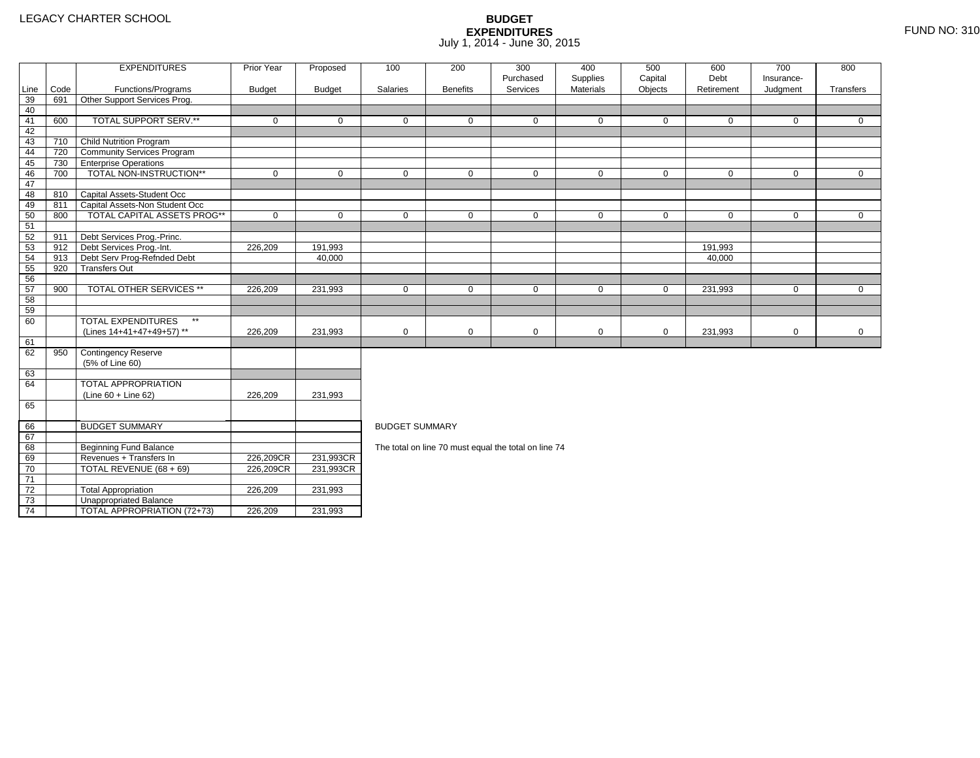71 72

73

74

0 | TOTAL REVENUE (68 + 69) | 226,209CR

3 **Unappropriated Balance** 

2 Total Appropriation 1 226,209 231,993

 $T$ OTAL APPROPRIATION (72+73)  $T$  226,209 231,993

### **BUDGET EXPENDITURES**July 1, 2014 - June 30, 2015

|      |      | <b>EXPENDITURES</b>                       | Prior Year    | Proposed      | 100                   | 200             | 300<br>Purchased                                     | 400         | 500         | 600         | 700          | 800          |  |  |  |
|------|------|-------------------------------------------|---------------|---------------|-----------------------|-----------------|------------------------------------------------------|-------------|-------------|-------------|--------------|--------------|--|--|--|
|      |      |                                           |               |               |                       |                 |                                                      | Supplies    | Capital     | Debt        | Insurance-   |              |  |  |  |
| Line | Code | Functions/Programs                        | <b>Budget</b> | <b>Budget</b> | Salaries              | <b>Benefits</b> | Services                                             | Materials   | Objects     | Retirement  | Judgment     | Transfers    |  |  |  |
| 39   | 691  | Other Support Services Prog.              |               |               |                       |                 |                                                      |             |             |             |              |              |  |  |  |
| 40   |      |                                           |               |               |                       |                 |                                                      |             |             |             |              |              |  |  |  |
| 41   | 600  | TOTAL SUPPORT SERV.**                     | $\mathbf 0$   | 0             | $\Omega$              | $\Omega$        | $\Omega$                                             | $\mathbf 0$ | $\Omega$    | $\Omega$    | $\Omega$     | $\mathbf{0}$ |  |  |  |
| 42   |      |                                           |               |               |                       |                 |                                                      |             |             |             |              |              |  |  |  |
| 43   | 710  | <b>Child Nutrition Program</b>            |               |               |                       |                 |                                                      |             |             |             |              |              |  |  |  |
| 44   | 720  | <b>Community Services Program</b>         |               |               |                       |                 |                                                      |             |             |             |              |              |  |  |  |
| 45   | 730  | <b>Enterprise Operations</b>              |               |               |                       |                 |                                                      |             |             |             |              |              |  |  |  |
| 46   | 700  | TOTAL NON-INSTRUCTION**                   | $\mathbf 0$   | 0             | $\mathbf{0}$          | 0               | $\mathbf 0$                                          | $\mathbf 0$ | $\mathbf 0$ | $\mathbf 0$ | $\mathbf{0}$ | $\mathbf 0$  |  |  |  |
| 47   |      |                                           |               |               |                       |                 |                                                      |             |             |             |              |              |  |  |  |
| 48   | 810  | Capital Assets-Student Occ                |               |               |                       |                 |                                                      |             |             |             |              |              |  |  |  |
| 49   | 811  | Capital Assets-Non Student Occ            |               |               |                       |                 |                                                      |             |             |             |              |              |  |  |  |
| 50   | 800  | <b>TOTAL CAPITAL ASSETS PROG**</b>        | $\mathbf 0$   | $\Omega$      | $\Omega$              | $\mathbf 0$     | $\Omega$                                             | $\mathbf 0$ | $\Omega$    | $\mathbf 0$ | $\Omega$     | $\mathbf 0$  |  |  |  |
| 51   |      |                                           |               |               |                       |                 |                                                      |             |             |             |              |              |  |  |  |
| 52   | 911  | Debt Services Prog.-Princ.                |               |               |                       |                 |                                                      |             |             |             |              |              |  |  |  |
| 53   | 912  | Debt Services Prog.-Int.                  | 226,209       | 191.993       |                       |                 |                                                      |             |             | 191.993     |              |              |  |  |  |
| 54   | 913  | Debt Serv Prog-Refnded Debt               |               | 40,000        |                       |                 |                                                      |             |             | 40,000      |              |              |  |  |  |
| 55   | 920  | <b>Transfers Out</b>                      |               |               |                       |                 |                                                      |             |             |             |              |              |  |  |  |
| 56   |      |                                           |               |               |                       |                 |                                                      |             |             |             |              |              |  |  |  |
| 57   | 900  | <b>TOTAL OTHER SERVICES **</b>            | 226,209       | 231,993       | $\mathbf 0$           | 0               | 0                                                    | 0           | 0           | 231,993     | 0            | 0            |  |  |  |
| 58   |      |                                           |               |               |                       |                 |                                                      |             |             |             |              |              |  |  |  |
| 59   |      |                                           |               |               |                       |                 |                                                      |             |             |             |              |              |  |  |  |
| 60   |      | <b>TOTAL EXPENDITURES</b><br>$\star\star$ |               |               |                       |                 |                                                      |             |             |             |              |              |  |  |  |
|      |      | (Lines 14+41+47+49+57) **                 | 226,209       | 231.993       | $\mathbf 0$           | $\mathbf 0$     | $\mathbf 0$                                          | $\mathbf 0$ | $\mathbf 0$ | 231,993     | $\mathbf 0$  | $\mathbf 0$  |  |  |  |
| 61   |      |                                           |               |               |                       |                 |                                                      |             |             |             |              |              |  |  |  |
| 62   | 950  | <b>Contingency Reserve</b>                |               |               |                       |                 |                                                      |             |             |             |              |              |  |  |  |
|      |      | (5% of Line 60)                           |               |               |                       |                 |                                                      |             |             |             |              |              |  |  |  |
| 63   |      |                                           |               |               |                       |                 |                                                      |             |             |             |              |              |  |  |  |
| 64   |      | TOTAL APPROPRIATION                       |               |               |                       |                 |                                                      |             |             |             |              |              |  |  |  |
|      |      | (Line 60 + Line 62)                       | 226,209       | 231,993       |                       |                 |                                                      |             |             |             |              |              |  |  |  |
| 65   |      |                                           |               |               |                       |                 |                                                      |             |             |             |              |              |  |  |  |
|      |      |                                           |               |               |                       |                 |                                                      |             |             |             |              |              |  |  |  |
| 66   |      | <b>BUDGET SUMMARY</b>                     |               |               | <b>BUDGET SUMMARY</b> |                 |                                                      |             |             |             |              |              |  |  |  |
| 67   |      |                                           |               |               |                       |                 |                                                      |             |             |             |              |              |  |  |  |
| 68   |      | Beginning Fund Balance                    |               |               |                       |                 | The total on line 70 must equal the total on line 74 |             |             |             |              |              |  |  |  |
| 69   |      | Revenues + Transfers In                   | 226,209CR     | 231,993CR     |                       |                 |                                                      |             |             |             |              |              |  |  |  |
| 70   |      | TOTAL REVENUE (68 + 69)                   | 226,209CR     | 231,993CR     |                       |                 |                                                      |             |             |             |              |              |  |  |  |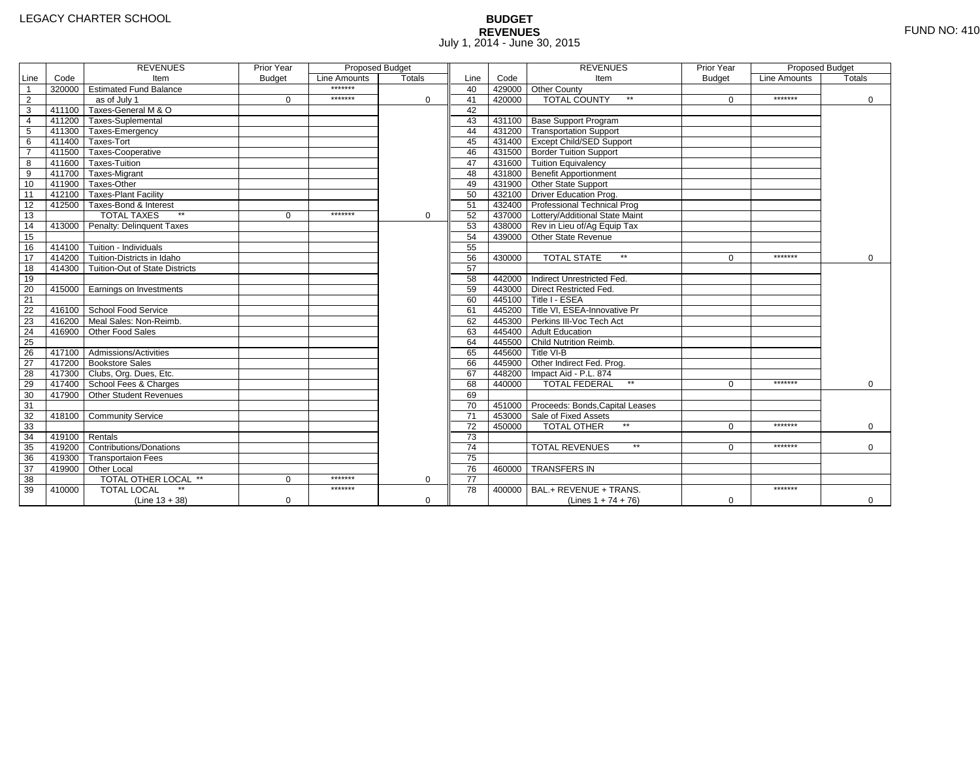# **BUDGET REVENUES** FUND NO: 410 July 1, 2014 - June 30, 2015

|                         |                | <b>REVENUES</b>                         | Prior Year    | <b>Proposed Budget</b> |               |                 |        | <b>REVENUES</b>                        | Prior Year    | Proposed Budget |             |
|-------------------------|----------------|-----------------------------------------|---------------|------------------------|---------------|-----------------|--------|----------------------------------------|---------------|-----------------|-------------|
| Line                    | Code           | Item                                    | <b>Budget</b> | Line Amounts           | <b>Totals</b> | Line            | Code   | Item                                   | <b>Budget</b> | Line Amounts    | Totals      |
| $\overline{1}$          |                | 320000 Estimated Fund Balance           |               | *******                |               | 40              |        | 429000 Other County                    |               |                 |             |
| $\overline{2}$          |                | as of July 1                            | $\Omega$      | *******                | $\Omega$      | 41              | 420000 | <b>TOTAL COUNTY</b><br>$\star\star$    | $\Omega$      | *******         | $\mathbf 0$ |
| $\overline{\mathbf{3}}$ |                | 411100 Taxes-General M & O              |               |                        |               | 42              |        |                                        |               |                 |             |
| $\overline{4}$          |                | 411200 Taxes-Suplemental                |               |                        |               | 43              |        | 431100 Base Support Program            |               |                 |             |
| $\overline{5}$          |                | 411300 Taxes-Emergency                  |               |                        |               | 44              |        | 431200 Transportation Support          |               |                 |             |
| 6                       |                | 411400 Taxes-Tort                       |               |                        |               | 45              |        | 431400 Except Child/SED Support        |               |                 |             |
| $\overline{7}$          |                | 411500 Taxes-Cooperative                |               |                        |               | 46              |        | 431500 Border Tuition Support          |               |                 |             |
| 8                       |                | 411600 Taxes-Tuition                    |               |                        |               | 47              |        | 431600 Tuition Equivalency             |               |                 |             |
| 9                       |                | 411700 Taxes-Migrant                    |               |                        |               | 48              |        | 431800 Benefit Apportionment           |               |                 |             |
| 10                      |                | 411900 Taxes-Other                      |               |                        |               | 49              |        | 431900 Other State Support             |               |                 |             |
| 11                      |                | 412100 Taxes-Plant Facility             |               |                        |               | 50              |        | 432100 Driver Education Prog.          |               |                 |             |
| 12                      |                | 412500 Taxes-Bond & Interest            |               |                        |               | 51              |        | 432400 Professional Technical Prog     |               |                 |             |
| 13                      |                | <b>TOTAL TAXES</b>                      | $\Omega$      | *******                | 0             | 52              |        | 437000 Lottery/Additional State Maint  |               |                 |             |
| 14                      |                | 413000 Penalty: Delinguent Taxes        |               |                        |               | 53              |        | 438000 Rev in Lieu of/Ag Equip Tax     |               |                 |             |
| 15                      |                |                                         |               |                        |               | 54              |        | 439000 Other State Revenue             |               |                 |             |
| 16                      |                | 414100 Tuition - Individuals            |               |                        |               | 55              |        |                                        |               |                 |             |
| 17                      |                | 414200 Tuition-Districts in Idaho       |               |                        |               | 56              | 430000 | <b>TOTAL STATE</b><br>$\star\star$     | $\Omega$      | *******         | $\mathbf 0$ |
| $\overline{18}$         |                | 414300   Tuition-Out of State Districts |               |                        |               | 57              |        |                                        |               |                 |             |
| 19                      |                |                                         |               |                        |               | 58              |        | 442000 Indirect Unrestricted Fed.      |               |                 |             |
| 20                      |                | 415000 Earnings on Investments          |               |                        |               | 59              |        | 443000 Direct Restricted Fed.          |               |                 |             |
| 21                      |                |                                         |               |                        |               | 60              |        | 445100 Title I - ESEA                  |               |                 |             |
| 22                      |                | 416100 School Food Service              |               |                        |               | 61              |        | 445200 Title VI. ESEA-Innovative Pr    |               |                 |             |
| 23                      |                | 416200 Meal Sales: Non-Reimb.           |               |                        |               | 62              |        | 445300 Perkins III-Voc Tech Act        |               |                 |             |
| 24                      |                | 416900 Other Food Sales                 |               |                        |               | 63              |        | 445400 Adult Education                 |               |                 |             |
| $\overline{25}$         |                |                                         |               |                        |               | 64              |        | 445500 Child Nutrition Reimb.          |               |                 |             |
| 26                      |                | 417100 Admissions/Activities            |               |                        |               | 65              |        | 445600 Title VI-B                      |               |                 |             |
| $\overline{27}$         |                | 417200 Bookstore Sales                  |               |                        |               | 66              |        | 445900 Other Indirect Fed. Prog.       |               |                 |             |
| 28                      |                | 417300 Clubs, Org. Dues, Etc.           |               |                        |               | 67              |        | 448200 Impact Aid - P.L. 874           |               |                 |             |
| 29                      |                | 417400 School Fees & Charges            |               |                        |               | 68              | 440000 | <b>TOTAL FEDERAL</b><br>$\star\star$   | $\Omega$      | *******         | $\Omega$    |
| 30                      | 417900         | Other Student Revenues                  |               |                        |               | 69              |        |                                        |               |                 |             |
| 31                      |                |                                         |               |                        |               | 70              |        | 451000 Proceeds: Bonds, Capital Leases |               |                 |             |
| 32                      |                | 418100 Community Service                |               |                        |               | $\overline{71}$ |        | 453000 Sale of Fixed Assets            |               |                 |             |
| 33                      |                |                                         |               |                        |               | 72              | 450000 | <b>TOTAL OTHER</b>                     | $\Omega$      | *******         | $\mathbf 0$ |
| 34                      | 419100 Rentals |                                         |               |                        |               | $\overline{73}$ |        |                                        |               |                 |             |
| 35                      |                | 419200 Contributions/Donations          |               |                        |               | $\overline{74}$ |        | $\star\star$<br><b>TOTAL REVENUES</b>  | 0             | *******         | $\Omega$    |
| 36                      |                | 419300 Transportaion Fees               |               |                        |               | $\overline{75}$ |        |                                        |               |                 |             |
| 37                      |                | 419900 Other Local                      |               |                        |               | 76              | 460000 | <b>TRANSFERS IN</b>                    |               |                 |             |
| 38                      |                | TOTAL OTHER LOCAL **                    | $\Omega$      | *******                | $\mathbf 0$   | 77              |        |                                        |               |                 |             |
| 39                      | 410000         | <b>TOTAL LOCAL</b>                      |               | *******                |               | 78              | 400000 | BAL.+ REVENUE + TRANS.                 |               | *******         |             |
|                         |                | $(Line 13 + 38)$                        | $\mathbf 0$   |                        | $\mathbf 0$   |                 |        | (Lines $1 + 74 + 76$ )                 | $\mathbf 0$   |                 | 0           |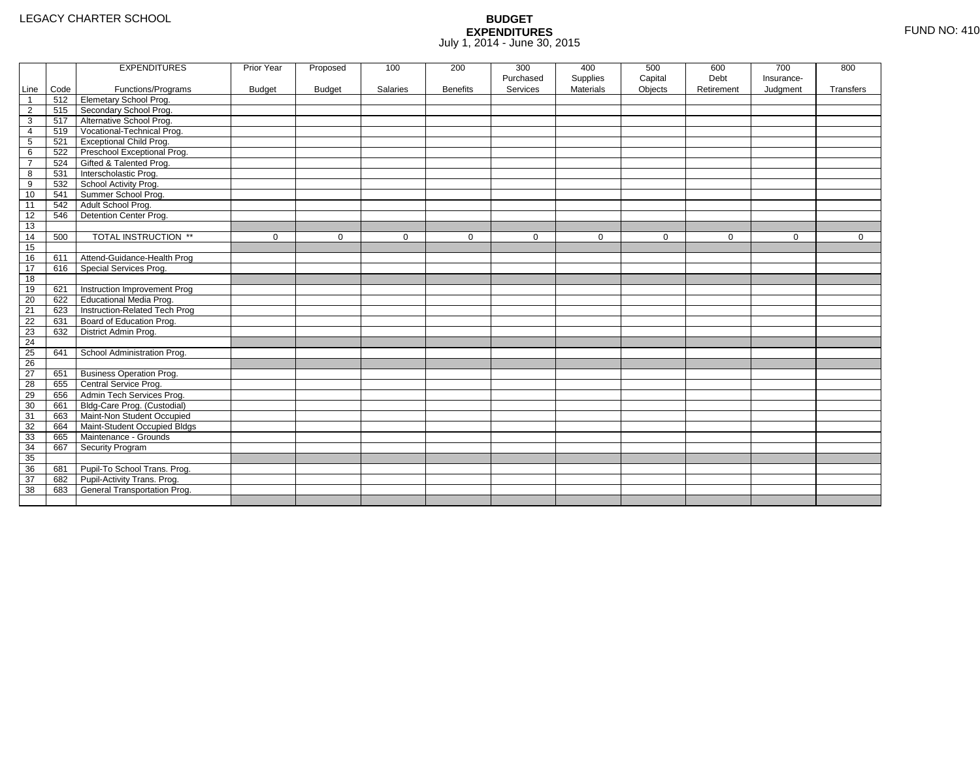|                |      | <b>EXPENDITURES</b>             | Prior Year    | Proposed      | 100      | 200             | 300       | 400              | 500          | 600          | 700         | 800       |
|----------------|------|---------------------------------|---------------|---------------|----------|-----------------|-----------|------------------|--------------|--------------|-------------|-----------|
|                |      |                                 |               |               |          |                 | Purchased | Supplies         | Capital      | Debt         | Insurance-  |           |
| Line           | Code | Functions/Programs              | <b>Budget</b> | <b>Budget</b> | Salaries | <b>Benefits</b> | Services  | <b>Materials</b> | Objects      | Retirement   | Judgment    | Transfers |
| $\mathbf 1$    | 512  | <b>Elemetary School Prog.</b>   |               |               |          |                 |           |                  |              |              |             |           |
| $\overline{2}$ | 515  | Secondary School Prog.          |               |               |          |                 |           |                  |              |              |             |           |
| 3              | 517  | Alternative School Prog.        |               |               |          |                 |           |                  |              |              |             |           |
| 4              | 519  | Vocational-Technical Prog.      |               |               |          |                 |           |                  |              |              |             |           |
| 5              | 521  | <b>Exceptional Child Prog.</b>  |               |               |          |                 |           |                  |              |              |             |           |
| 6              | 522  | Preschool Exceptional Prog.     |               |               |          |                 |           |                  |              |              |             |           |
| $\overline{7}$ | 524  | Gifted & Talented Prog.         |               |               |          |                 |           |                  |              |              |             |           |
| 8              | 531  | Interscholastic Prog.           |               |               |          |                 |           |                  |              |              |             |           |
| 9              | 532  | School Activity Prog.           |               |               |          |                 |           |                  |              |              |             |           |
| 10             | 541  | Summer School Prog.             |               |               |          |                 |           |                  |              |              |             |           |
| 11             | 542  | Adult School Prog.              |               |               |          |                 |           |                  |              |              |             |           |
| 12             | 546  | Detention Center Prog.          |               |               |          |                 |           |                  |              |              |             |           |
| 13             |      |                                 |               |               |          |                 |           |                  |              |              |             |           |
| 14             | 500  | TOTAL INSTRUCTION **            | $\mathbf 0$   | $\Omega$      | $\Omega$ | $\mathbf 0$     | $\Omega$  | 0                | $\mathbf{0}$ | $\mathbf{0}$ | $\mathbf 0$ | 0         |
| 15             |      |                                 |               |               |          |                 |           |                  |              |              |             |           |
| 16             | 611  | Attend-Guidance-Health Prog     |               |               |          |                 |           |                  |              |              |             |           |
| 17             | 616  | Special Services Prog.          |               |               |          |                 |           |                  |              |              |             |           |
| 18             |      |                                 |               |               |          |                 |           |                  |              |              |             |           |
| 19             | 621  | Instruction Improvement Prog    |               |               |          |                 |           |                  |              |              |             |           |
| 20             | 622  | <b>Educational Media Prog.</b>  |               |               |          |                 |           |                  |              |              |             |           |
| 21             | 623  | Instruction-Related Tech Prog   |               |               |          |                 |           |                  |              |              |             |           |
| 22             | 631  | Board of Education Prog.        |               |               |          |                 |           |                  |              |              |             |           |
| 23             | 632  | District Admin Prog.            |               |               |          |                 |           |                  |              |              |             |           |
| 24             |      |                                 |               |               |          |                 |           |                  |              |              |             |           |
| 25             | 641  | School Administration Prog.     |               |               |          |                 |           |                  |              |              |             |           |
| 26             |      |                                 |               |               |          |                 |           |                  |              |              |             |           |
| 27             | 651  | <b>Business Operation Prog.</b> |               |               |          |                 |           |                  |              |              |             |           |
| 28             | 655  | Central Service Prog.           |               |               |          |                 |           |                  |              |              |             |           |
| 29             | 656  | Admin Tech Services Prog.       |               |               |          |                 |           |                  |              |              |             |           |
| 30             | 661  | Bldg-Care Prog. (Custodial)     |               |               |          |                 |           |                  |              |              |             |           |
| 31             | 663  | Maint-Non Student Occupied      |               |               |          |                 |           |                  |              |              |             |           |
| 32             | 664  | Maint-Student Occupied Bldgs    |               |               |          |                 |           |                  |              |              |             |           |
| 33             | 665  | Maintenance - Grounds           |               |               |          |                 |           |                  |              |              |             |           |
| 34             | 667  | Security Program                |               |               |          |                 |           |                  |              |              |             |           |
| 35             |      |                                 |               |               |          |                 |           |                  |              |              |             |           |
| 36             | 681  | Pupil-To School Trans. Prog.    |               |               |          |                 |           |                  |              |              |             |           |
| 37             | 682  | Pupil-Activity Trans. Prog.     |               |               |          |                 |           |                  |              |              |             |           |
| 38             | 683  | General Transportation Prog.    |               |               |          |                 |           |                  |              |              |             |           |
|                |      |                                 |               |               |          |                 |           |                  |              |              |             |           |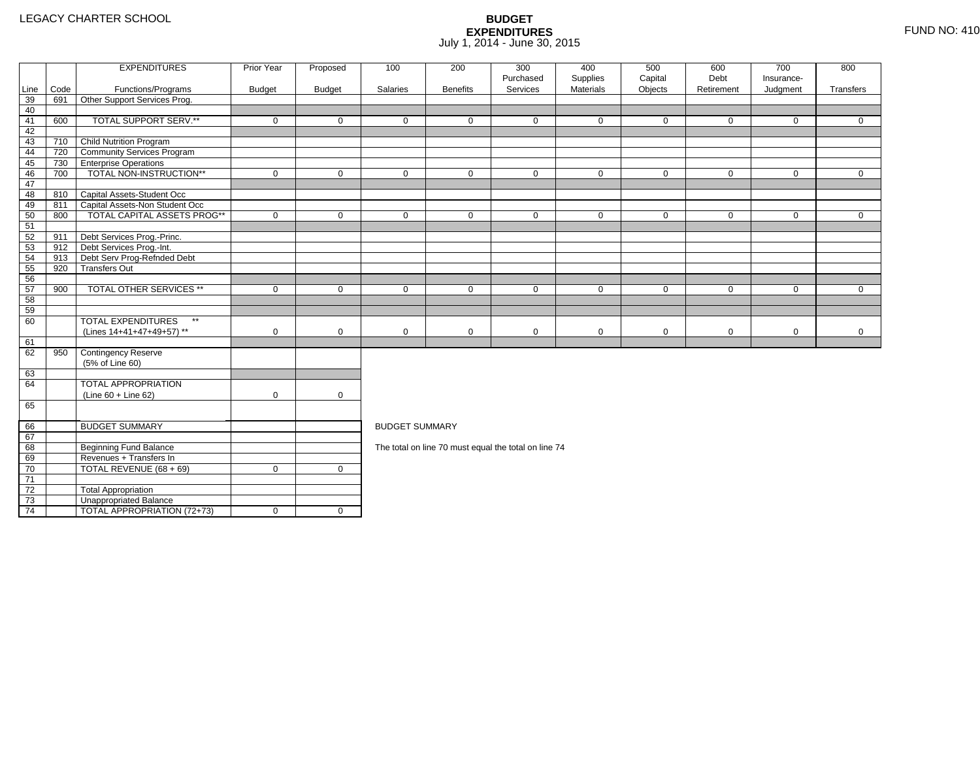4 | TOTAL APPROPRIATION (72+73) | 0 | 0

|      |      | <b>EXPENDITURES</b>                       | Prior Year  | Proposed       | 100                   | 200             | 300<br>Purchased                                     | 400<br>Supplies | 500<br>Capital | 600<br>Debt | 700<br>Insurance- | 800          |
|------|------|-------------------------------------------|-------------|----------------|-----------------------|-----------------|------------------------------------------------------|-----------------|----------------|-------------|-------------------|--------------|
| Line | Code | Functions/Programs                        | Budget      | <b>Budget</b>  | Salaries              | <b>Benefits</b> | Services                                             | Materials       | Objects        | Retirement  | Judgment          | Transfers    |
| 39   | 691  | Other Support Services Prog.              |             |                |                       |                 |                                                      |                 |                |             |                   |              |
| 40   |      |                                           |             |                |                       |                 |                                                      |                 |                |             |                   |              |
| 41   | 600  | TOTAL SUPPORT SERV.**                     | $\mathbf 0$ | $\mathbf 0$    | $\mathbf 0$           | $\mathbf 0$     | $\mathbf{0}$                                         | $\mathbf 0$     | $\mathbf 0$    | $\mathbf 0$ | $\mathbf 0$       | $\mathbf 0$  |
| 42   |      |                                           |             |                |                       |                 |                                                      |                 |                |             |                   |              |
| 43   | 710  | <b>Child Nutrition Program</b>            |             |                |                       |                 |                                                      |                 |                |             |                   |              |
| 44   | 720  | <b>Community Services Program</b>         |             |                |                       |                 |                                                      |                 |                |             |                   |              |
| 45   | 730  | <b>Enterprise Operations</b>              |             |                |                       |                 |                                                      |                 |                |             |                   |              |
| 46   | 700  | TOTAL NON-INSTRUCTION**                   | $\mathbf 0$ | $\mathbf 0$    | $\mathbf 0$           | $\mathbf 0$     | $\mathbf 0$                                          | $\mathbf 0$     | $\mathbf 0$    | $\mathbf 0$ | $\mathbf{0}$      | $\mathbf 0$  |
| 47   |      |                                           |             |                |                       |                 |                                                      |                 |                |             |                   |              |
| 48   |      | 810 Capital Assets-Student Occ            |             |                |                       |                 |                                                      |                 |                |             |                   |              |
| 49   | 811  | Capital Assets-Non Student Occ            |             |                |                       |                 |                                                      |                 |                |             |                   |              |
| 50   | 800  | <b>TOTAL CAPITAL ASSETS PROG**</b>        | $\mathbf 0$ | $\mathbf 0$    | $\mathbf 0$           | $\mathbf 0$     | $\mathbf 0$                                          | $\mathbf 0$     | $\mathbf 0$    | $\mathbf 0$ | $\mathbf 0$       | $\mathbf 0$  |
| 51   |      |                                           |             |                |                       |                 |                                                      |                 |                |             |                   |              |
| 52   | 911  | Debt Services Prog.-Princ.                |             |                |                       |                 |                                                      |                 |                |             |                   |              |
| 53   | 912  | Debt Services Prog.-Int.                  |             |                |                       |                 |                                                      |                 |                |             |                   |              |
| 54   | 913  | Debt Serv Prog-Refnded Debt               |             |                |                       |                 |                                                      |                 |                |             |                   |              |
| 55   | 920  | <b>Transfers Out</b>                      |             |                |                       |                 |                                                      |                 |                |             |                   |              |
| 56   |      |                                           |             |                |                       |                 |                                                      |                 |                |             |                   |              |
| 57   | 900  | <b>TOTAL OTHER SERVICES **</b>            | $\mathbf 0$ | $\mathbf 0$    | $\mathbf{0}$          | $\mathbf 0$     | $\mathbf 0$                                          | $\mathbf 0$     | $\mathbf 0$    | $\mathbf 0$ | $\mathbf 0$       | $\mathbf{0}$ |
| 58   |      |                                           |             |                |                       |                 |                                                      |                 |                |             |                   |              |
| 59   |      |                                           |             |                |                       |                 |                                                      |                 |                |             |                   |              |
| 60   |      | <b>TOTAL EXPENDITURES</b><br>$\star\star$ |             |                |                       |                 |                                                      |                 |                |             |                   |              |
|      |      | (Lines 14+41+47+49+57) **                 | 0           | $\mathbf 0$    | 0                     | $\mathbf 0$     | $\mathbf 0$                                          | $\mathbf 0$     | 0              | $\mathbf 0$ | $\mathbf 0$       | $\mathbf 0$  |
| 61   |      |                                           |             |                |                       |                 |                                                      |                 |                |             |                   |              |
| 62   | 950  | Contingency Reserve                       |             |                |                       |                 |                                                      |                 |                |             |                   |              |
|      |      | (5% of Line 60)                           |             |                |                       |                 |                                                      |                 |                |             |                   |              |
| 63   |      |                                           |             |                |                       |                 |                                                      |                 |                |             |                   |              |
| 64   |      | TOTAL APPROPRIATION                       |             |                |                       |                 |                                                      |                 |                |             |                   |              |
|      |      | $(Line 60 + Line 62)$                     | $\mathsf 0$ | 0              |                       |                 |                                                      |                 |                |             |                   |              |
| 65   |      |                                           |             |                |                       |                 |                                                      |                 |                |             |                   |              |
| 66   |      | <b>BUDGET SUMMARY</b>                     |             |                | <b>BUDGET SUMMARY</b> |                 |                                                      |                 |                |             |                   |              |
| 67   |      |                                           |             |                |                       |                 |                                                      |                 |                |             |                   |              |
| 68   |      | <b>Beginning Fund Balance</b>             |             |                |                       |                 | The total on line 70 must equal the total on line 74 |                 |                |             |                   |              |
| 69   |      | Revenues + Transfers In                   |             |                |                       |                 |                                                      |                 |                |             |                   |              |
| 70   |      | TOTAL REVENUE (68 + 69)                   | $\mathbf 0$ | $\overline{0}$ |                       |                 |                                                      |                 |                |             |                   |              |
| 71   |      |                                           |             |                |                       |                 |                                                      |                 |                |             |                   |              |
| 72   |      | <b>Total Appropriation</b>                |             |                |                       |                 |                                                      |                 |                |             |                   |              |
| 73   |      | Unappropriated Balance                    |             |                |                       |                 |                                                      |                 |                |             |                   |              |
|      |      |                                           |             |                |                       |                 |                                                      |                 |                |             |                   |              |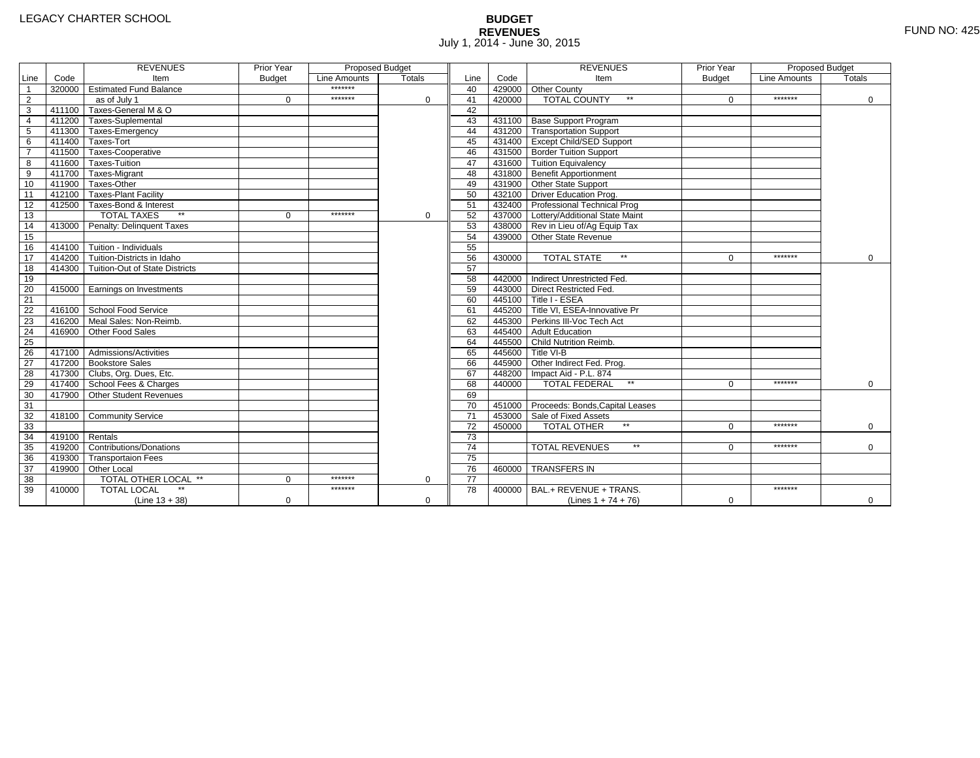# **BUDGET REVENUES** FUND NO: 425 July 1, 2014 - June 30, 2015

|                         |                | <b>REVENUES</b>                         | Prior Year    | <b>Proposed Budget</b> |               |                 |        | <b>REVENUES</b>                        | Prior Year    | Proposed Budget |             |
|-------------------------|----------------|-----------------------------------------|---------------|------------------------|---------------|-----------------|--------|----------------------------------------|---------------|-----------------|-------------|
| Line                    | Code           | Item                                    | <b>Budget</b> | Line Amounts           | <b>Totals</b> | Line            | Code   | Item                                   | <b>Budget</b> | Line Amounts    | Totals      |
| $\overline{1}$          |                | 320000 Estimated Fund Balance           |               | *******                |               | 40              |        | 429000 Other County                    |               |                 |             |
| $\overline{2}$          |                | as of July 1                            | $\Omega$      | *******                | $\Omega$      | 41              | 420000 | <b>TOTAL COUNTY</b><br>$\star\star$    | $\Omega$      | *******         | $\mathbf 0$ |
| $\overline{\mathbf{3}}$ |                | 411100 Taxes-General M & O              |               |                        |               | 42              |        |                                        |               |                 |             |
| $\overline{4}$          |                | 411200 Taxes-Suplemental                |               |                        |               | 43              |        | 431100 Base Support Program            |               |                 |             |
| $\overline{5}$          |                | 411300 Taxes-Emergency                  |               |                        |               | 44              |        | 431200 Transportation Support          |               |                 |             |
| 6                       |                | 411400 Taxes-Tort                       |               |                        |               | 45              |        | 431400 Except Child/SED Support        |               |                 |             |
| $\overline{7}$          |                | 411500 Taxes-Cooperative                |               |                        |               | 46              |        | 431500 Border Tuition Support          |               |                 |             |
| 8                       |                | 411600 Taxes-Tuition                    |               |                        |               | 47              |        | 431600 Tuition Equivalency             |               |                 |             |
| 9                       |                | 411700 Taxes-Migrant                    |               |                        |               | 48              |        | 431800 Benefit Apportionment           |               |                 |             |
| 10                      |                | 411900 Taxes-Other                      |               |                        |               | 49              |        | 431900 Other State Support             |               |                 |             |
| 11                      |                | 412100 Taxes-Plant Facility             |               |                        |               | 50              |        | 432100 Driver Education Prog.          |               |                 |             |
| 12                      |                | 412500 Taxes-Bond & Interest            |               |                        |               | 51              |        | 432400 Professional Technical Prog     |               |                 |             |
| 13                      |                | <b>TOTAL TAXES</b>                      | $\Omega$      | *******                | 0             | 52              |        | 437000 Lottery/Additional State Maint  |               |                 |             |
| 14                      |                | 413000 Penalty: Delinguent Taxes        |               |                        |               | 53              |        | 438000 Rev in Lieu of/Ag Equip Tax     |               |                 |             |
| 15                      |                |                                         |               |                        |               | 54              |        | 439000 Other State Revenue             |               |                 |             |
| 16                      |                | 414100 Tuition - Individuals            |               |                        |               | 55              |        |                                        |               |                 |             |
| 17                      |                | 414200 Tuition-Districts in Idaho       |               |                        |               | 56              | 430000 | <b>TOTAL STATE</b><br>$\star\star$     | $\Omega$      | *******         | $\mathbf 0$ |
| $\overline{18}$         |                | 414300   Tuition-Out of State Districts |               |                        |               | 57              |        |                                        |               |                 |             |
| 19                      |                |                                         |               |                        |               | 58              |        | 442000 Indirect Unrestricted Fed.      |               |                 |             |
| 20                      |                | 415000 Earnings on Investments          |               |                        |               | 59              |        | 443000 Direct Restricted Fed.          |               |                 |             |
| 21                      |                |                                         |               |                        |               | 60              |        | 445100 Title I - ESEA                  |               |                 |             |
| 22                      |                | 416100 School Food Service              |               |                        |               | 61              |        | 445200 Title VI. ESEA-Innovative Pr    |               |                 |             |
| 23                      |                | 416200 Meal Sales: Non-Reimb.           |               |                        |               | 62              |        | 445300 Perkins III-Voc Tech Act        |               |                 |             |
| 24                      |                | 416900 Other Food Sales                 |               |                        |               | 63              |        | 445400 Adult Education                 |               |                 |             |
| $\overline{25}$         |                |                                         |               |                        |               | 64              |        | 445500 Child Nutrition Reimb.          |               |                 |             |
| 26                      |                | 417100 Admissions/Activities            |               |                        |               | 65              |        | 445600 Title VI-B                      |               |                 |             |
| $\overline{27}$         |                | 417200 Bookstore Sales                  |               |                        |               | 66              |        | 445900 Other Indirect Fed. Prog.       |               |                 |             |
| 28                      |                | 417300 Clubs, Org. Dues, Etc.           |               |                        |               | 67              |        | 448200 Impact Aid - P.L. 874           |               |                 |             |
| 29                      |                | 417400 School Fees & Charges            |               |                        |               | 68              | 440000 | <b>TOTAL FEDERAL</b><br>$\star\star$   | $\Omega$      | *******         | $\Omega$    |
| 30                      | 417900         | Other Student Revenues                  |               |                        |               | 69              |        |                                        |               |                 |             |
| 31                      |                |                                         |               |                        |               | 70              |        | 451000 Proceeds: Bonds, Capital Leases |               |                 |             |
| 32                      |                | 418100 Community Service                |               |                        |               | $\overline{71}$ |        | 453000 Sale of Fixed Assets            |               |                 |             |
| 33                      |                |                                         |               |                        |               | 72              | 450000 | <b>TOTAL OTHER</b>                     | $\Omega$      | *******         | 0           |
| 34                      | 419100 Rentals |                                         |               |                        |               | $\overline{73}$ |        |                                        |               |                 |             |
| 35                      |                | 419200 Contributions/Donations          |               |                        |               | $\overline{74}$ |        | $\star\star$<br><b>TOTAL REVENUES</b>  | 0             | *******         | $\Omega$    |
| 36                      |                | 419300 Transportaion Fees               |               |                        |               | $\overline{75}$ |        |                                        |               |                 |             |
| 37                      |                | 419900 Other Local                      |               |                        |               | 76              | 460000 | <b>TRANSFERS IN</b>                    |               |                 |             |
| 38                      |                | TOTAL OTHER LOCAL **                    | $\Omega$      | *******                | $\mathbf 0$   | 77              |        |                                        |               |                 |             |
| 39                      | 410000         | <b>TOTAL LOCAL</b>                      |               | *******                |               | 78              | 400000 | BAL.+ REVENUE + TRANS.                 |               | *******         |             |
|                         |                | $(Line 13 + 38)$                        | $\mathbf 0$   |                        | $\mathbf 0$   |                 |        | (Lines $1 + 74 + 76$ )                 | $\mathbf 0$   |                 | 0           |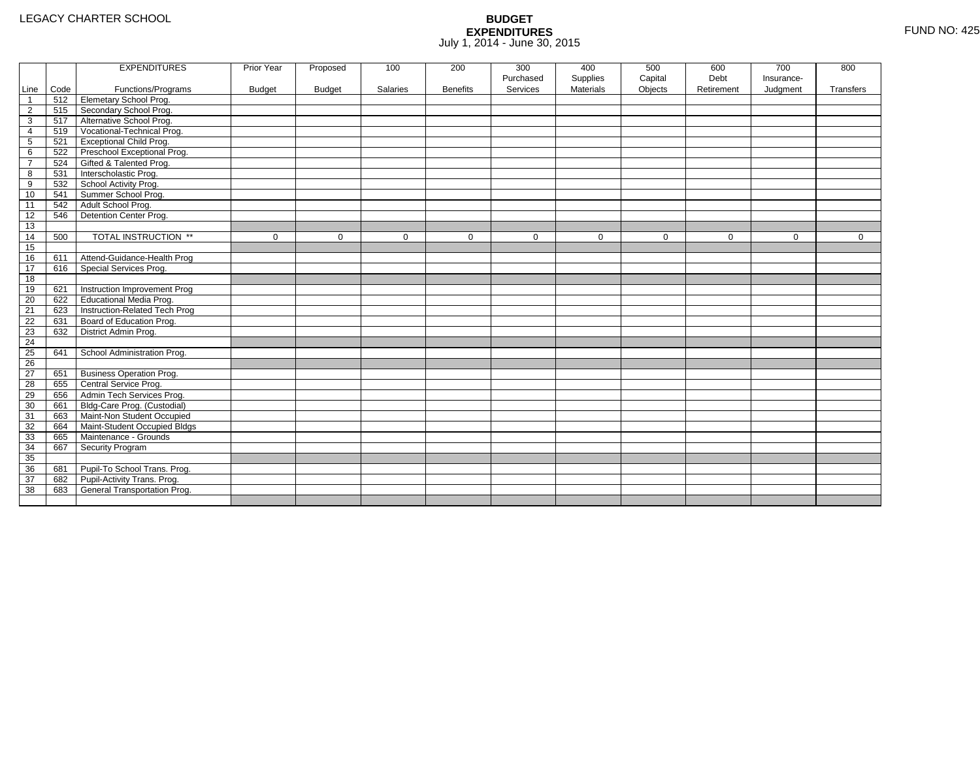|                 |      | <b>EXPENDITURES</b>             | Prior Year    | Proposed      | 100             | 200             | 300         | 400              | 500         | 600         | 700         | 800         |
|-----------------|------|---------------------------------|---------------|---------------|-----------------|-----------------|-------------|------------------|-------------|-------------|-------------|-------------|
|                 |      |                                 |               |               |                 |                 | Purchased   | Supplies         | Capital     | Debt        | Insurance-  |             |
| Line            | Code | Functions/Programs              | <b>Budget</b> | <b>Budget</b> | <b>Salaries</b> | <b>Benefits</b> | Services    | <b>Materials</b> | Objects     | Retirement  | Judgment    | Transfers   |
| $\mathbf{1}$    | 512  | Elemetary School Prog.          |               |               |                 |                 |             |                  |             |             |             |             |
| $\overline{2}$  | 515  | Secondary School Prog.          |               |               |                 |                 |             |                  |             |             |             |             |
| 3               | 517  | Alternative School Prog.        |               |               |                 |                 |             |                  |             |             |             |             |
| 4               | 519  | Vocational-Technical Prog.      |               |               |                 |                 |             |                  |             |             |             |             |
| 5               | 521  | <b>Exceptional Child Prog.</b>  |               |               |                 |                 |             |                  |             |             |             |             |
| 6               | 522  | Preschool Exceptional Prog.     |               |               |                 |                 |             |                  |             |             |             |             |
| $\overline{7}$  | 524  | Gifted & Talented Prog.         |               |               |                 |                 |             |                  |             |             |             |             |
| 8               | 531  | Interscholastic Prog.           |               |               |                 |                 |             |                  |             |             |             |             |
| 9               | 532  | School Activity Prog.           |               |               |                 |                 |             |                  |             |             |             |             |
| 10              | 541  | Summer School Prog.             |               |               |                 |                 |             |                  |             |             |             |             |
| 11              | 542  | Adult School Prog.              |               |               |                 |                 |             |                  |             |             |             |             |
| 12              | 546  | Detention Center Prog.          |               |               |                 |                 |             |                  |             |             |             |             |
| 13              |      |                                 |               |               |                 |                 |             |                  |             |             |             |             |
| 14              | 500  | TOTAL INSTRUCTION **            | $\mathbf 0$   | 0             | 0               | $\mathbf 0$     | $\mathbf 0$ | $\mathbf 0$      | $\mathbf 0$ | $\mathbf 0$ | $\mathbf 0$ | $\mathbf 0$ |
| 15              |      |                                 |               |               |                 |                 |             |                  |             |             |             |             |
| 16              | 611  | Attend-Guidance-Health Prog     |               |               |                 |                 |             |                  |             |             |             |             |
| 17              | 616  | Special Services Prog.          |               |               |                 |                 |             |                  |             |             |             |             |
| 18              |      |                                 |               |               |                 |                 |             |                  |             |             |             |             |
| 19              | 621  | Instruction Improvement Prog    |               |               |                 |                 |             |                  |             |             |             |             |
| 20              | 622  | <b>Educational Media Prog.</b>  |               |               |                 |                 |             |                  |             |             |             |             |
| 21              | 623  | Instruction-Related Tech Prog   |               |               |                 |                 |             |                  |             |             |             |             |
| 22              | 631  | Board of Education Prog.        |               |               |                 |                 |             |                  |             |             |             |             |
| 23              | 632  | District Admin Prog.            |               |               |                 |                 |             |                  |             |             |             |             |
| 24              |      |                                 |               |               |                 |                 |             |                  |             |             |             |             |
| 25              | 641  | School Administration Prog.     |               |               |                 |                 |             |                  |             |             |             |             |
| 26              |      |                                 |               |               |                 |                 |             |                  |             |             |             |             |
| $\overline{27}$ | 651  | <b>Business Operation Prog.</b> |               |               |                 |                 |             |                  |             |             |             |             |
| 28              | 655  | Central Service Prog.           |               |               |                 |                 |             |                  |             |             |             |             |
| 29              | 656  | Admin Tech Services Prog.       |               |               |                 |                 |             |                  |             |             |             |             |
| 30              | 661  | Bldg-Care Prog. (Custodial)     |               |               |                 |                 |             |                  |             |             |             |             |
| 31              | 663  | Maint-Non Student Occupied      |               |               |                 |                 |             |                  |             |             |             |             |
| 32              | 664  | Maint-Student Occupied Bldgs    |               |               |                 |                 |             |                  |             |             |             |             |
| 33              | 665  | Maintenance - Grounds           |               |               |                 |                 |             |                  |             |             |             |             |
| 34              | 667  | Security Program                |               |               |                 |                 |             |                  |             |             |             |             |
| 35              |      |                                 |               |               |                 |                 |             |                  |             |             |             |             |
| 36              | 681  | Pupil-To School Trans. Prog.    |               |               |                 |                 |             |                  |             |             |             |             |
| 37              | 682  | Pupil-Activity Trans. Prog.     |               |               |                 |                 |             |                  |             |             |             |             |
| 38              | 683  | General Transportation Prog.    |               |               |                 |                 |             |                  |             |             |             |             |
|                 |      |                                 |               |               |                 |                 |             |                  |             |             |             |             |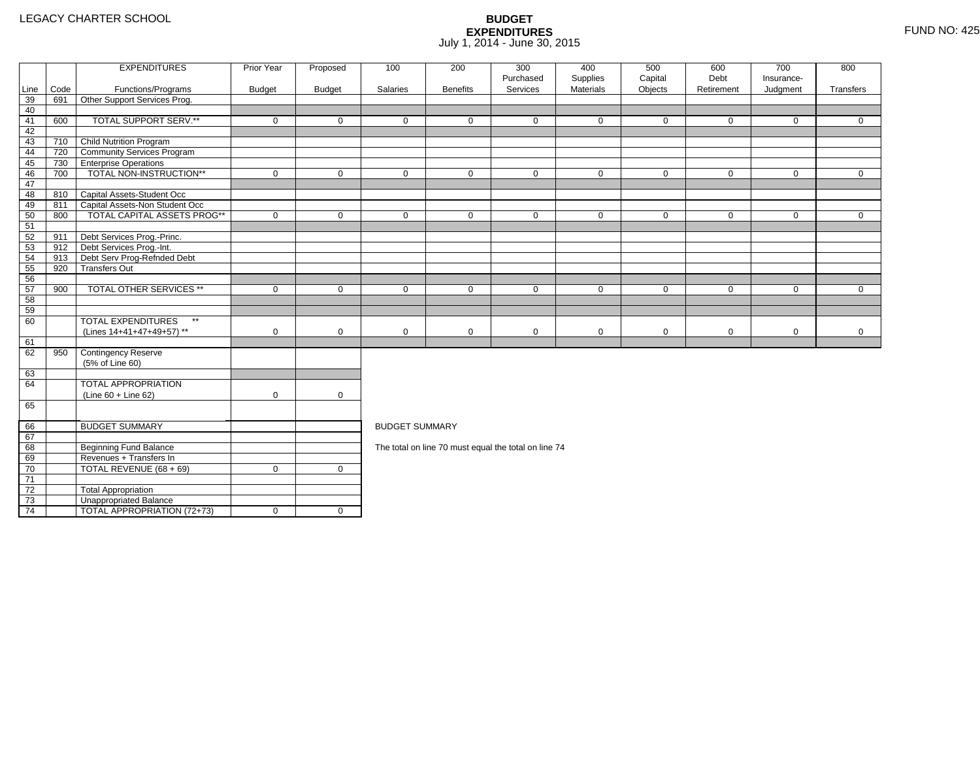4 | TOTAL APPROPRIATION (72+73) | 0 | 0

|      |      | <b>EXPENDITURES</b>                       | <b>Prior Year</b> | Proposed      | 100                   | 200             | 300<br>Purchased                                     | 400<br>Supplies | 500<br>Capital | 600<br>Debt | 700<br>Insurance- | 800          |
|------|------|-------------------------------------------|-------------------|---------------|-----------------------|-----------------|------------------------------------------------------|-----------------|----------------|-------------|-------------------|--------------|
| Line | Code | Functions/Programs                        | <b>Budget</b>     | <b>Budget</b> | Salaries              | <b>Benefits</b> | Services                                             | Materials       | Objects        | Retirement  | Judgment          | Transfers    |
| 39   | 691  | Other Support Services Prog.              |                   |               |                       |                 |                                                      |                 |                |             |                   |              |
| 40   |      |                                           |                   |               |                       |                 |                                                      |                 |                |             |                   |              |
| 41   | 600  | TOTAL SUPPORT SERV.**                     | $\mathbf 0$       | $\Omega$      | $\Omega$              | $\mathbf{0}$    | $\Omega$                                             | $\mathbf{0}$    | 0              | $\Omega$    | $\mathbf 0$       | $\Omega$     |
| 42   |      |                                           |                   |               |                       |                 |                                                      |                 |                |             |                   |              |
| 43   | 710  | Child Nutrition Program                   |                   |               |                       |                 |                                                      |                 |                |             |                   |              |
| 44   | 720  | <b>Community Services Program</b>         |                   |               |                       |                 |                                                      |                 |                |             |                   |              |
| 45   | 730  | <b>Enterprise Operations</b>              |                   |               |                       |                 |                                                      |                 |                |             |                   |              |
| 46   | 700  | TOTAL NON-INSTRUCTION**                   | 0                 | $\mathbf 0$   | 0                     | $\mathbf 0$     | $\mathbf 0$                                          | $\mathbf 0$     | 0              | $\mathbf 0$ | $\overline{0}$    | $\mathbf 0$  |
| 47   |      |                                           |                   |               |                       |                 |                                                      |                 |                |             |                   |              |
| 48   | 810  | Capital Assets-Student Occ                |                   |               |                       |                 |                                                      |                 |                |             |                   |              |
| 49   | 811  | Capital Assets-Non Student Occ            |                   |               |                       |                 |                                                      |                 |                |             |                   |              |
| 50   | 800  | <b>TOTAL CAPITAL ASSETS PROG**</b>        | 0                 | $\mathbf 0$   | $\mathbf 0$           | $\mathbf 0$     | $\mathbf 0$                                          | $\mathbf 0$     | 0              | $\mathbf 0$ | $\overline{0}$    | $\mathbf{0}$ |
| 51   |      |                                           |                   |               |                       |                 |                                                      |                 |                |             |                   |              |
| 52   | 911  | Debt Services Prog.-Princ.                |                   |               |                       |                 |                                                      |                 |                |             |                   |              |
| 53   | 912  | Debt Services Prog.-Int.                  |                   |               |                       |                 |                                                      |                 |                |             |                   |              |
| 54   | 913  | Debt Serv Prog-Refnded Debt               |                   |               |                       |                 |                                                      |                 |                |             |                   |              |
| 55   | 920  | <b>Transfers Out</b>                      |                   |               |                       |                 |                                                      |                 |                |             |                   |              |
| 56   |      |                                           |                   |               |                       |                 |                                                      |                 |                |             |                   |              |
| 57   | 900  | <b>TOTAL OTHER SERVICES **</b>            | 0                 | $\mathbf 0$   | $\mathbf 0$           | $\mathbf 0$     | $\mathbf 0$                                          | $\mathbf 0$     | 0              | $\mathbf 0$ | $\mathbf 0$       | $\mathbf{0}$ |
| 58   |      |                                           |                   |               |                       |                 |                                                      |                 |                |             |                   |              |
| 59   |      |                                           |                   |               |                       |                 |                                                      |                 |                |             |                   |              |
| 60   |      | <b>TOTAL EXPENDITURES</b><br>$\star\star$ |                   |               |                       |                 |                                                      |                 |                |             |                   |              |
|      |      | (Lines 14+41+47+49+57) **                 | 0                 | $\mathbf 0$   | 0                     | $\mathbf 0$     | $\mathbf 0$                                          | 0               | 0              | $\mathbf 0$ | $\mathbf 0$       | $\mathbf 0$  |
| 61   |      |                                           |                   |               |                       |                 |                                                      |                 |                |             |                   |              |
| 62   | 950  | Contingency Reserve                       |                   |               |                       |                 |                                                      |                 |                |             |                   |              |
|      |      | (5% of Line 60)                           |                   |               |                       |                 |                                                      |                 |                |             |                   |              |
| 63   |      |                                           |                   |               |                       |                 |                                                      |                 |                |             |                   |              |
| 64   |      | <b>TOTAL APPROPRIATION</b>                |                   |               |                       |                 |                                                      |                 |                |             |                   |              |
|      |      | $(Line 60 + Line 62)$                     | $\mathbf 0$       | $\mathbf 0$   |                       |                 |                                                      |                 |                |             |                   |              |
| 65   |      |                                           |                   |               |                       |                 |                                                      |                 |                |             |                   |              |
| 66   |      | <b>BUDGET SUMMARY</b>                     |                   |               | <b>BUDGET SUMMARY</b> |                 |                                                      |                 |                |             |                   |              |
| 67   |      |                                           |                   |               |                       |                 |                                                      |                 |                |             |                   |              |
| 68   |      | <b>Beginning Fund Balance</b>             |                   |               |                       |                 | The total on line 70 must equal the total on line 74 |                 |                |             |                   |              |
| 69   |      | Revenues + Transfers In                   |                   |               |                       |                 |                                                      |                 |                |             |                   |              |
| 70   |      | TOTAL REVENUE (68 + 69)                   | $\mathbf 0$       | $\mathbf 0$   |                       |                 |                                                      |                 |                |             |                   |              |
| 71   |      |                                           |                   |               |                       |                 |                                                      |                 |                |             |                   |              |
| 72   |      | <b>Total Appropriation</b>                |                   |               |                       |                 |                                                      |                 |                |             |                   |              |
| 73   |      | Unappropriated Balance                    |                   |               |                       |                 |                                                      |                 |                |             |                   |              |
|      |      |                                           |                   |               |                       |                 |                                                      |                 |                |             |                   |              |